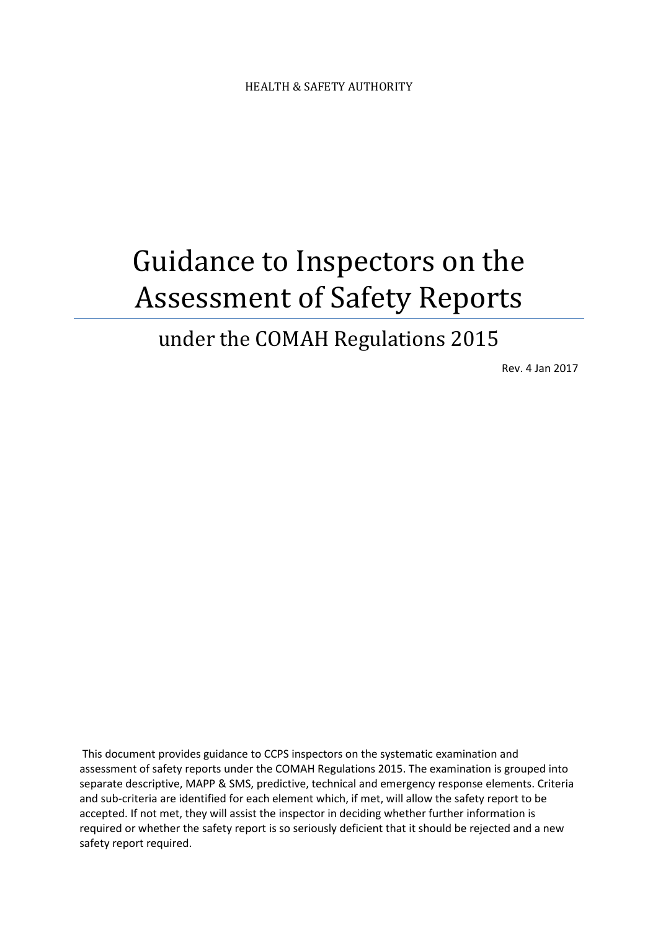# Guidance to Inspectors on the Assessment of Safety Reports

## under the COMAH Regulations 2015

Rev. 4 Jan 2017

This document provides guidance to CCPS inspectors on the systematic examination and assessment of safety reports under the COMAH Regulations 2015. The examination is grouped into separate descriptive, MAPP & SMS, predictive, technical and emergency response elements. Criteria and sub-criteria are identified for each element which, if met, will allow the safety report to be accepted. If not met, they will assist the inspector in deciding whether further information is required or whether the safety report is so seriously deficient that it should be rejected and a new safety report required.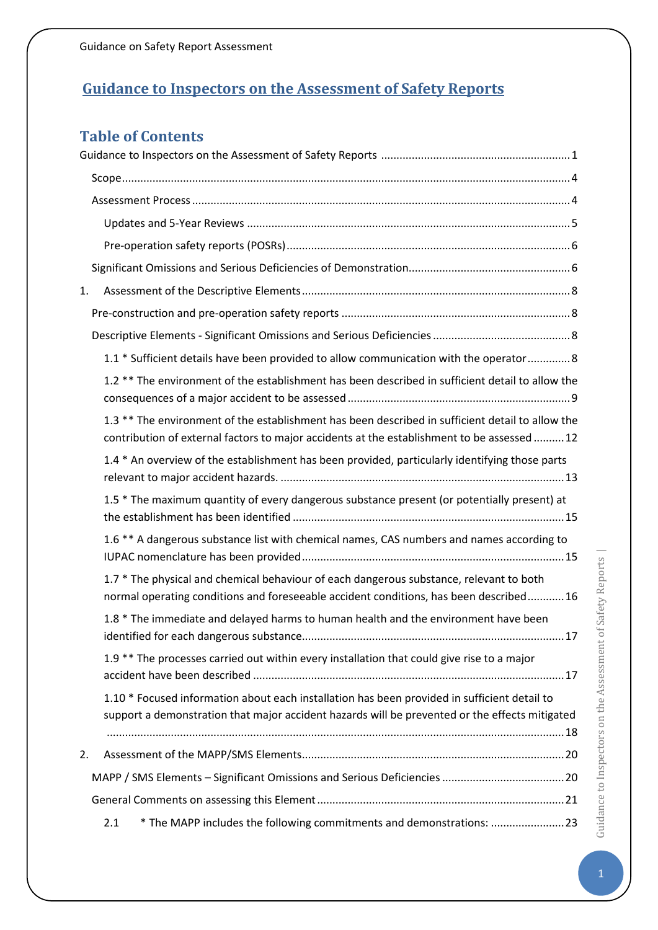## <span id="page-1-0"></span>**Guidance to Inspectors on the Assessment of Safety Reports**

## **Table of Contents**

| 1. |                                                                                                                                                                                                 |
|----|-------------------------------------------------------------------------------------------------------------------------------------------------------------------------------------------------|
|    |                                                                                                                                                                                                 |
|    |                                                                                                                                                                                                 |
|    | 1.1 * Sufficient details have been provided to allow communication with the operator 8                                                                                                          |
|    | 1.2 ** The environment of the establishment has been described in sufficient detail to allow the                                                                                                |
|    | 1.3 ** The environment of the establishment has been described in sufficient detail to allow the<br>contribution of external factors to major accidents at the establishment to be assessed  12 |
|    | 1.4 * An overview of the establishment has been provided, particularly identifying those parts                                                                                                  |
|    | 1.5 * The maximum quantity of every dangerous substance present (or potentially present) at                                                                                                     |
|    | 1.6 ** A dangerous substance list with chemical names, CAS numbers and names according to                                                                                                       |
|    | 1.7 * The physical and chemical behaviour of each dangerous substance, relevant to both<br>normal operating conditions and foreseeable accident conditions, has been described 16               |
|    | 1.8 * The immediate and delayed harms to human health and the environment have been                                                                                                             |
|    | 1.9 ** The processes carried out within every installation that could give rise to a major                                                                                                      |
|    | 1.10 * Focused information about each installation has been provided in sufficient detail to<br>support a demonstration that major accident hazards will be prevented or the effects mitigated  |
| 2. |                                                                                                                                                                                                 |
|    |                                                                                                                                                                                                 |
|    |                                                                                                                                                                                                 |
|    | * The MAPP includes the following commitments and demonstrations: 23<br>2.1                                                                                                                     |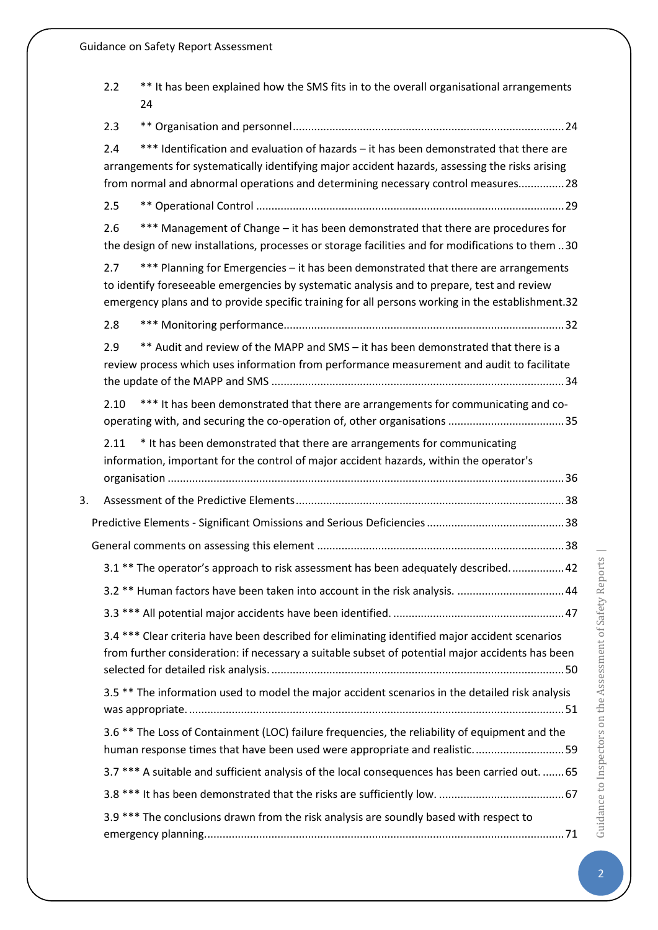|    | 2.2  | ** It has been explained how the SMS fits in to the overall organisational arrangements<br>24                                                                                                                                                                                         |  |
|----|------|---------------------------------------------------------------------------------------------------------------------------------------------------------------------------------------------------------------------------------------------------------------------------------------|--|
|    | 2.3  |                                                                                                                                                                                                                                                                                       |  |
|    | 2.4  | *** Identification and evaluation of hazards - it has been demonstrated that there are<br>arrangements for systematically identifying major accident hazards, assessing the risks arising<br>from normal and abnormal operations and determining necessary control measures 28        |  |
|    | 2.5  |                                                                                                                                                                                                                                                                                       |  |
|    | 2.6  | *** Management of Change - it has been demonstrated that there are procedures for<br>the design of new installations, processes or storage facilities and for modifications to them 30                                                                                                |  |
|    | 2.7  | *** Planning for Emergencies - it has been demonstrated that there are arrangements<br>to identify foreseeable emergencies by systematic analysis and to prepare, test and review<br>emergency plans and to provide specific training for all persons working in the establishment.32 |  |
|    | 2.8  |                                                                                                                                                                                                                                                                                       |  |
|    | 2.9  | ** Audit and review of the MAPP and SMS - it has been demonstrated that there is a<br>review process which uses information from performance measurement and audit to facilitate                                                                                                      |  |
|    | 2.10 | *** It has been demonstrated that there are arrangements for communicating and co-                                                                                                                                                                                                    |  |
|    | 2.11 | * It has been demonstrated that there are arrangements for communicating<br>information, important for the control of major accident hazards, within the operator's                                                                                                                   |  |
| 3. |      |                                                                                                                                                                                                                                                                                       |  |
|    |      |                                                                                                                                                                                                                                                                                       |  |
|    |      |                                                                                                                                                                                                                                                                                       |  |
|    |      | 3.1 ** The operator's approach to risk assessment has been adequately described 42                                                                                                                                                                                                    |  |
|    |      |                                                                                                                                                                                                                                                                                       |  |
|    |      |                                                                                                                                                                                                                                                                                       |  |
|    |      | 3.4 *** Clear criteria have been described for eliminating identified major accident scenarios<br>from further consideration: if necessary a suitable subset of potential major accidents has been                                                                                    |  |
|    |      | 3.5 ** The information used to model the major accident scenarios in the detailed risk analysis                                                                                                                                                                                       |  |
|    |      | 3.6 ** The Loss of Containment (LOC) failure frequencies, the reliability of equipment and the<br>human response times that have been used were appropriate and realistic 59                                                                                                          |  |
|    |      | 3.7 *** A suitable and sufficient analysis of the local consequences has been carried out.  65                                                                                                                                                                                        |  |
|    |      |                                                                                                                                                                                                                                                                                       |  |
|    |      | 3.9 *** The conclusions drawn from the risk analysis are soundly based with respect to                                                                                                                                                                                                |  |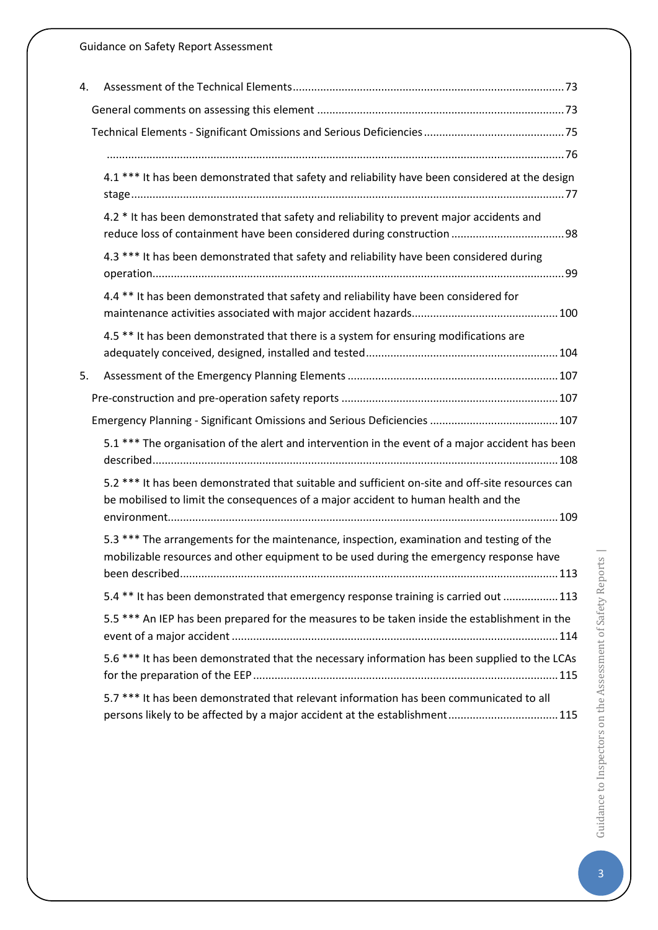| 4. |                                                                                                                                                                                        |
|----|----------------------------------------------------------------------------------------------------------------------------------------------------------------------------------------|
|    |                                                                                                                                                                                        |
|    |                                                                                                                                                                                        |
|    |                                                                                                                                                                                        |
|    | 4.1 *** It has been demonstrated that safety and reliability have been considered at the design                                                                                        |
|    | 4.2 * It has been demonstrated that safety and reliability to prevent major accidents and                                                                                              |
|    | 4.3 *** It has been demonstrated that safety and reliability have been considered during                                                                                               |
|    | 4.4 ** It has been demonstrated that safety and reliability have been considered for                                                                                                   |
|    | 4.5 ** It has been demonstrated that there is a system for ensuring modifications are                                                                                                  |
| 5. |                                                                                                                                                                                        |
|    |                                                                                                                                                                                        |
|    |                                                                                                                                                                                        |
|    | 5.1 *** The organisation of the alert and intervention in the event of a major accident has been                                                                                       |
|    | 5.2 *** It has been demonstrated that suitable and sufficient on-site and off-site resources can<br>be mobilised to limit the consequences of a major accident to human health and the |
|    | 5.3 *** The arrangements for the maintenance, inspection, examination and testing of the<br>mobilizable resources and other equipment to be used during the emergency response have    |
|    | 5.4 ** It has been demonstrated that emergency response training is carried out 113                                                                                                    |
|    | 5.5 *** An IEP has been prepared for the measures to be taken inside the establishment in the                                                                                          |
|    | 5.6 *** It has been demonstrated that the necessary information has been supplied to the LCAs                                                                                          |
|    | 5.7 *** It has been demonstrated that relevant information has been communicated to all<br>persons likely to be affected by a major accident at the establishment115                   |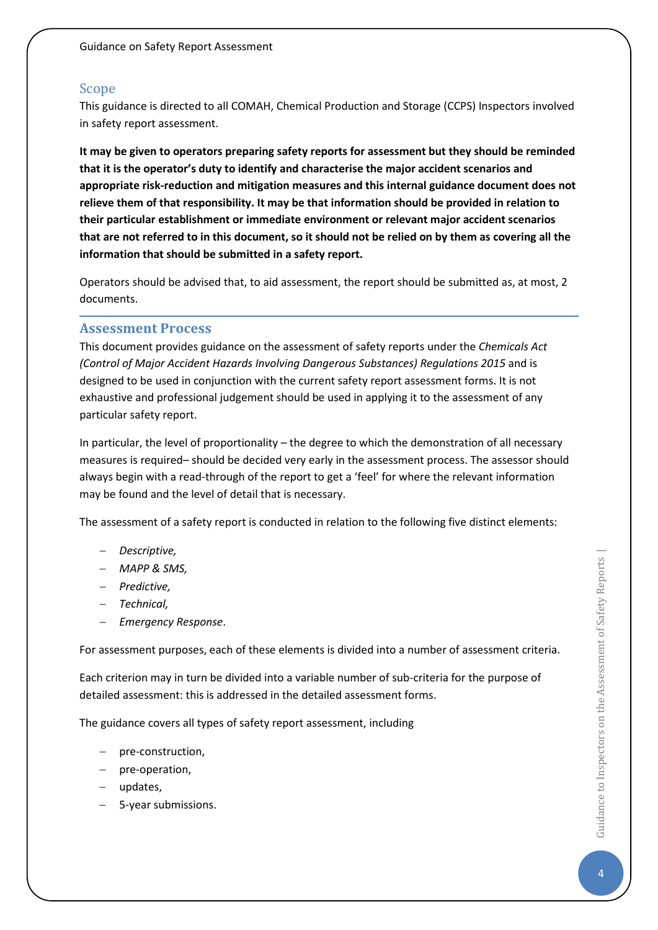#### <span id="page-4-0"></span>Scope

This guidance is directed to all COMAH, Chemical Production and Storage (CCPS) Inspectors involved in safety report assessment.

**It may be given to operators preparing safety reports for assessment but they should be reminded that it is the operator's duty to identify and characterise the major accident scenarios and appropriate risk-reduction and mitigation measures and this internal guidance document does not relieve them of that responsibility. It may be that information should be provided in relation to their particular establishment or immediate environment or relevant major accident scenarios that are not referred to in this document, so it should not be relied on by them as covering all the information that should be submitted in a safety report.**

Operators should be advised that, to aid assessment, the report should be submitted as, at most, 2 documents.

#### <span id="page-4-1"></span>**Assessment Process**

This document provides guidance on the assessment of safety reports under the *Chemicals Act (Control of Major Accident Hazards Involving Dangerous Substances) Regulations 2015* and is designed to be used in conjunction with the current safety report assessment forms. It is not exhaustive and professional judgement should be used in applying it to the assessment of any particular safety report.

In particular, the level of proportionality – the degree to which the demonstration of all necessary measures is required– should be decided very early in the assessment process. The assessor should always begin with a read-through of the report to get a 'feel' for where the relevant information may be found and the level of detail that is necessary.

The assessment of a safety report is conducted in relation to the following five distinct elements:

- − *Descriptive,*
- − *MAPP & SMS,*
- − *Predictive,*
- − *Technical,*
- − *Emergency Response*.

For assessment purposes, each of these elements is divided into a number of assessment criteria.

Each criterion may in turn be divided into a variable number of sub-criteria for the purpose of detailed assessment: this is addressed in the detailed assessment forms.

The guidance covers all types of safety report assessment, including

- − pre-construction,
- − pre-operation,
- − updates,
- − 5-year submissions.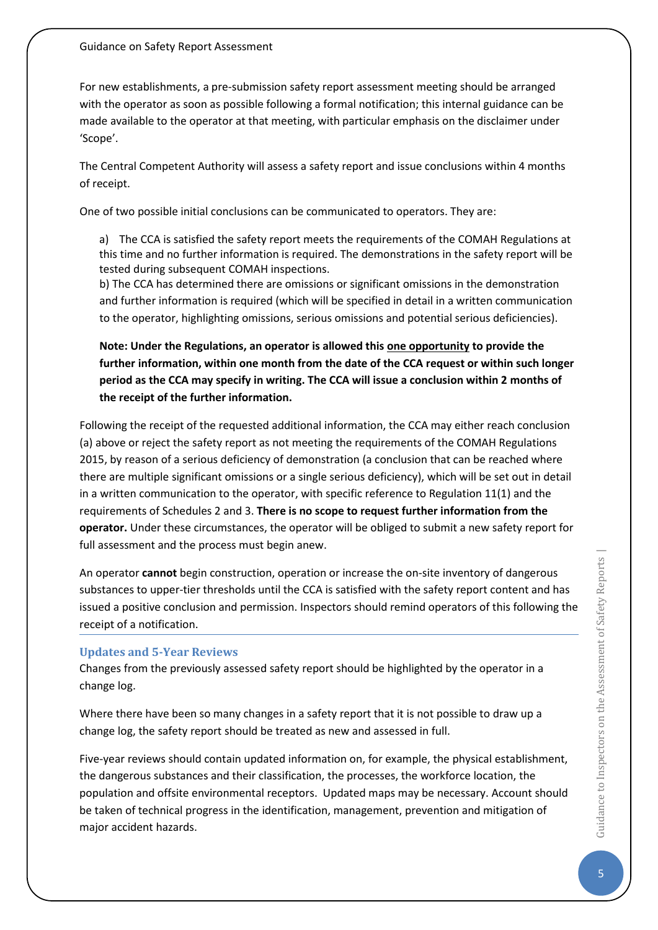For new establishments, a pre-submission safety report assessment meeting should be arranged with the operator as soon as possible following a formal notification; this internal guidance can be made available to the operator at that meeting, with particular emphasis on the disclaimer under 'Scope'.

The Central Competent Authority will assess a safety report and issue conclusions within 4 months of receipt.

One of two possible initial conclusions can be communicated to operators. They are:

a) The CCA is satisfied the safety report meets the requirements of the COMAH Regulations at this time and no further information is required. The demonstrations in the safety report will be tested during subsequent COMAH inspections.

b) The CCA has determined there are omissions or significant omissions in the demonstration and further information is required (which will be specified in detail in a written communication to the operator, highlighting omissions, serious omissions and potential serious deficiencies).

**Note: Under the Regulations, an operator is allowed this one opportunity to provide the further information, within one month from the date of the CCA request or within such longer period as the CCA may specify in writing. The CCA will issue a conclusion within 2 months of the receipt of the further information.**

Following the receipt of the requested additional information, the CCA may either reach conclusion (a) above or reject the safety report as not meeting the requirements of the COMAH Regulations 2015, by reason of a serious deficiency of demonstration (a conclusion that can be reached where there are multiple significant omissions or a single serious deficiency), which will be set out in detail in a written communication to the operator, with specific reference to Regulation 11(1) and the requirements of Schedules 2 and 3. **There is no scope to request further information from the operator.** Under these circumstances, the operator will be obliged to submit a new safety report for full assessment and the process must begin anew.

An operator **cannot** begin construction, operation or increase the on-site inventory of dangerous substances to upper-tier thresholds until the CCA is satisfied with the safety report content and has issued a positive conclusion and permission. Inspectors should remind operators of this following the receipt of a notification.

## <span id="page-5-0"></span>**Updates and 5-Year Reviews**

Changes from the previously assessed safety report should be highlighted by the operator in a change log.

Where there have been so many changes in a safety report that it is not possible to draw up a change log, the safety report should be treated as new and assessed in full.

Five-year reviews should contain updated information on, for example, the physical establishment, the dangerous substances and their classification, the processes, the workforce location, the population and offsite environmental receptors. Updated maps may be necessary. Account should be taken of technical progress in the identification, management, prevention and mitigation of major accident hazards.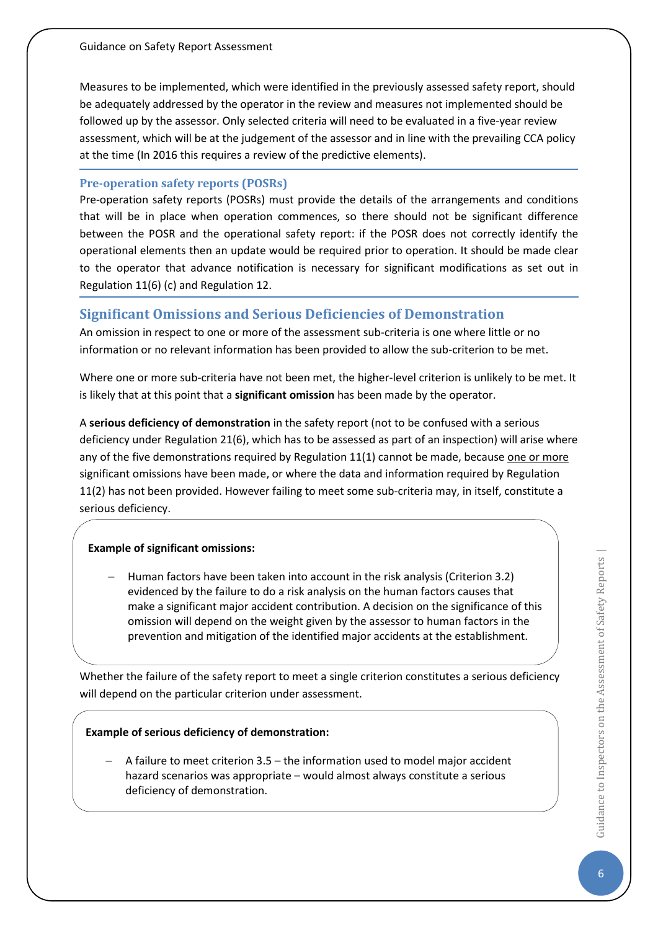Measures to be implemented, which were identified in the previously assessed safety report, should be adequately addressed by the operator in the review and measures not implemented should be followed up by the assessor. Only selected criteria will need to be evaluated in a five-year review assessment, which will be at the judgement of the assessor and in line with the prevailing CCA policy at the time (In 2016 this requires a review of the predictive elements).

#### <span id="page-6-0"></span>**Pre-operation safety reports (POSRs)**

Pre-operation safety reports (POSRs) must provide the details of the arrangements and conditions that will be in place when operation commences, so there should not be significant difference between the POSR and the operational safety report: if the POSR does not correctly identify the operational elements then an update would be required prior to operation. It should be made clear to the operator that advance notification is necessary for significant modifications as set out in Regulation 11(6) (c) and Regulation 12.

## <span id="page-6-1"></span>**Significant Omissions and Serious Deficiencies of Demonstration**

An omission in respect to one or more of the assessment sub-criteria is one where little or no information or no relevant information has been provided to allow the sub-criterion to be met.

Where one or more sub-criteria have not been met, the higher-level criterion is unlikely to be met. It is likely that at this point that a **significant omission** has been made by the operator.

A **serious deficiency of demonstration** in the safety report (not to be confused with a serious deficiency under Regulation 21(6), which has to be assessed as part of an inspection) will arise where any of the five demonstrations required by Regulation 11(1) cannot be made, because one or more significant omissions have been made, or where the data and information required by Regulation 11(2) has not been provided. However failing to meet some sub-criteria may, in itself, constitute a serious deficiency.

## **Example of significant omissions:**

− Human factors have been taken into account in the risk analysis (Criterion 3.2) evidenced by the failure to do a risk analysis on the human factors causes that make a significant major accident contribution. A decision on the significance of this omission will depend on the weight given by the assessor to human factors in the prevention and mitigation of the identified major accidents at the establishment.

Whether the failure of the safety report to meet a single criterion constitutes a serious deficiency will depend on the particular criterion under assessment.

## **Example of serious deficiency of demonstration:**

− A failure to meet criterion 3.5 – the information used to model major accident hazard scenarios was appropriate – would almost always constitute a serious deficiency of demonstration.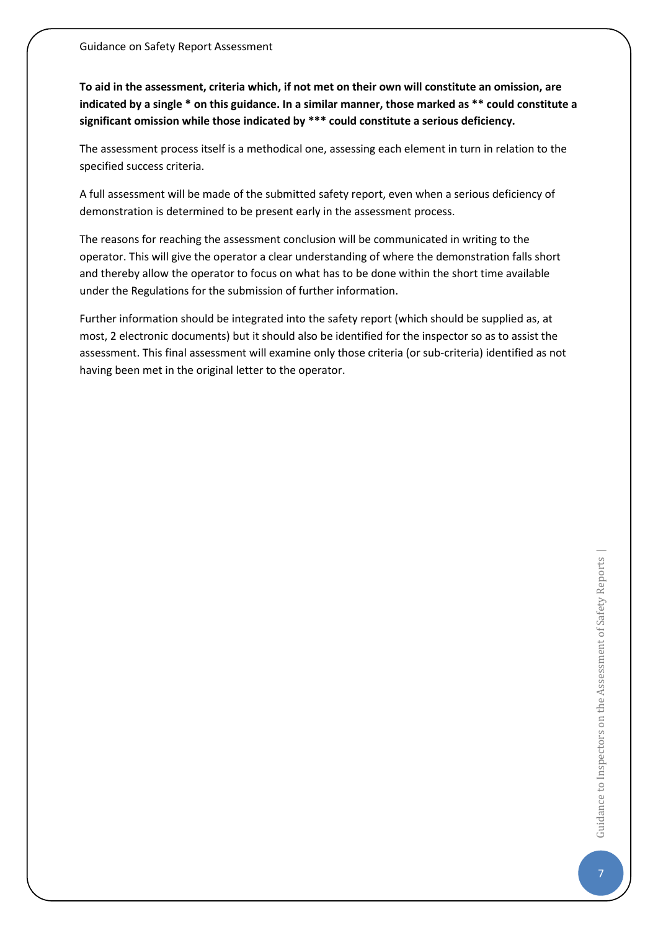**To aid in the assessment, criteria which, if not met on their own will constitute an omission, are indicated by a single \* on this guidance. In a similar manner, those marked as \*\* could constitute a significant omission while those indicated by \*\*\* could constitute a serious deficiency.** 

The assessment process itself is a methodical one, assessing each element in turn in relation to the specified success criteria.

A full assessment will be made of the submitted safety report, even when a serious deficiency of demonstration is determined to be present early in the assessment process.

The reasons for reaching the assessment conclusion will be communicated in writing to the operator. This will give the operator a clear understanding of where the demonstration falls short and thereby allow the operator to focus on what has to be done within the short time available under the Regulations for the submission of further information.

Further information should be integrated into the safety report (which should be supplied as, at most, 2 electronic documents) but it should also be identified for the inspector so as to assist the assessment. This final assessment will examine only those criteria (or sub-criteria) identified as not having been met in the original letter to the operator.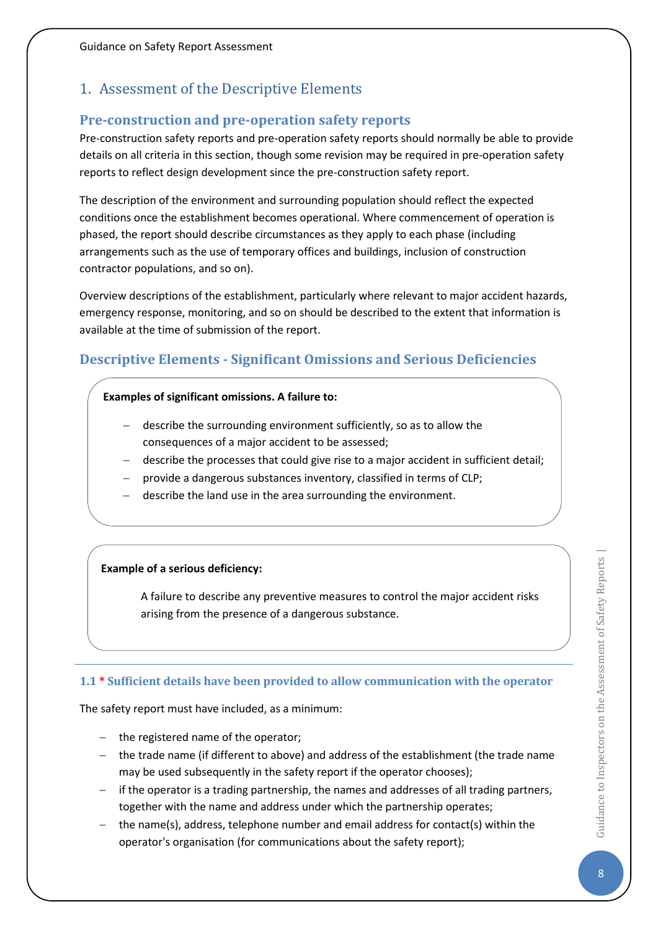## <span id="page-8-0"></span>1. Assessment of the Descriptive Elements

## <span id="page-8-1"></span>**Pre-construction and pre-operation safety reports**

Pre-construction safety reports and pre-operation safety reports should normally be able to provide details on all criteria in this section, though some revision may be required in pre-operation safety reports to reflect design development since the pre-construction safety report.

The description of the environment and surrounding population should reflect the expected conditions once the establishment becomes operational. Where commencement of operation is phased, the report should describe circumstances as they apply to each phase (including arrangements such as the use of temporary offices and buildings, inclusion of construction contractor populations, and so on).

Overview descriptions of the establishment, particularly where relevant to major accident hazards, emergency response, monitoring, and so on should be described to the extent that information is available at the time of submission of the report.

## <span id="page-8-2"></span>**Descriptive Elements - Significant Omissions and Serious Deficiencies**

#### **Examples of significant omissions. A failure to:**

- − describe the surrounding environment sufficiently, so as to allow the consequences of a major accident to be assessed;
- − describe the processes that could give rise to a major accident in sufficient detail;
- − provide a dangerous substances inventory, classified in terms of CLP;
- describe the land use in the area surrounding the environment.

## **Example of a serious deficiency:**

A failure to describe any preventive measures to control the major accident risks arising from the presence of a dangerous substance.

## <span id="page-8-3"></span>**1.1 \* Sufficient details have been provided to allow communication with the operator**

The safety report must have included, as a minimum:

- − the registered name of the operator;
- − the trade name (if different to above) and address of the establishment (the trade name may be used subsequently in the safety report if the operator chooses);
- − if the operator is a trading partnership, the names and addresses of all trading partners, together with the name and address under which the partnership operates;
- − the name(s), address, telephone number and email address for contact(s) within the operator's organisation (for communications about the safety report);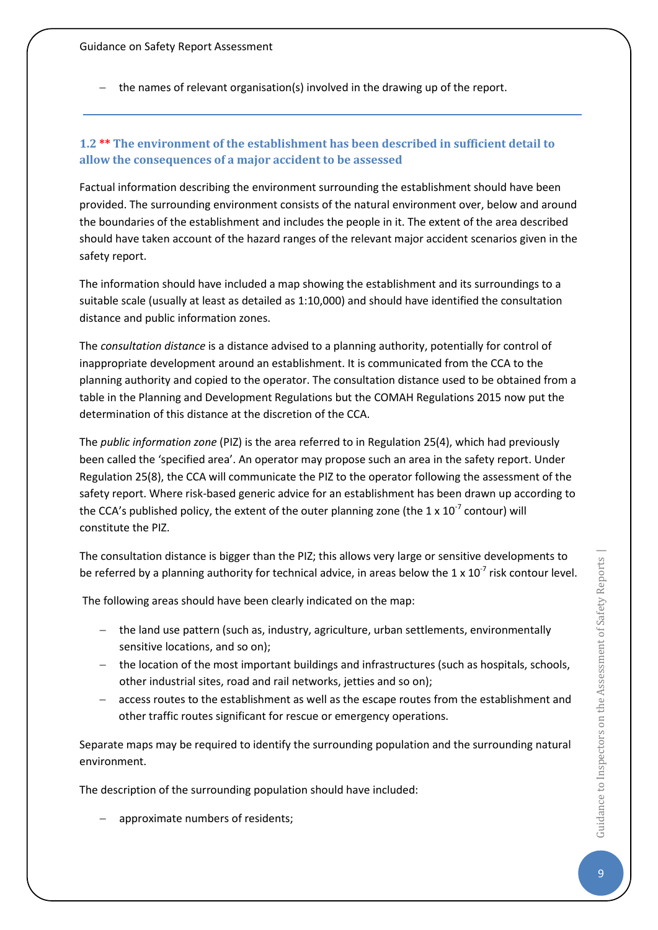− the names of relevant organisation(s) involved in the drawing up of the report.

## <span id="page-9-0"></span>**1.2 \*\* The environment of the establishment has been described in sufficient detail to allow the consequences of a major accident to be assessed**

Factual information describing the environment surrounding the establishment should have been provided. The surrounding environment consists of the natural environment over, below and around the boundaries of the establishment and includes the people in it. The extent of the area described should have taken account of the hazard ranges of the relevant major accident scenarios given in the safety report.

The information should have included a map showing the establishment and its surroundings to a suitable scale (usually at least as detailed as 1:10,000) and should have identified the consultation distance and public information zones.

The *consultation distance* is a distance advised to a planning authority, potentially for control of inappropriate development around an establishment. It is communicated from the CCA to the planning authority and copied to the operator. The consultation distance used to be obtained from a table in the Planning and Development Regulations but the COMAH Regulations 2015 now put the determination of this distance at the discretion of the CCA.

The *public information zone* (PIZ) is the area referred to in Regulation 25(4), which had previously been called the 'specified area'. An operator may propose such an area in the safety report. Under Regulation 25(8), the CCA will communicate the PIZ to the operator following the assessment of the safety report. Where risk-based generic advice for an establishment has been drawn up according to the CCA's published policy, the extent of the outer planning zone (the 1 x  $10^{-7}$  contour) will constitute the PIZ.

The consultation distance is bigger than the PIZ; this allows very large or sensitive developments to be referred by a planning authority for technical advice, in areas below the 1 x  $10^{-7}$  risk contour level.

The following areas should have been clearly indicated on the map:

- − the land use pattern (such as, industry, agriculture, urban settlements, environmentally sensitive locations, and so on);
- − the location of the most important buildings and infrastructures (such as hospitals, schools, other industrial sites, road and rail networks, jetties and so on);
- − access routes to the establishment as well as the escape routes from the establishment and other traffic routes significant for rescue or emergency operations.

Separate maps may be required to identify the surrounding population and the surrounding natural environment.

The description of the surrounding population should have included:

approximate numbers of residents;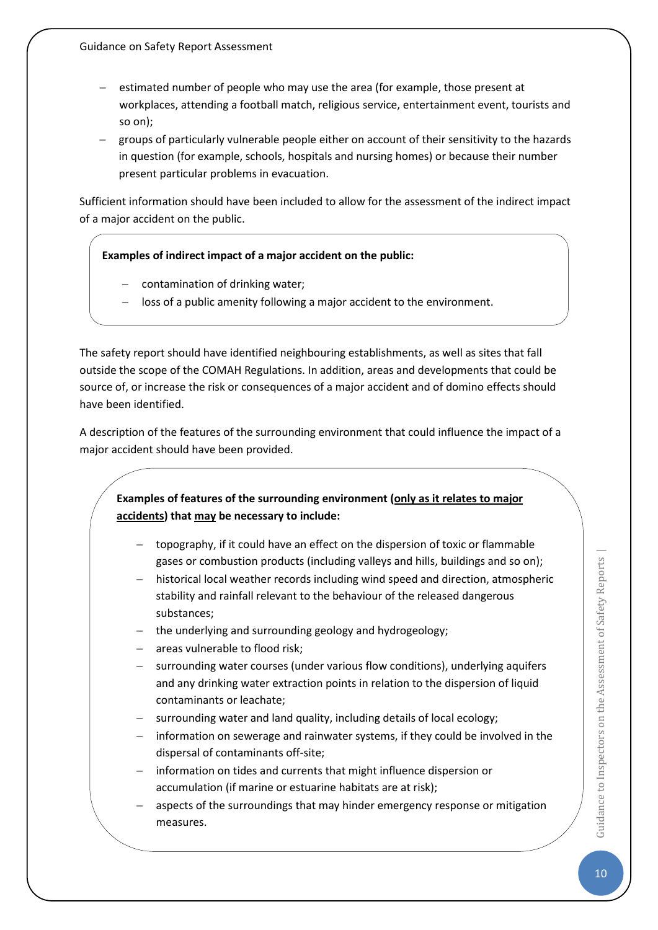- estimated number of people who may use the area (for example, those present at workplaces, attending a football match, religious service, entertainment event, tourists and so on);
- − groups of particularly vulnerable people either on account of their sensitivity to the hazards in question (for example, schools, hospitals and nursing homes) or because their number present particular problems in evacuation.

Sufficient information should have been included to allow for the assessment of the indirect impact of a major accident on the public.

#### **Examples of indirect impact of a major accident on the public:**

- − contamination of drinking water;
- loss of a public amenity following a major accident to the environment.

The safety report should have identified neighbouring establishments, as well as sites that fall outside the scope of the COMAH Regulations. In addition, areas and developments that could be source of, or increase the risk or consequences of a major accident and of domino effects should have been identified.

A description of the features of the surrounding environment that could influence the impact of a major accident should have been provided.

## **Examples of features of the surrounding environment (only as it relates to major accidents) that may be necessary to include:**

- − topography, if it could have an effect on the dispersion of toxic or flammable gases or combustion products (including valleys and hills, buildings and so on);
- historical local weather records including wind speed and direction, atmospheric stability and rainfall relevant to the behaviour of the released dangerous substances;
- the underlying and surrounding geology and hydrogeology;
- − areas vulnerable to flood risk;
- − surrounding water courses (under various flow conditions), underlying aquifers and any drinking water extraction points in relation to the dispersion of liquid contaminants or leachate;
- surrounding water and land quality, including details of local ecology;
- information on sewerage and rainwater systems, if they could be involved in the dispersal of contaminants off-site;
- information on tides and currents that might influence dispersion or accumulation (if marine or estuarine habitats are at risk);
- aspects of the surroundings that may hinder emergency response or mitigation measures.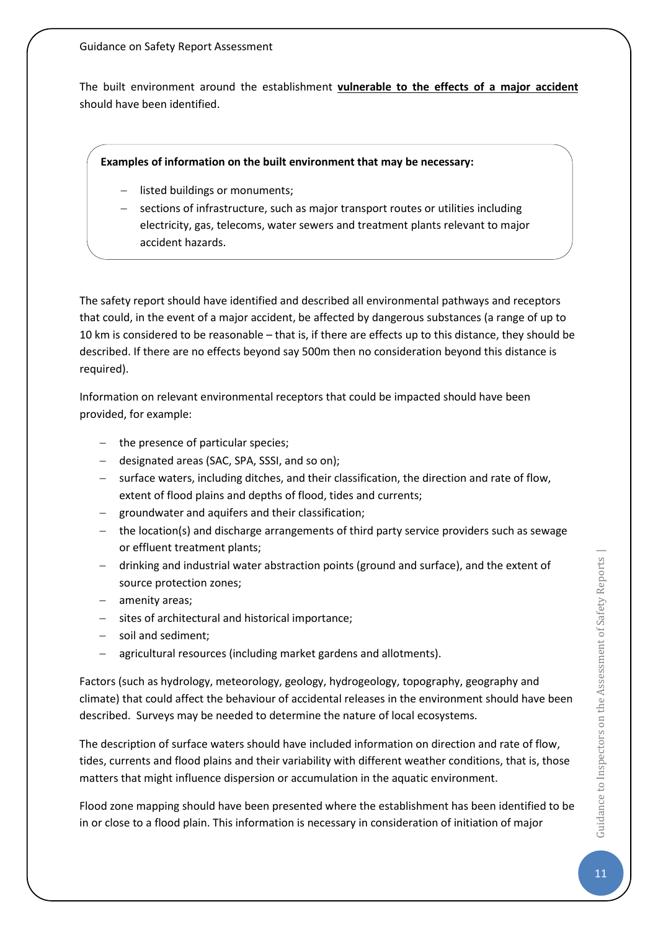The built environment around the establishment **vulnerable to the effects of a major accident** should have been identified.

#### **Examples of information on the built environment that may be necessary:**

- − listed buildings or monuments;
- − sections of infrastructure, such as major transport routes or utilities including electricity, gas, telecoms, water sewers and treatment plants relevant to major accident hazards.

The safety report should have identified and described all environmental pathways and receptors that could, in the event of a major accident, be affected by dangerous substances (a range of up to 10 km is considered to be reasonable – that is, if there are effects up to this distance, they should be described. If there are no effects beyond say 500m then no consideration beyond this distance is required).

Information on relevant environmental receptors that could be impacted should have been provided, for example:

- − the presence of particular species;
- − designated areas (SAC, SPA, SSSI, and so on);
- − surface waters, including ditches, and their classification, the direction and rate of flow, extent of flood plains and depths of flood, tides and currents;
- − groundwater and aquifers and their classification;
- − the location(s) and discharge arrangements of third party service providers such as sewage or effluent treatment plants;
- − drinking and industrial water abstraction points (ground and surface), and the extent of source protection zones;
- − amenity areas;
- − sites of architectural and historical importance;
- − soil and sediment;
- − agricultural resources (including market gardens and allotments).

Factors (such as hydrology, meteorology, geology, hydrogeology, topography, geography and climate) that could affect the behaviour of accidental releases in the environment should have been described. Surveys may be needed to determine the nature of local ecosystems.

The description of surface waters should have included information on direction and rate of flow, tides, currents and flood plains and their variability with different weather conditions, that is, those matters that might influence dispersion or accumulation in the aquatic environment.

Flood zone mapping should have been presented where the establishment has been identified to be in or close to a flood plain. This information is necessary in consideration of initiation of major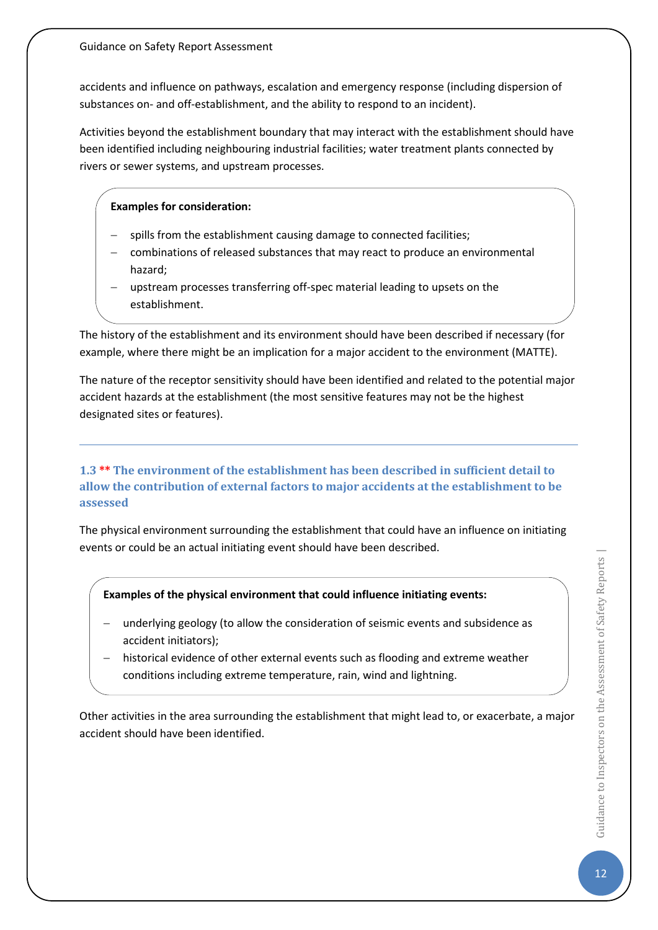accidents and influence on pathways, escalation and emergency response (including dispersion of substances on- and off-establishment, and the ability to respond to an incident).

Activities beyond the establishment boundary that may interact with the establishment should have been identified including neighbouring industrial facilities; water treatment plants connected by rivers or sewer systems, and upstream processes.

### **Examples for consideration:**

- spills from the establishment causing damage to connected facilities;
- combinations of released substances that may react to produce an environmental hazard;
- upstream processes transferring off-spec material leading to upsets on the establishment.

The history of the establishment and its environment should have been described if necessary (for example, where there might be an implication for a major accident to the environment (MATTE).

The nature of the receptor sensitivity should have been identified and related to the potential major accident hazards at the establishment (the most sensitive features may not be the highest designated sites or features).

## <span id="page-12-0"></span>**1.3 \*\* The environment of the establishment has been described in sufficient detail to allow the contribution of external factors to major accidents at the establishment to be assessed**

The physical environment surrounding the establishment that could have an influence on initiating events or could be an actual initiating event should have been described.

**Examples of the physical environment that could influence initiating events:**

- − underlying geology (to allow the consideration of seismic events and subsidence as accident initiators);
- historical evidence of other external events such as flooding and extreme weather conditions including extreme temperature, rain, wind and lightning.

Other activities in the area surrounding the establishment that might lead to, or exacerbate, a major accident should have been identified.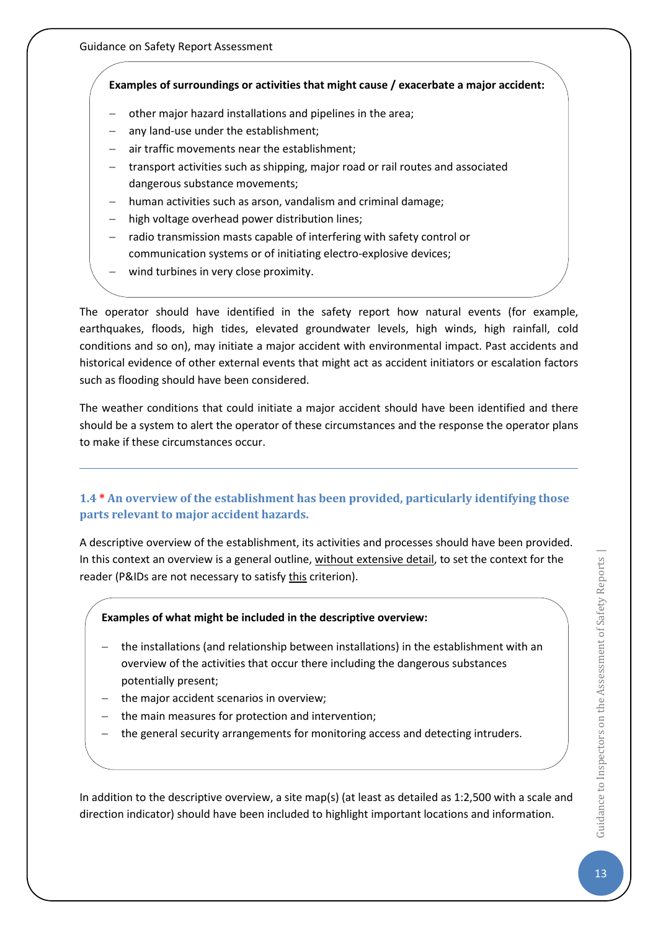## **Examples of surroundings or activities that might cause / exacerbate a major accident:**

- other major hazard installations and pipelines in the area;
- any land-use under the establishment;
- air traffic movements near the establishment;
- − transport activities such as shipping, major road or rail routes and associated dangerous substance movements;
- human activities such as arson, vandalism and criminal damage;
- high voltage overhead power distribution lines;
- − radio transmission masts capable of interfering with safety control or communication systems or of initiating electro-explosive devices;
- wind turbines in very close proximity.

The operator should have identified in the safety report how natural events (for example, earthquakes, floods, high tides, elevated groundwater levels, high winds, high rainfall, cold conditions and so on), may initiate a major accident with environmental impact. Past accidents and historical evidence of other external events that might act as accident initiators or escalation factors such as flooding should have been considered.

The weather conditions that could initiate a major accident should have been identified and there should be a system to alert the operator of these circumstances and the response the operator plans to make if these circumstances occur.

## <span id="page-13-0"></span>**1.4 \* An overview of the establishment has been provided, particularly identifying those parts relevant to major accident hazards.**

A descriptive overview of the establishment, its activities and processes should have been provided. In this context an overview is a general outline, without extensive detail, to set the context for the reader (P&IDs are not necessary to satisfy this criterion).

## **Examples of what might be included in the descriptive overview:**

- − the installations (and relationship between installations) in the establishment with an overview of the activities that occur there including the dangerous substances potentially present;
- the major accident scenarios in overview;
- − the main measures for protection and intervention;
- the general security arrangements for monitoring access and detecting intruders.

In addition to the descriptive overview, a site map(s) (at least as detailed as 1:2,500 with a scale and direction indicator) should have been included to highlight important locations and information.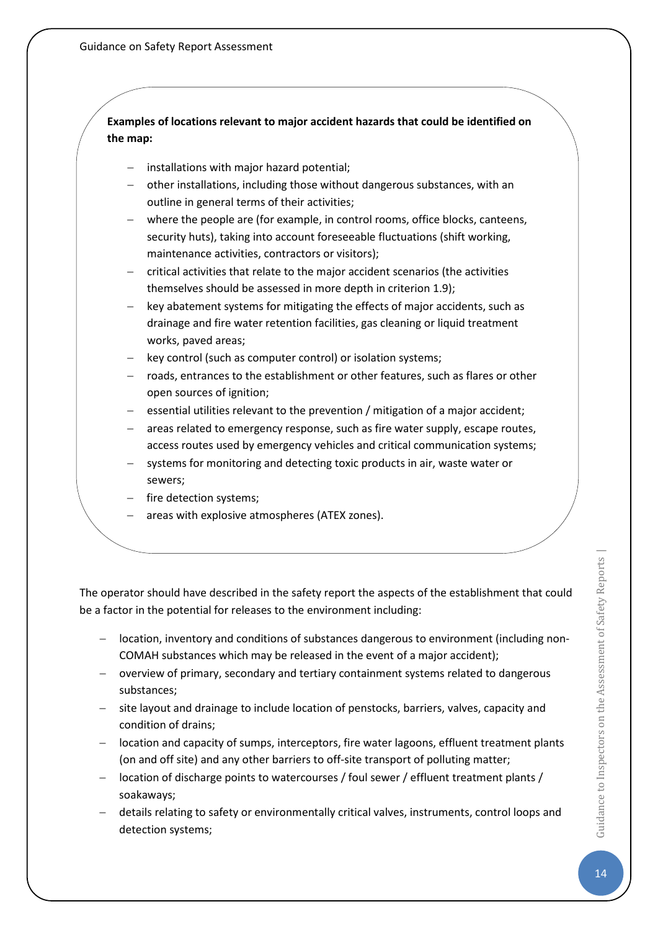**Examples of locations relevant to major accident hazards that could be identified on the map:**

- − installations with major hazard potential;
- − other installations, including those without dangerous substances, with an outline in general terms of their activities;
- − where the people are (for example, in control rooms, office blocks, canteens, security huts), taking into account foreseeable fluctuations (shift working, maintenance activities, contractors or visitors);
- critical activities that relate to the major accident scenarios (the activities themselves should be assessed in more depth in criterion 1.9);
- − key abatement systems for mitigating the effects of major accidents, such as drainage and fire water retention facilities, gas cleaning or liquid treatment works, paved areas;
- key control (such as computer control) or isolation systems;
- − roads, entrances to the establishment or other features, such as flares or other open sources of ignition;
- essential utilities relevant to the prevention / mitigation of a major accident;
- areas related to emergency response, such as fire water supply, escape routes, access routes used by emergency vehicles and critical communication systems;
- − systems for monitoring and detecting toxic products in air, waste water or sewers;
- fire detection systems;
- − areas with explosive atmospheres (ATEX zones).

The operator should have described in the safety report the aspects of the establishment that could be a factor in the potential for releases to the environment including:

- − location, inventory and conditions of substances dangerous to environment (including non-COMAH substances which may be released in the event of a major accident);
- − overview of primary, secondary and tertiary containment systems related to dangerous substances;
- − site layout and drainage to include location of penstocks, barriers, valves, capacity and condition of drains;
- − location and capacity of sumps, interceptors, fire water lagoons, effluent treatment plants (on and off site) and any other barriers to off-site transport of polluting matter;
- − location of discharge points to watercourses / foul sewer / effluent treatment plants / soakaways;
- details relating to safety or environmentally critical valves, instruments, control loops and detection systems;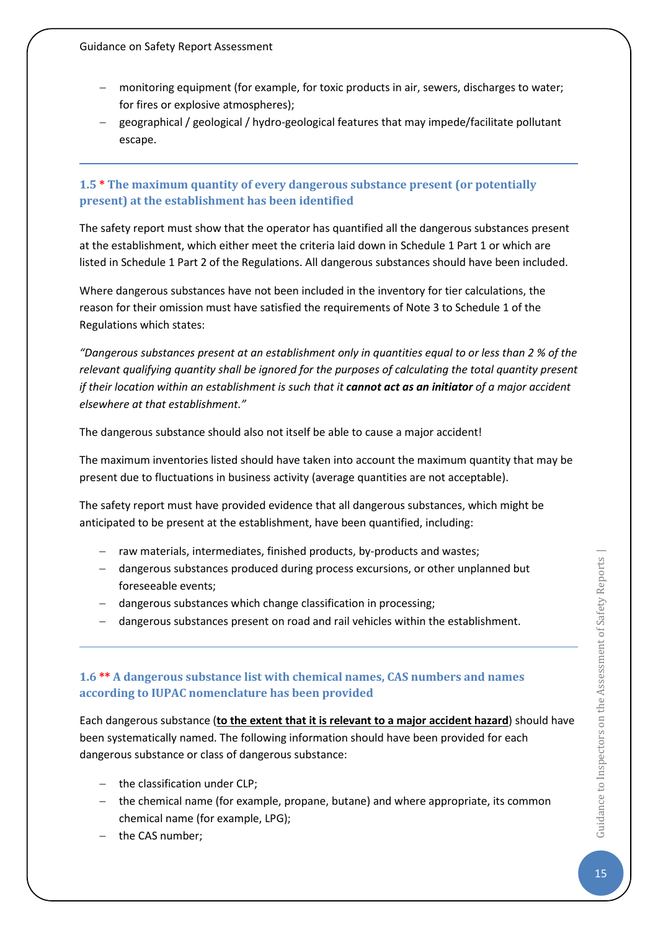- monitoring equipment (for example, for toxic products in air, sewers, discharges to water; for fires or explosive atmospheres);
- − geographical / geological / hydro-geological features that may impede/facilitate pollutant escape.

## <span id="page-15-0"></span>**1.5 \* The maximum quantity of every dangerous substance present (or potentially present) at the establishment has been identified**

The safety report must show that the operator has quantified all the dangerous substances present at the establishment, which either meet the criteria laid down in Schedule 1 Part 1 or which are listed in Schedule 1 Part 2 of the Regulations. All dangerous substances should have been included.

Where dangerous substances have not been included in the inventory for tier calculations, the reason for their omission must have satisfied the requirements of Note 3 to Schedule 1 of the Regulations which states:

*"Dangerous substances present at an establishment only in quantities equal to or less than 2 % of the relevant qualifying quantity shall be ignored for the purposes of calculating the total quantity present if their location within an establishment is such that it cannot act as an initiator of a major accident elsewhere at that establishment."*

The dangerous substance should also not itself be able to cause a major accident!

The maximum inventories listed should have taken into account the maximum quantity that may be present due to fluctuations in business activity (average quantities are not acceptable).

The safety report must have provided evidence that all dangerous substances, which might be anticipated to be present at the establishment, have been quantified, including:

- − raw materials, intermediates, finished products, by-products and wastes;
- − dangerous substances produced during process excursions, or other unplanned but foreseeable events;
- − dangerous substances which change classification in processing;
- − dangerous substances present on road and rail vehicles within the establishment.

## <span id="page-15-1"></span>**1.6 \*\* A dangerous substance list with chemical names, CAS numbers and names according to IUPAC nomenclature has been provided**

Each dangerous substance (**to the extent that it is relevant to a major accident hazard**) should have been systematically named. The following information should have been provided for each dangerous substance or class of dangerous substance:

- − the classification under CLP;
- − the chemical name (for example, propane, butane) and where appropriate, its common chemical name (for example, LPG);
- − the CAS number;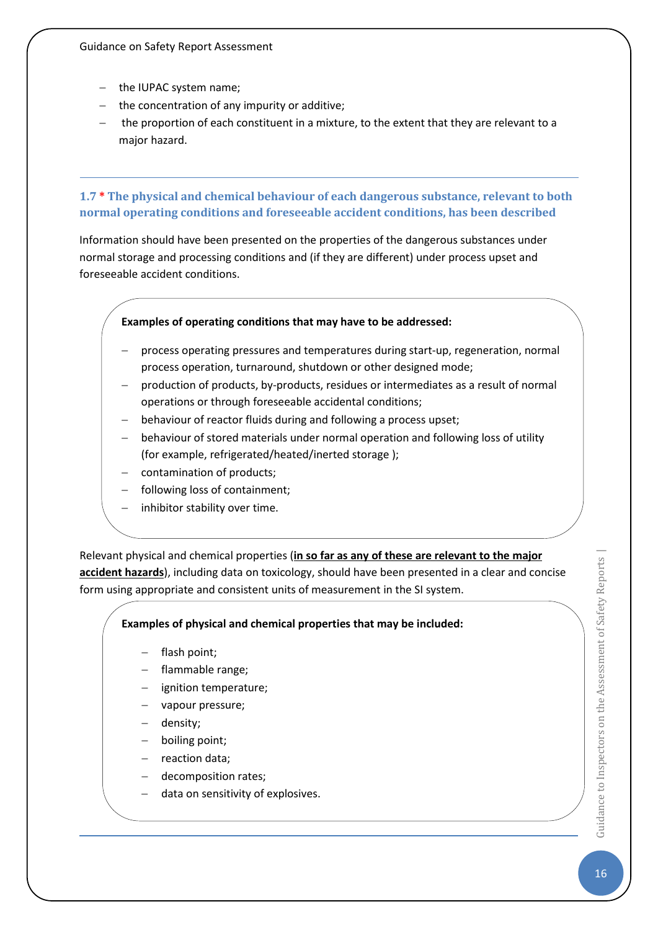- − the IUPAC system name;
- − the concentration of any impurity or additive;
- the proportion of each constituent in a mixture, to the extent that they are relevant to a major hazard.

## <span id="page-16-0"></span>**1.7 \* The physical and chemical behaviour of each dangerous substance, relevant to both normal operating conditions and foreseeable accident conditions, has been described**

Information should have been presented on the properties of the dangerous substances under normal storage and processing conditions and (if they are different) under process upset and foreseeable accident conditions.

#### **Examples of operating conditions that may have to be addressed:**

- − process operating pressures and temperatures during start-up, regeneration, normal process operation, turnaround, shutdown or other designed mode;
- − production of products, by-products, residues or intermediates as a result of normal operations or through foreseeable accidental conditions;
- behaviour of reactor fluids during and following a process upset;
- behaviour of stored materials under normal operation and following loss of utility (for example, refrigerated/heated/inerted storage );
- contamination of products;
- following loss of containment;
- inhibitor stability over time.

Relevant physical and chemical properties (**in so far as any of these are relevant to the major accident hazards**), including data on toxicology, should have been presented in a clear and concise form using appropriate and consistent units of measurement in the SI system.

#### **Examples of physical and chemical properties that may be included:**

- flash point;
- − flammable range;
- ignition temperature;
- vapour pressure;
- − density;
- boiling point;
- − reaction data;
- − decomposition rates;
- − data on sensitivity of explosives.

 $\overrightarrow{6}$  Guidance to Inspectors on the Assessment of Safety Reports | Guidance to Inspectors on the Assessment of Safety Reports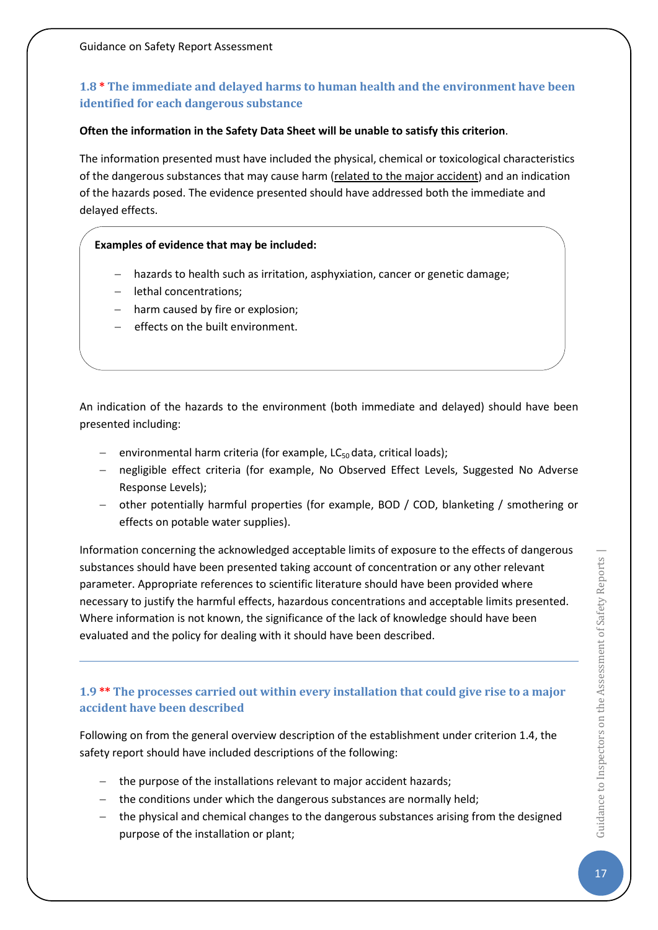## <span id="page-17-0"></span>**1.8 \* The immediate and delayed harms to human health and the environment have been identified for each dangerous substance**

#### **Often the information in the Safety Data Sheet will be unable to satisfy this criterion**.

The information presented must have included the physical, chemical or toxicological characteristics of the dangerous substances that may cause harm (related to the major accident) and an indication of the hazards posed. The evidence presented should have addressed both the immediate and delayed effects.

#### **Examples of evidence that may be included:**

- − hazards to health such as irritation, asphyxiation, cancer or genetic damage;
- − lethal concentrations;
- − harm caused by fire or explosion;
- − effects on the built environment.

An indication of the hazards to the environment (both immediate and delayed) should have been presented including:

- environmental harm criteria (for example, LC<sub>50</sub> data, critical loads);
- negligible effect criteria (for example, No Observed Effect Levels, Suggested No Adverse Response Levels);
- − other potentially harmful properties (for example, BOD / COD, blanketing / smothering or effects on potable water supplies).

Information concerning the acknowledged acceptable limits of exposure to the effects of dangerous substances should have been presented taking account of concentration or any other relevant parameter. Appropriate references to scientific literature should have been provided where necessary to justify the harmful effects, hazardous concentrations and acceptable limits presented. Where information is not known, the significance of the lack of knowledge should have been evaluated and the policy for dealing with it should have been described.

## <span id="page-17-1"></span>**1.9 \*\* The processes carried out within every installation that could give rise to a major accident have been described**

Following on from the general overview description of the establishment under criterion 1.4, the safety report should have included descriptions of the following:

- − the purpose of the installations relevant to major accident hazards;
- − the conditions under which the dangerous substances are normally held;
- − the physical and chemical changes to the dangerous substances arising from the designed purpose of the installation or plant;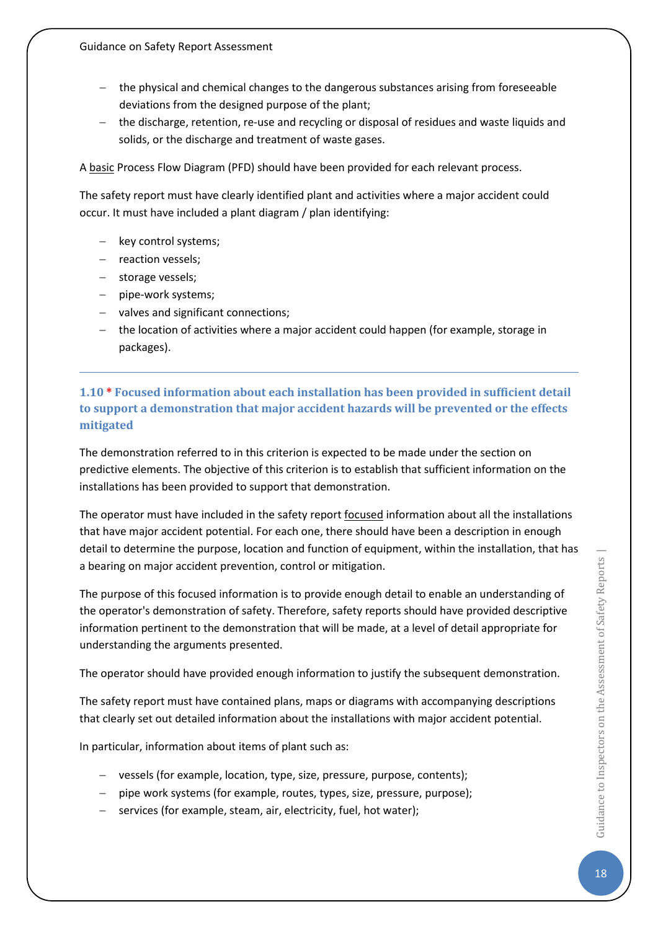- − the physical and chemical changes to the dangerous substances arising from foreseeable deviations from the designed purpose of the plant;
- − the discharge, retention, re-use and recycling or disposal of residues and waste liquids and solids, or the discharge and treatment of waste gases.

A basic Process Flow Diagram (PFD) should have been provided for each relevant process.

The safety report must have clearly identified plant and activities where a major accident could occur. It must have included a plant diagram / plan identifying:

- − key control systems;
- − reaction vessels;
- − storage vessels;
- − pipe-work systems;
- − valves and significant connections;
- − the location of activities where a major accident could happen (for example, storage in packages).

## <span id="page-18-0"></span>**1.10 \* Focused information about each installation has been provided in sufficient detail to support a demonstration that major accident hazards will be prevented or the effects mitigated**

The demonstration referred to in this criterion is expected to be made under the section on predictive elements. The objective of this criterion is to establish that sufficient information on the installations has been provided to support that demonstration.

The operator must have included in the safety report focused information about all the installations that have major accident potential. For each one, there should have been a description in enough detail to determine the purpose, location and function of equipment, within the installation, that has a bearing on major accident prevention, control or mitigation.

The purpose of this focused information is to provide enough detail to enable an understanding of the operator's demonstration of safety. Therefore, safety reports should have provided descriptive information pertinent to the demonstration that will be made, at a level of detail appropriate for understanding the arguments presented.

The operator should have provided enough information to justify the subsequent demonstration.

The safety report must have contained plans, maps or diagrams with accompanying descriptions that clearly set out detailed information about the installations with major accident potential.

In particular, information about items of plant such as:

- − vessels (for example, location, type, size, pressure, purpose, contents);
- − pipe work systems (for example, routes, types, size, pressure, purpose);
- services (for example, steam, air, electricity, fuel, hot water);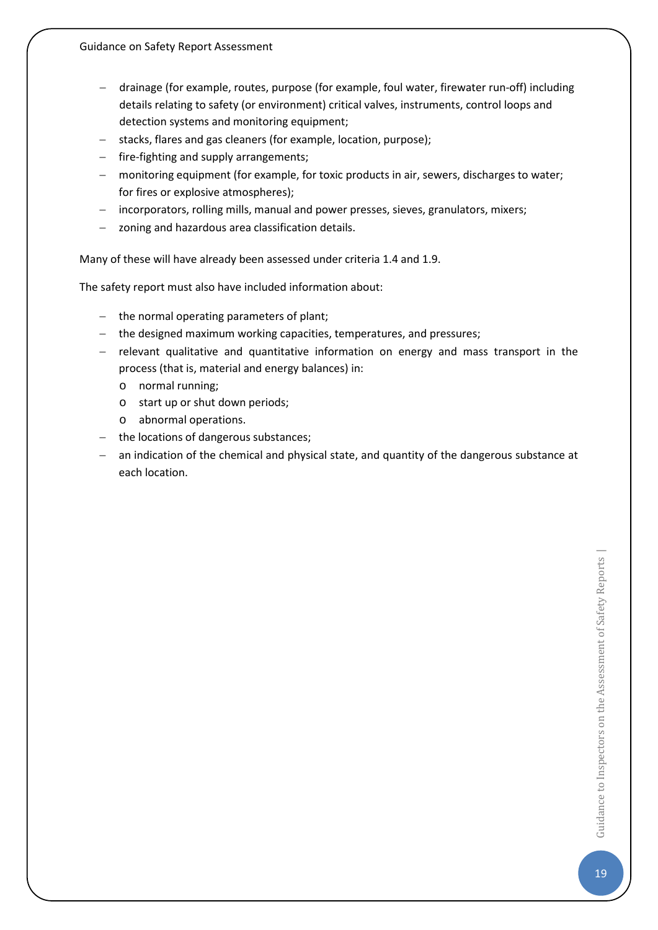- − drainage (for example, routes, purpose (for example, foul water, firewater run-off) including details relating to safety (or environment) critical valves, instruments, control loops and detection systems and monitoring equipment;
- − stacks, flares and gas cleaners (for example, location, purpose);
- − fire-fighting and supply arrangements;
- − monitoring equipment (for example, for toxic products in air, sewers, discharges to water; for fires or explosive atmospheres);
- − incorporators, rolling mills, manual and power presses, sieves, granulators, mixers;
- − zoning and hazardous area classification details.

Many of these will have already been assessed under criteria 1.4 and 1.9.

The safety report must also have included information about:

- − the normal operating parameters of plant;
- − the designed maximum working capacities, temperatures, and pressures;
- − relevant qualitative and quantitative information on energy and mass transport in the process (that is, material and energy balances) in:
	- o normal running;
	- o start up or shut down periods;
	- o abnormal operations.
- − the locations of dangerous substances;
- an indication of the chemical and physical state, and quantity of the dangerous substance at each location.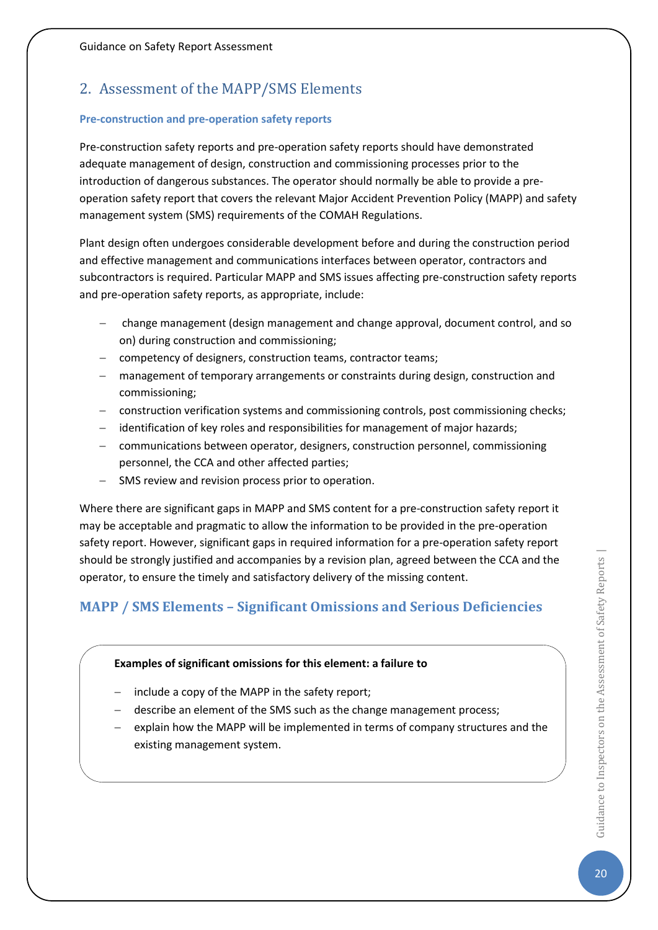## <span id="page-20-0"></span>2. Assessment of the MAPP/SMS Elements

#### **Pre-construction and pre-operation safety reports**

Pre-construction safety reports and pre-operation safety reports should have demonstrated adequate management of design, construction and commissioning processes prior to the introduction of dangerous substances. The operator should normally be able to provide a preoperation safety report that covers the relevant Major Accident Prevention Policy (MAPP) and safety management system (SMS) requirements of the COMAH Regulations.

Plant design often undergoes considerable development before and during the construction period and effective management and communications interfaces between operator, contractors and subcontractors is required. Particular MAPP and SMS issues affecting pre-construction safety reports and pre-operation safety reports, as appropriate, include:

- − change management (design management and change approval, document control, and so on) during construction and commissioning;
- − competency of designers, construction teams, contractor teams;
- − management of temporary arrangements or constraints during design, construction and commissioning;
- − construction verification systems and commissioning controls, post commissioning checks;
- − identification of key roles and responsibilities for management of major hazards;
- − communications between operator, designers, construction personnel, commissioning personnel, the CCA and other affected parties;
- − SMS review and revision process prior to operation.

Where there are significant gaps in MAPP and SMS content for a pre-construction safety report it may be acceptable and pragmatic to allow the information to be provided in the pre-operation safety report. However, significant gaps in required information for a pre-operation safety report should be strongly justified and accompanies by a revision plan, agreed between the CCA and the operator, to ensure the timely and satisfactory delivery of the missing content.

## <span id="page-20-1"></span>**MAPP / SMS Elements – Significant Omissions and Serious Deficiencies**

#### **Examples of significant omissions for this element: a failure to**

- − include a copy of the MAPP in the safety report;
- − describe an element of the SMS such as the change management process;
- explain how the MAPP will be implemented in terms of company structures and the existing management system.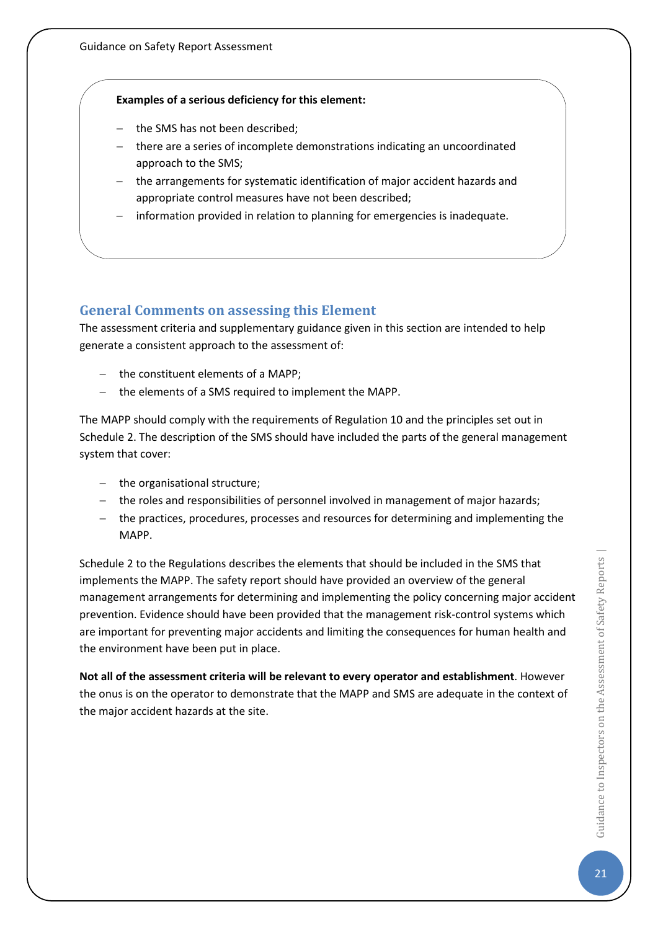#### **Examples of a serious deficiency for this element:**

- − the SMS has not been described;
- − there are a series of incomplete demonstrations indicating an uncoordinated approach to the SMS;
- − the arrangements for systematic identification of major accident hazards and appropriate control measures have not been described;
- information provided in relation to planning for emergencies is inadequate.

## <span id="page-21-0"></span>**General Comments on assessing this Element**

The assessment criteria and supplementary guidance given in this section are intended to help generate a consistent approach to the assessment of:

- − the constituent elements of a MAPP;
- − the elements of a SMS required to implement the MAPP.

The MAPP should comply with the requirements of Regulation 10 and the principles set out in Schedule 2. The description of the SMS should have included the parts of the general management system that cover:

- − the organisational structure;
- − the roles and responsibilities of personnel involved in management of major hazards;
- − the practices, procedures, processes and resources for determining and implementing the MAPP.

Schedule 2 to the Regulations describes the elements that should be included in the SMS that implements the MAPP. The safety report should have provided an overview of the general management arrangements for determining and implementing the policy concerning major accident prevention. Evidence should have been provided that the management risk-control systems which are important for preventing major accidents and limiting the consequences for human health and the environment have been put in place.

**Not all of the assessment criteria will be relevant to every operator and establishment**. However the onus is on the operator to demonstrate that the MAPP and SMS are adequate in the context of the major accident hazards at the site.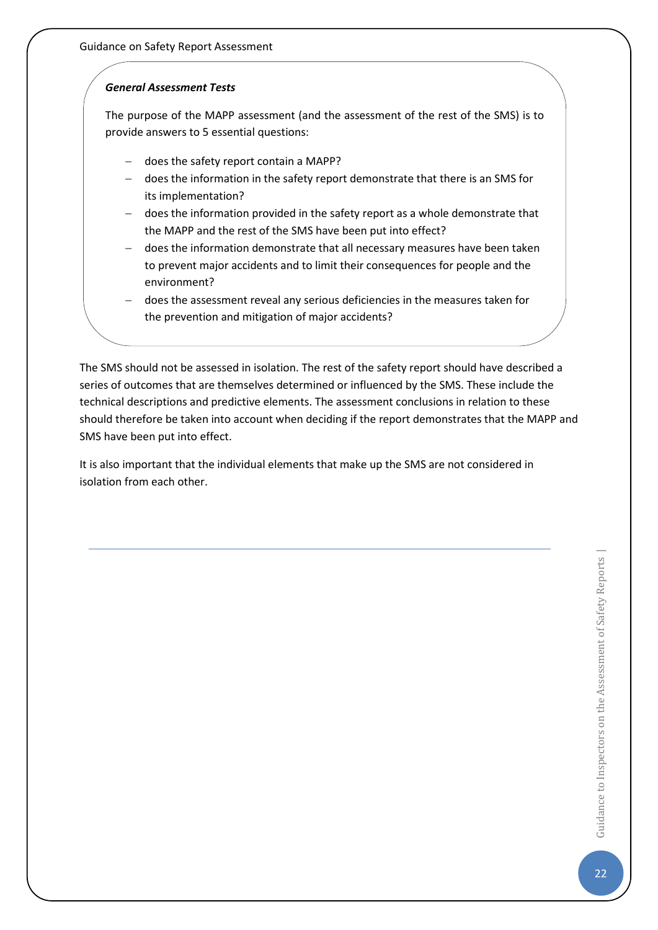Guidance on Safety Report Assessment

#### *General Assessment Tests*

The purpose of the MAPP assessment (and the assessment of the rest of the SMS) is to provide answers to 5 essential questions:

- − does the safety report contain a MAPP?
- − does the information in the safety report demonstrate that there is an SMS for its implementation?
- − does the information provided in the safety report as a whole demonstrate that the MAPP and the rest of the SMS have been put into effect?
- − does the information demonstrate that all necessary measures have been taken to prevent major accidents and to limit their consequences for people and the environment?
- − does the assessment reveal any serious deficiencies in the measures taken for the prevention and mitigation of major accidents?

The SMS should not be assessed in isolation. The rest of the safety report should have described a series of outcomes that are themselves determined or influenced by the SMS. These include the technical descriptions and predictive elements. The assessment conclusions in relation to these should therefore be taken into account when deciding if the report demonstrates that the MAPP and SMS have been put into effect.

It is also important that the individual elements that make up the SMS are not considered in isolation from each other.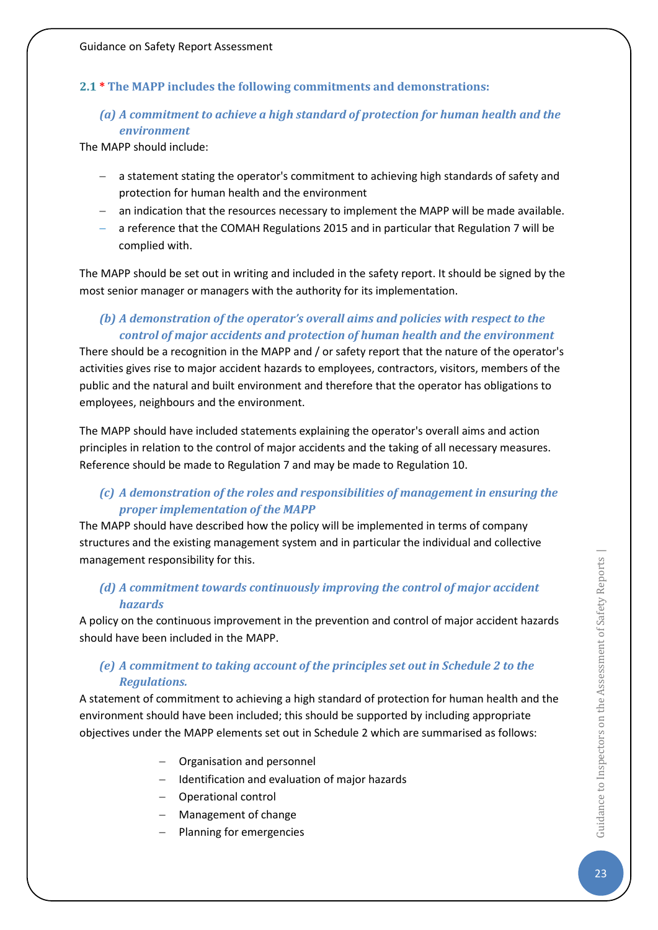### <span id="page-23-0"></span>**2.1 \* The MAPP includes the following commitments and demonstrations:**

## *(a) A commitment to achieve a high standard of protection for human health and the environment*

The MAPP should include:

- − a statement stating the operator's commitment to achieving high standards of safety and protection for human health and the environment
- − an indication that the resources necessary to implement the MAPP will be made available.
- − a reference that the COMAH Regulations 2015 and in particular that Regulation 7 will be complied with.

The MAPP should be set out in writing and included in the safety report. It should be signed by the most senior manager or managers with the authority for its implementation.

## *(b) A demonstration of the operator's overall aims and policies with respect to the control of major accidents and protection of human health and the environment*

There should be a recognition in the MAPP and / or safety report that the nature of the operator's activities gives rise to major accident hazards to employees, contractors, visitors, members of the public and the natural and built environment and therefore that the operator has obligations to employees, neighbours and the environment.

The MAPP should have included statements explaining the operator's overall aims and action principles in relation to the control of major accidents and the taking of all necessary measures. Reference should be made to Regulation 7 and may be made to Regulation 10.

## *(c) A demonstration of the roles and responsibilities of management in ensuring the proper implementation of the MAPP*

The MAPP should have described how the policy will be implemented in terms of company structures and the existing management system and in particular the individual and collective management responsibility for this.

## *(d) A commitment towards continuously improving the control of major accident hazards*

A policy on the continuous improvement in the prevention and control of major accident hazards should have been included in the MAPP.

## *(e) A commitment to taking account of the principles set out in Schedule 2 to the Regulations.*

A statement of commitment to achieving a high standard of protection for human health and the environment should have been included; this should be supported by including appropriate objectives under the MAPP elements set out in Schedule 2 which are summarised as follows:

- − Organisation and personnel
- − Identification and evaluation of major hazards
- − Operational control
- − Management of change
- − Planning for emergencies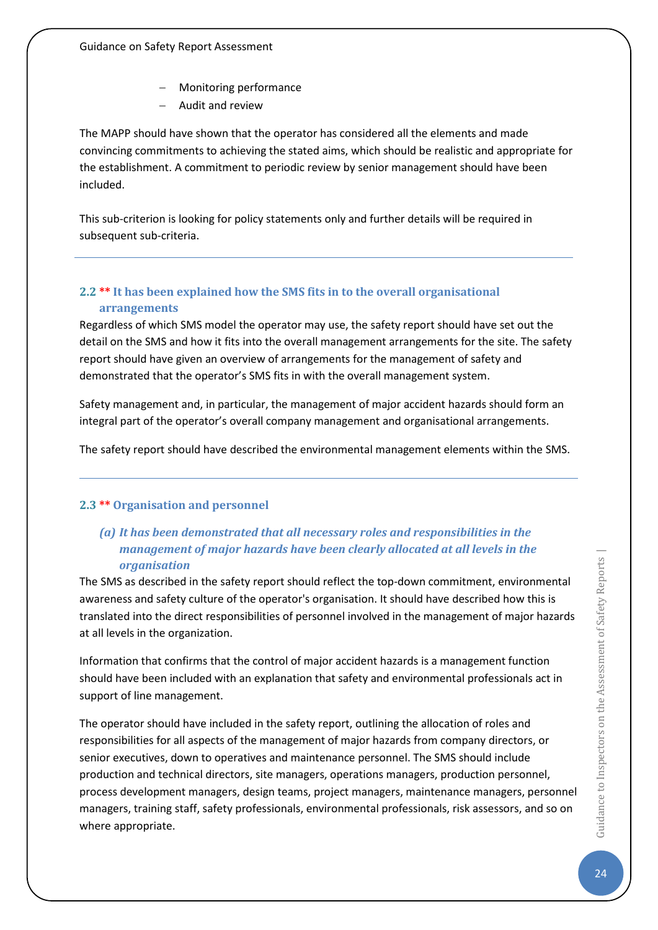- − Monitoring performance
- − Audit and review

The MAPP should have shown that the operator has considered all the elements and made convincing commitments to achieving the stated aims, which should be realistic and appropriate for the establishment. A commitment to periodic review by senior management should have been included.

This sub-criterion is looking for policy statements only and further details will be required in subsequent sub-criteria.

## <span id="page-24-0"></span>**2.2 \*\* It has been explained how the SMS fits in to the overall organisational arrangements**

Regardless of which SMS model the operator may use, the safety report should have set out the detail on the SMS and how it fits into the overall management arrangements for the site. The safety report should have given an overview of arrangements for the management of safety and demonstrated that the operator's SMS fits in with the overall management system.

Safety management and, in particular, the management of major accident hazards should form an integral part of the operator's overall company management and organisational arrangements.

The safety report should have described the environmental management elements within the SMS.

## <span id="page-24-1"></span>**2.3 \*\* Organisation and personnel**

## *(a) It has been demonstrated that all necessary roles and responsibilities in the management of major hazards have been clearly allocated at all levels in the organisation*

The SMS as described in the safety report should reflect the top-down commitment, environmental awareness and safety culture of the operator's organisation. It should have described how this is translated into the direct responsibilities of personnel involved in the management of major hazards at all levels in the organization.

Information that confirms that the control of major accident hazards is a management function should have been included with an explanation that safety and environmental professionals act in support of line management.

The operator should have included in the safety report, outlining the allocation of roles and responsibilities for all aspects of the management of major hazards from company directors, or senior executives, down to operatives and maintenance personnel. The SMS should include production and technical directors, site managers, operations managers, production personnel, process development managers, design teams, project managers, maintenance managers, personnel managers, training staff, safety professionals, environmental professionals, risk assessors, and so on where appropriate.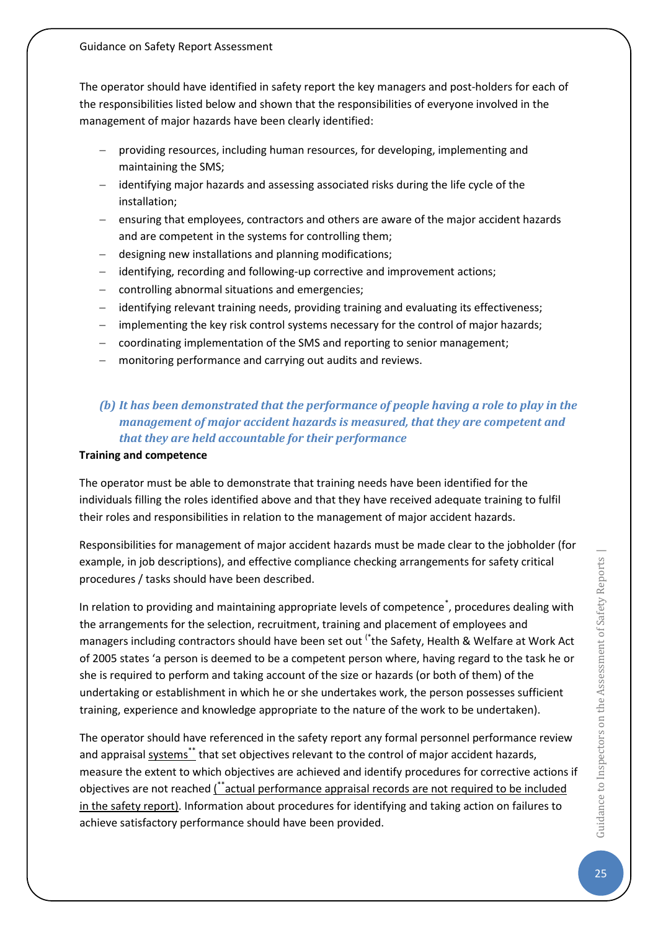The operator should have identified in safety report the key managers and post-holders for each of the responsibilities listed below and shown that the responsibilities of everyone involved in the management of major hazards have been clearly identified:

- − providing resources, including human resources, for developing, implementing and maintaining the SMS;
- − identifying major hazards and assessing associated risks during the life cycle of the installation;
- ensuring that employees, contractors and others are aware of the major accident hazards and are competent in the systems for controlling them;
- − designing new installations and planning modifications;
- − identifying, recording and following-up corrective and improvement actions;
- − controlling abnormal situations and emergencies;
- − identifying relevant training needs, providing training and evaluating its effectiveness;
- − implementing the key risk control systems necessary for the control of major hazards;
- − coordinating implementation of the SMS and reporting to senior management;
- monitoring performance and carrying out audits and reviews.

## *(b) It has been demonstrated that the performance of people having a role to play in the management of major accident hazards is measured, that they are competent and that they are held accountable for their performance*

#### **Training and competence**

The operator must be able to demonstrate that training needs have been identified for the individuals filling the roles identified above and that they have received adequate training to fulfil their roles and responsibilities in relation to the management of major accident hazards.

Responsibilities for management of major accident hazards must be made clear to the jobholder (for example, in job descriptions), and effective compliance checking arrangements for safety critical procedures / tasks should have been described.

In relation to providing and maintaining appropriate levels of competence<sup>\*</sup>, procedures dealing with the arrangements for the selection, recruitment, training and placement of employees and managers including contractors should have been set out (\*the Safety, Health & Welfare at Work Act of 2005 states 'a person is deemed to be a competent person where, having regard to the task he or she is required to perform and taking account of the size or hazards (or both of them) of the undertaking or establishment in which he or she undertakes work, the person possesses sufficient training, experience and knowledge appropriate to the nature of the work to be undertaken).

The operator should have referenced in the safety report any formal personnel performance review and appraisal systems\*\* that set objectives relevant to the control of major accident hazards, measure the extent to which objectives are achieved and identify procedures for corrective actions if objectives are not reached (\*\*actual performance appraisal records are not required to be included in the safety report). Information about procedures for identifying and taking action on failures to achieve satisfactory performance should have been provided.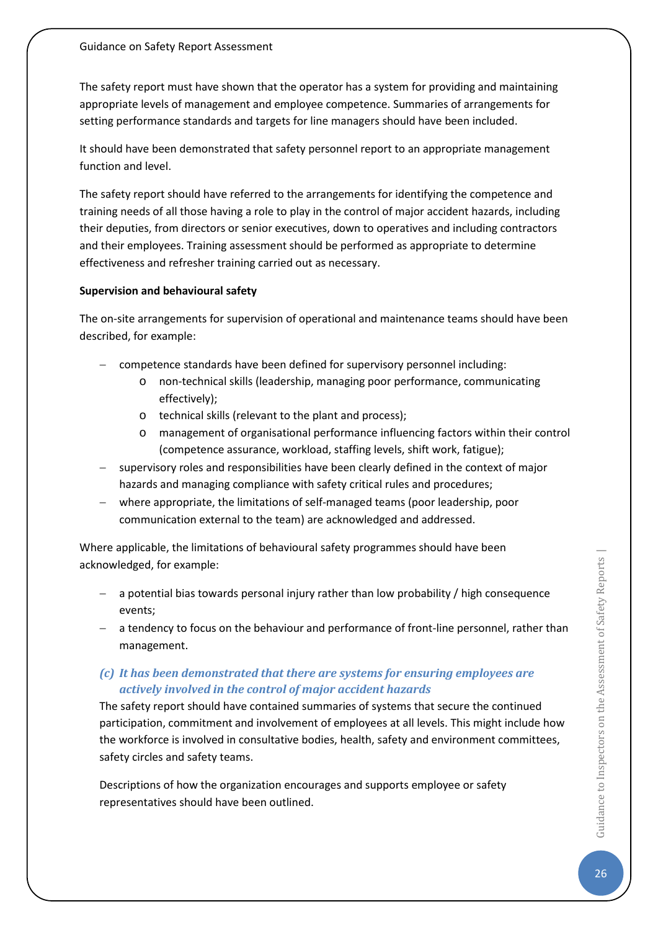The safety report must have shown that the operator has a system for providing and maintaining appropriate levels of management and employee competence. Summaries of arrangements for setting performance standards and targets for line managers should have been included.

It should have been demonstrated that safety personnel report to an appropriate management function and level.

The safety report should have referred to the arrangements for identifying the competence and training needs of all those having a role to play in the control of major accident hazards, including their deputies, from directors or senior executives, down to operatives and including contractors and their employees. Training assessment should be performed as appropriate to determine effectiveness and refresher training carried out as necessary.

#### **Supervision and behavioural safety**

The on-site arrangements for supervision of operational and maintenance teams should have been described, for example:

- − competence standards have been defined for supervisory personnel including:
	- o non-technical skills (leadership, managing poor performance, communicating effectively);
	- o technical skills (relevant to the plant and process);
	- management of organisational performance influencing factors within their control (competence assurance, workload, staffing levels, shift work, fatigue);
- supervisory roles and responsibilities have been clearly defined in the context of major hazards and managing compliance with safety critical rules and procedures;
- − where appropriate, the limitations of self-managed teams (poor leadership, poor communication external to the team) are acknowledged and addressed.

Where applicable, the limitations of behavioural safety programmes should have been acknowledged, for example:

- − a potential bias towards personal injury rather than low probability / high consequence events;
- − a tendency to focus on the behaviour and performance of front-line personnel, rather than management.

## *(c) It has been demonstrated that there are systems for ensuring employees are actively involved in the control of major accident hazards*

The safety report should have contained summaries of systems that secure the continued participation, commitment and involvement of employees at all levels. This might include how the workforce is involved in consultative bodies, health, safety and environment committees, safety circles and safety teams.

Descriptions of how the organization encourages and supports employee or safety representatives should have been outlined.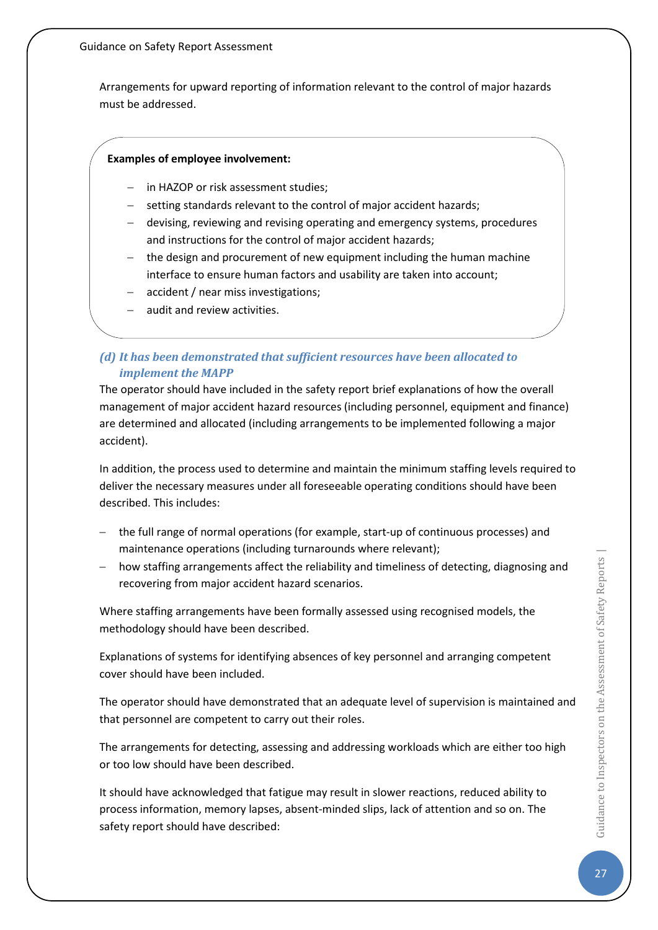Arrangements for upward reporting of information relevant to the control of major hazards must be addressed.

#### **Examples of employee involvement:**

- in HAZOP or risk assessment studies;
- setting standards relevant to the control of major accident hazards;
- − devising, reviewing and revising operating and emergency systems, procedures and instructions for the control of major accident hazards;
- the design and procurement of new equipment including the human machine interface to ensure human factors and usability are taken into account;
- accident / near miss investigations;
- audit and review activities.

## *(d) It has been demonstrated that sufficient resources have been allocated to implement the MAPP*

The operator should have included in the safety report brief explanations of how the overall management of major accident hazard resources (including personnel, equipment and finance) are determined and allocated (including arrangements to be implemented following a major accident).

In addition, the process used to determine and maintain the minimum staffing levels required to deliver the necessary measures under all foreseeable operating conditions should have been described. This includes:

- − the full range of normal operations (for example, start-up of continuous processes) and maintenance operations (including turnarounds where relevant);
- how staffing arrangements affect the reliability and timeliness of detecting, diagnosing and recovering from major accident hazard scenarios.

Where staffing arrangements have been formally assessed using recognised models, the methodology should have been described.

Explanations of systems for identifying absences of key personnel and arranging competent cover should have been included.

The operator should have demonstrated that an adequate level of supervision is maintained and that personnel are competent to carry out their roles.

The arrangements for detecting, assessing and addressing workloads which are either too high or too low should have been described.

It should have acknowledged that fatigue may result in slower reactions, reduced ability to process information, memory lapses, absent-minded slips, lack of attention and so on. The safety report should have described: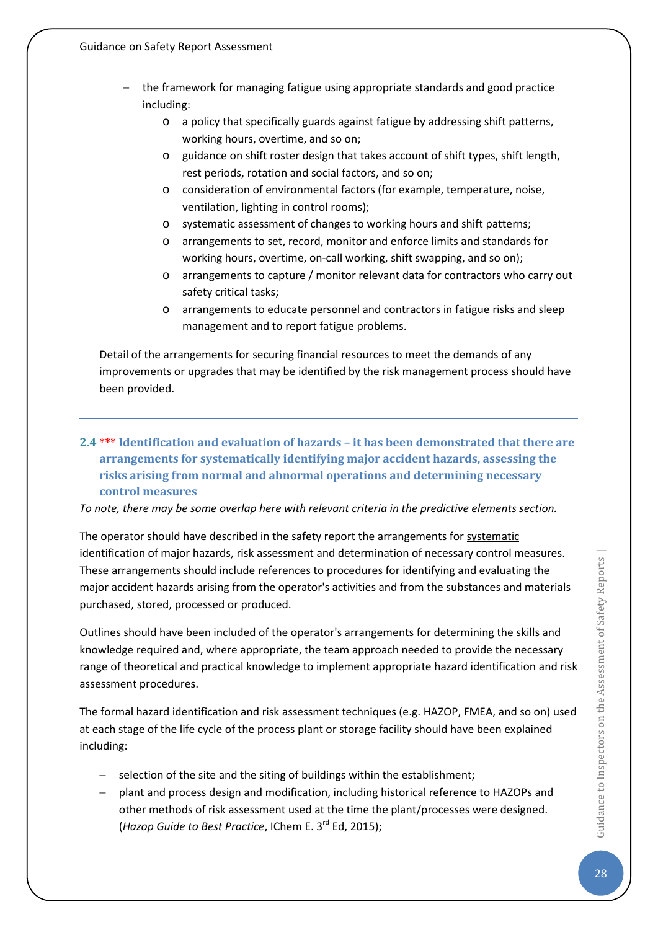- − the framework for managing fatigue using appropriate standards and good practice including:
	- o a policy that specifically guards against fatigue by addressing shift patterns, working hours, overtime, and so on;
	- o guidance on shift roster design that takes account of shift types, shift length, rest periods, rotation and social factors, and so on;
	- o consideration of environmental factors (for example, temperature, noise, ventilation, lighting in control rooms);
	- o systematic assessment of changes to working hours and shift patterns;
	- o arrangements to set, record, monitor and enforce limits and standards for working hours, overtime, on-call working, shift swapping, and so on);
	- o arrangements to capture / monitor relevant data for contractors who carry out safety critical tasks;
	- o arrangements to educate personnel and contractors in fatigue risks and sleep management and to report fatigue problems.

Detail of the arrangements for securing financial resources to meet the demands of any improvements or upgrades that may be identified by the risk management process should have been provided.

<span id="page-28-0"></span>**2.4 \*\*\* Identification and evaluation of hazards – it has been demonstrated that there are arrangements for systematically identifying major accident hazards, assessing the risks arising from normal and abnormal operations and determining necessary control measures**

*To note, there may be some overlap here with relevant criteria in the predictive elements section.*

The operator should have described in the safety report the arrangements for systematic identification of major hazards, risk assessment and determination of necessary control measures. These arrangements should include references to procedures for identifying and evaluating the major accident hazards arising from the operator's activities and from the substances and materials purchased, stored, processed or produced.

Outlines should have been included of the operator's arrangements for determining the skills and knowledge required and, where appropriate, the team approach needed to provide the necessary range of theoretical and practical knowledge to implement appropriate hazard identification and risk assessment procedures.

The formal hazard identification and risk assessment techniques (e.g. HAZOP, FMEA, and so on) used at each stage of the life cycle of the process plant or storage facility should have been explained including:

- − selection of the site and the siting of buildings within the establishment;
- − plant and process design and modification, including historical reference to HAZOPs and other methods of risk assessment used at the time the plant/processes were designed. (*Hazop Guide to Best Practice*, IChem E. 3rd Ed, 2015);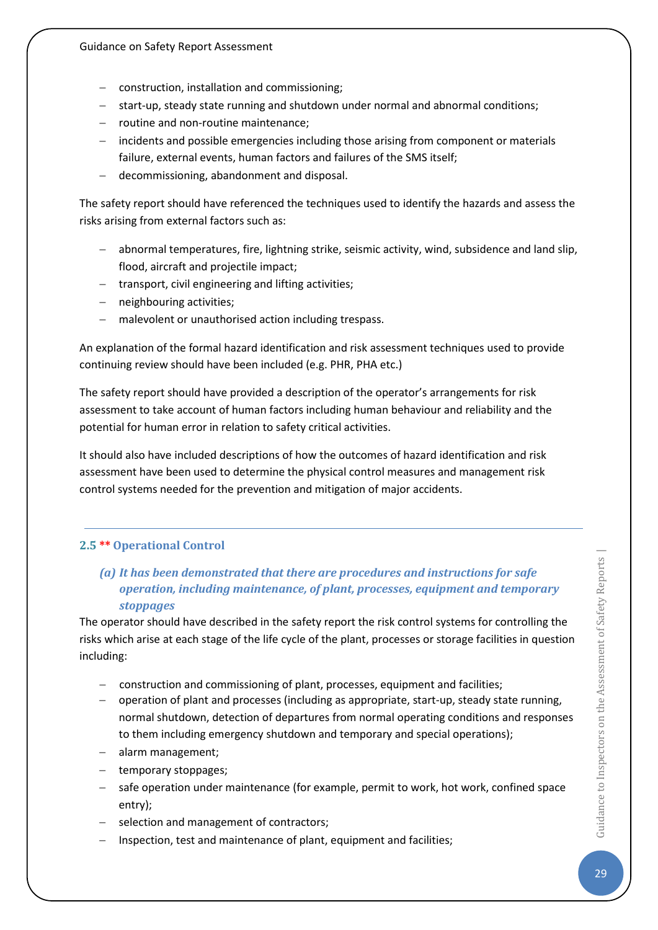- − construction, installation and commissioning;
- − start-up, steady state running and shutdown under normal and abnormal conditions;
- − routine and non-routine maintenance;
- − incidents and possible emergencies including those arising from component or materials failure, external events, human factors and failures of the SMS itself;
- − decommissioning, abandonment and disposal.

The safety report should have referenced the techniques used to identify the hazards and assess the risks arising from external factors such as:

- − abnormal temperatures, fire, lightning strike, seismic activity, wind, subsidence and land slip, flood, aircraft and projectile impact;
- − transport, civil engineering and lifting activities;
- − neighbouring activities;
- − malevolent or unauthorised action including trespass.

An explanation of the formal hazard identification and risk assessment techniques used to provide continuing review should have been included (e.g. PHR, PHA etc.)

The safety report should have provided a description of the operator's arrangements for risk assessment to take account of human factors including human behaviour and reliability and the potential for human error in relation to safety critical activities.

It should also have included descriptions of how the outcomes of hazard identification and risk assessment have been used to determine the physical control measures and management risk control systems needed for the prevention and mitigation of major accidents.

## <span id="page-29-0"></span>**2.5 \*\* Operational Control**

## *(a) It has been demonstrated that there are procedures and instructions for safe operation, including maintenance, of plant, processes, equipment and temporary stoppages*

The operator should have described in the safety report the risk control systems for controlling the risks which arise at each stage of the life cycle of the plant, processes or storage facilities in question including:

- − construction and commissioning of plant, processes, equipment and facilities;
- − operation of plant and processes (including as appropriate, start-up, steady state running, normal shutdown, detection of departures from normal operating conditions and responses to them including emergency shutdown and temporary and special operations);
- − alarm management;
- − temporary stoppages;
- − safe operation under maintenance (for example, permit to work, hot work, confined space entry);
- − selection and management of contractors;
- Inspection, test and maintenance of plant, equipment and facilities;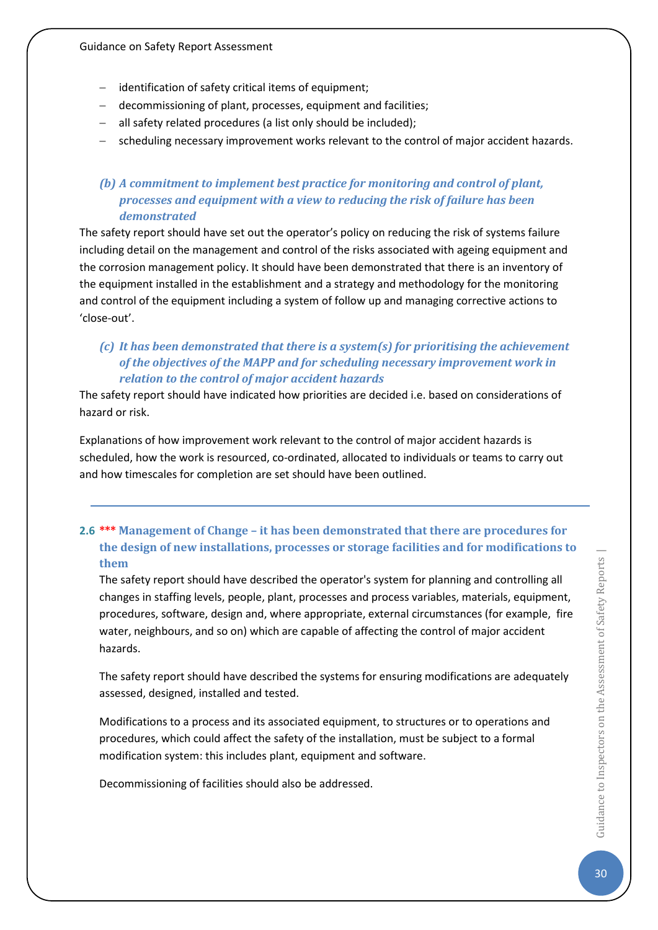- − identification of safety critical items of equipment;
- − decommissioning of plant, processes, equipment and facilities;
- − all safety related procedures (a list only should be included);
- − scheduling necessary improvement works relevant to the control of major accident hazards.

## *(b) A commitment to implement best practice for monitoring and control of plant, processes and equipment with a view to reducing the risk of failure has been demonstrated*

The safety report should have set out the operator's policy on reducing the risk of systems failure including detail on the management and control of the risks associated with ageing equipment and the corrosion management policy. It should have been demonstrated that there is an inventory of the equipment installed in the establishment and a strategy and methodology for the monitoring and control of the equipment including a system of follow up and managing corrective actions to 'close-out'.

## *(c) It has been demonstrated that there is a system(s) for prioritising the achievement of the objectives of the MAPP and for scheduling necessary improvement work in relation to the control of major accident hazards*

The safety report should have indicated how priorities are decided i.e. based on considerations of hazard or risk.

Explanations of how improvement work relevant to the control of major accident hazards is scheduled, how the work is resourced, co-ordinated, allocated to individuals or teams to carry out and how timescales for completion are set should have been outlined.

## <span id="page-30-0"></span>**2.6 \*\*\* Management of Change – it has been demonstrated that there are procedures for the design of new installations, processes or storage facilities and for modifications to them**

The safety report should have described the operator's system for planning and controlling all changes in staffing levels, people, plant, processes and process variables, materials, equipment, procedures, software, design and, where appropriate, external circumstances (for example, fire water, neighbours, and so on) which are capable of affecting the control of major accident hazards.

The safety report should have described the systems for ensuring modifications are adequately assessed, designed, installed and tested.

Modifications to a process and its associated equipment, to structures or to operations and procedures, which could affect the safety of the installation, must be subject to a formal modification system: this includes plant, equipment and software.

Decommissioning of facilities should also be addressed.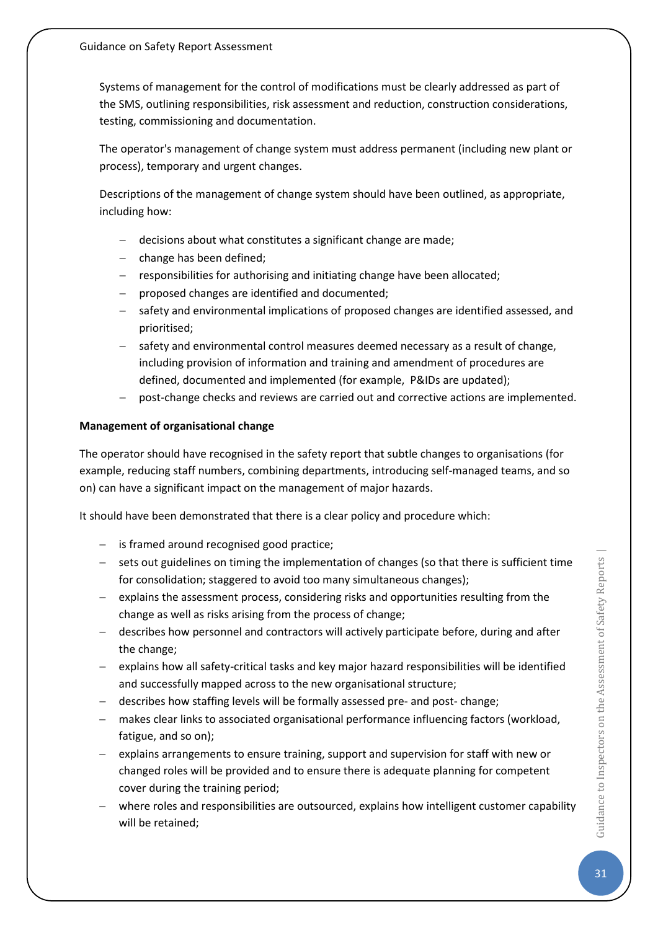Systems of management for the control of modifications must be clearly addressed as part of the SMS, outlining responsibilities, risk assessment and reduction, construction considerations, testing, commissioning and documentation.

The operator's management of change system must address permanent (including new plant or process), temporary and urgent changes.

Descriptions of the management of change system should have been outlined, as appropriate, including how:

- − decisions about what constitutes a significant change are made;
- − change has been defined;
- − responsibilities for authorising and initiating change have been allocated;
- − proposed changes are identified and documented;
- safety and environmental implications of proposed changes are identified assessed, and prioritised;
- safety and environmental control measures deemed necessary as a result of change, including provision of information and training and amendment of procedures are defined, documented and implemented (for example, P&IDs are updated);
- − post-change checks and reviews are carried out and corrective actions are implemented.

#### **Management of organisational change**

The operator should have recognised in the safety report that subtle changes to organisations (for example, reducing staff numbers, combining departments, introducing self-managed teams, and so on) can have a significant impact on the management of major hazards.

It should have been demonstrated that there is a clear policy and procedure which:

- − is framed around recognised good practice;
- − sets out guidelines on timing the implementation of changes (so that there is sufficient time for consolidation; staggered to avoid too many simultaneous changes);
- − explains the assessment process, considering risks and opportunities resulting from the change as well as risks arising from the process of change;
- − describes how personnel and contractors will actively participate before, during and after the change;
- − explains how all safety-critical tasks and key major hazard responsibilities will be identified and successfully mapped across to the new organisational structure;
- − describes how staffing levels will be formally assessed pre- and post- change;
- − makes clear links to associated organisational performance influencing factors (workload, fatigue, and so on);
- − explains arrangements to ensure training, support and supervision for staff with new or changed roles will be provided and to ensure there is adequate planning for competent cover during the training period;
- where roles and responsibilities are outsourced, explains how intelligent customer capability will be retained;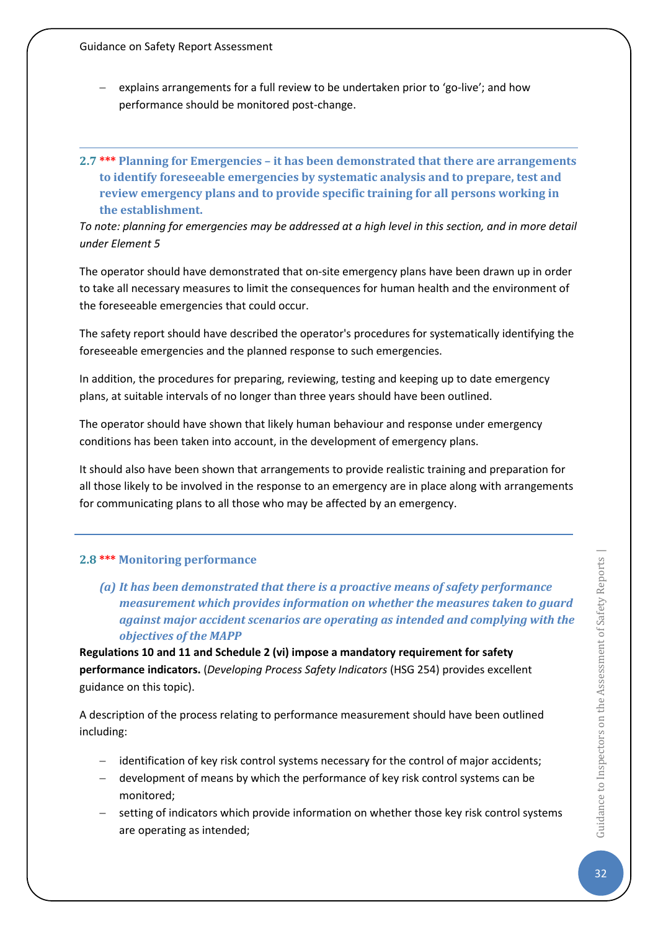- explains arrangements for a full review to be undertaken prior to 'go-live'; and how performance should be monitored post-change.
- <span id="page-32-0"></span>**2.7 \*\*\* Planning for Emergencies – it has been demonstrated that there are arrangements to identify foreseeable emergencies by systematic analysis and to prepare, test and review emergency plans and to provide specific training for all persons working in the establishment.**

*To note: planning for emergencies may be addressed at a high level in this section, and in more detail under Element 5*

The operator should have demonstrated that on-site emergency plans have been drawn up in order to take all necessary measures to limit the consequences for human health and the environment of the foreseeable emergencies that could occur.

The safety report should have described the operator's procedures for systematically identifying the foreseeable emergencies and the planned response to such emergencies.

In addition, the procedures for preparing, reviewing, testing and keeping up to date emergency plans, at suitable intervals of no longer than three years should have been outlined.

The operator should have shown that likely human behaviour and response under emergency conditions has been taken into account, in the development of emergency plans.

It should also have been shown that arrangements to provide realistic training and preparation for all those likely to be involved in the response to an emergency are in place along with arrangements for communicating plans to all those who may be affected by an emergency.

## <span id="page-32-1"></span>**2.8 \*\*\* Monitoring performance**

*(a) It has been demonstrated that there is a proactive means of safety performance measurement which provides information on whether the measures taken to guard against major accident scenarios are operating as intended and complying with the objectives of the MAPP*

**Regulations 10 and 11 and Schedule 2 (vi) impose a mandatory requirement for safety performance indicators.** (*Developing Process Safety Indicators* (HSG 254) provides excellent guidance on this topic).

A description of the process relating to performance measurement should have been outlined including:

- − identification of key risk control systems necessary for the control of major accidents;
- − development of means by which the performance of key risk control systems can be monitored;
- − setting of indicators which provide information on whether those key risk control systems are operating as intended;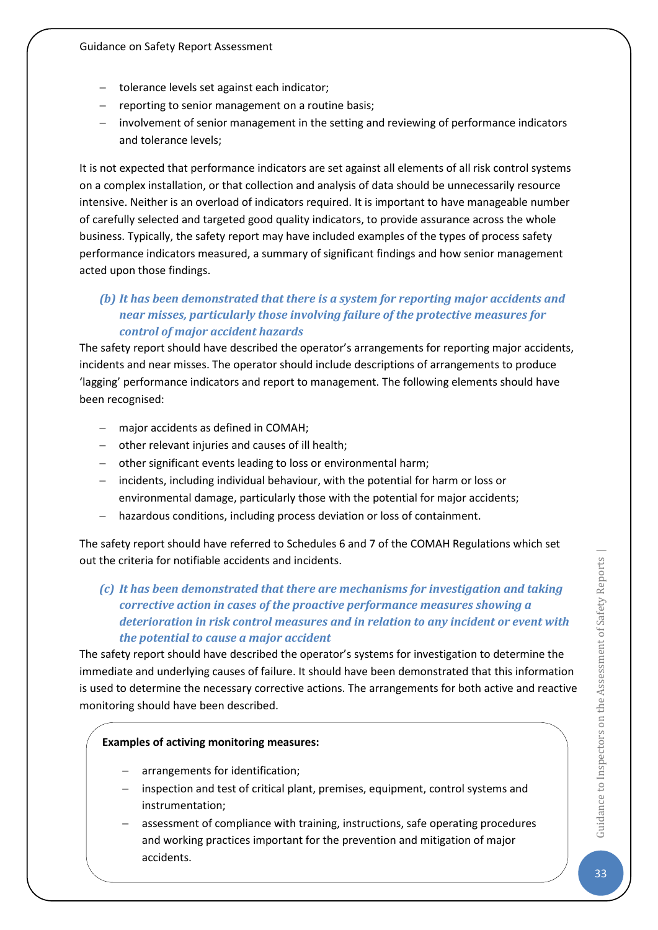- − tolerance levels set against each indicator;
- − reporting to senior management on a routine basis;
- − involvement of senior management in the setting and reviewing of performance indicators and tolerance levels;

It is not expected that performance indicators are set against all elements of all risk control systems on a complex installation, or that collection and analysis of data should be unnecessarily resource intensive. Neither is an overload of indicators required. It is important to have manageable number of carefully selected and targeted good quality indicators, to provide assurance across the whole business. Typically, the safety report may have included examples of the types of process safety performance indicators measured, a summary of significant findings and how senior management acted upon those findings.

## *(b) It has been demonstrated that there is a system for reporting major accidents and near misses, particularly those involving failure of the protective measures for control of major accident hazards*

The safety report should have described the operator's arrangements for reporting major accidents, incidents and near misses. The operator should include descriptions of arrangements to produce 'lagging' performance indicators and report to management. The following elements should have been recognised:

- − major accidents as defined in COMAH;
- − other relevant injuries and causes of ill health;
- − other significant events leading to loss or environmental harm;
- − incidents, including individual behaviour, with the potential for harm or loss or environmental damage, particularly those with the potential for major accidents;
- − hazardous conditions, including process deviation or loss of containment.

The safety report should have referred to Schedules 6 and 7 of the COMAH Regulations which set out the criteria for notifiable accidents and incidents.

## *(c) It has been demonstrated that there are mechanisms for investigation and taking corrective action in cases of the proactive performance measures showing a deterioration in risk control measures and in relation to any incident or event with the potential to cause a major accident*

The safety report should have described the operator's systems for investigation to determine the immediate and underlying causes of failure. It should have been demonstrated that this information is used to determine the necessary corrective actions. The arrangements for both active and reactive monitoring should have been described.

#### **Examples of activing monitoring measures:**

- − arrangements for identification;
- − inspection and test of critical plant, premises, equipment, control systems and instrumentation;
- assessment of compliance with training, instructions, safe operating procedures and working practices important for the prevention and mitigation of major accidents.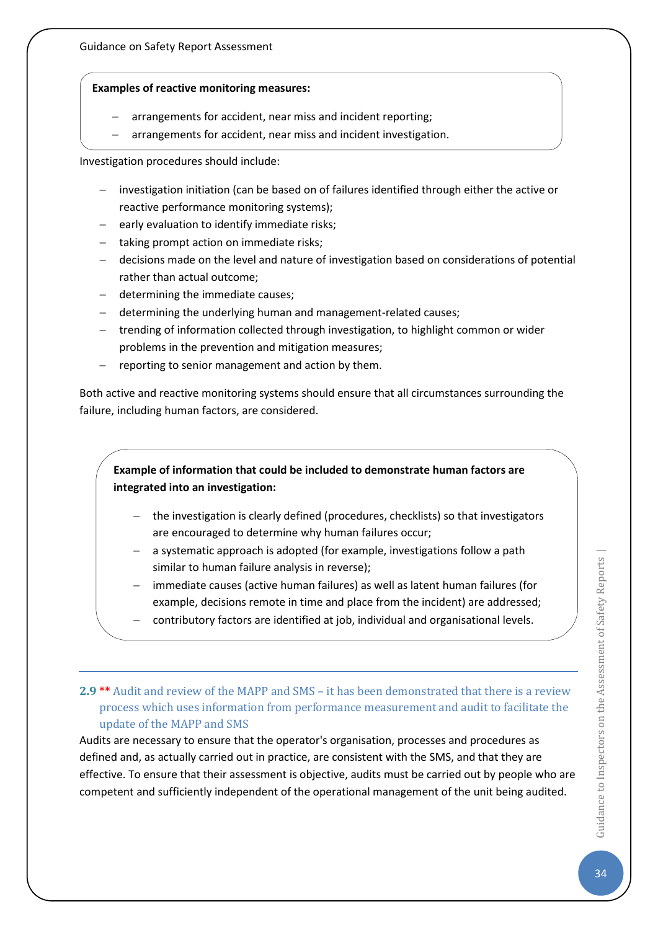#### **Examples of reactive monitoring measures:**

- arrangements for accident, near miss and incident reporting;
	- arrangements for accident, near miss and incident investigation.

Investigation procedures should include:

- − investigation initiation (can be based on of failures identified through either the active or reactive performance monitoring systems);
- − early evaluation to identify immediate risks;
- − taking prompt action on immediate risks;
- − decisions made on the level and nature of investigation based on considerations of potential rather than actual outcome;
- − determining the immediate causes;
- − determining the underlying human and management-related causes;
- − trending of information collected through investigation, to highlight common or wider problems in the prevention and mitigation measures;
- − reporting to senior management and action by them.

Both active and reactive monitoring systems should ensure that all circumstances surrounding the failure, including human factors, are considered.

## **Example of information that could be included to demonstrate human factors are integrated into an investigation:**

- − the investigation is clearly defined (procedures, checklists) so that investigators are encouraged to determine why human failures occur;
- − a systematic approach is adopted (for example, investigations follow a path similar to human failure analysis in reverse);
- − immediate causes (active human failures) as well as latent human failures (for example, decisions remote in time and place from the incident) are addressed;
- − contributory factors are identified at job, individual and organisational levels.

## <span id="page-34-0"></span>**2.9 \*\*** Audit and review of the MAPP and SMS – it has been demonstrated that there is a review process which uses information from performance measurement and audit to facilitate the update of the MAPP and SMS

Audits are necessary to ensure that the operator's organisation, processes and procedures as defined and, as actually carried out in practice, are consistent with the SMS, and that they are effective. To ensure that their assessment is objective, audits must be carried out by people who are competent and sufficiently independent of the operational management of the unit being audited.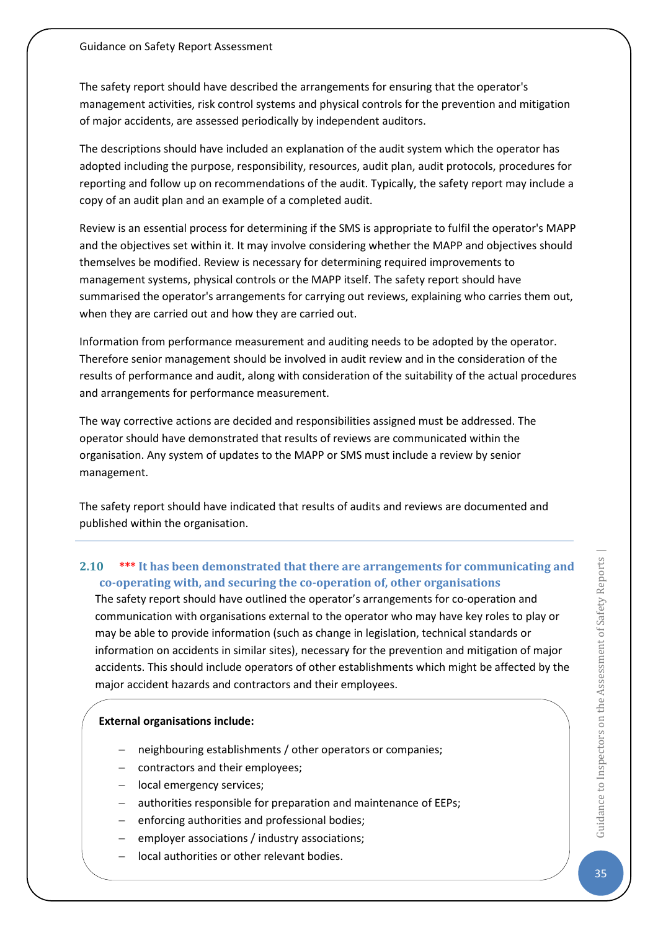The safety report should have described the arrangements for ensuring that the operator's management activities, risk control systems and physical controls for the prevention and mitigation of major accidents, are assessed periodically by independent auditors.

The descriptions should have included an explanation of the audit system which the operator has adopted including the purpose, responsibility, resources, audit plan, audit protocols, procedures for reporting and follow up on recommendations of the audit. Typically, the safety report may include a copy of an audit plan and an example of a completed audit.

Review is an essential process for determining if the SMS is appropriate to fulfil the operator's MAPP and the objectives set within it. It may involve considering whether the MAPP and objectives should themselves be modified. Review is necessary for determining required improvements to management systems, physical controls or the MAPP itself. The safety report should have summarised the operator's arrangements for carrying out reviews, explaining who carries them out, when they are carried out and how they are carried out.

Information from performance measurement and auditing needs to be adopted by the operator. Therefore senior management should be involved in audit review and in the consideration of the results of performance and audit, along with consideration of the suitability of the actual procedures and arrangements for performance measurement.

The way corrective actions are decided and responsibilities assigned must be addressed. The operator should have demonstrated that results of reviews are communicated within the organisation. Any system of updates to the MAPP or SMS must include a review by senior management.

The safety report should have indicated that results of audits and reviews are documented and published within the organisation.

## <span id="page-35-0"></span>**2.10 \*\*\* It has been demonstrated that there are arrangements for communicating and co-operating with, and securing the co-operation of, other organisations**

The safety report should have outlined the operator's arrangements for co-operation and communication with organisations external to the operator who may have key roles to play or may be able to provide information (such as change in legislation, technical standards or information on accidents in similar sites), necessary for the prevention and mitigation of major accidents. This should include operators of other establishments which might be affected by the major accident hazards and contractors and their employees.

#### **External organisations include:**

- neighbouring establishments / other operators or companies;
- − contractors and their employees;
- − local emergency services;
- − authorities responsible for preparation and maintenance of EEPs;
- enforcing authorities and professional bodies;
- − employer associations / industry associations;
- − local authorities or other relevant bodies.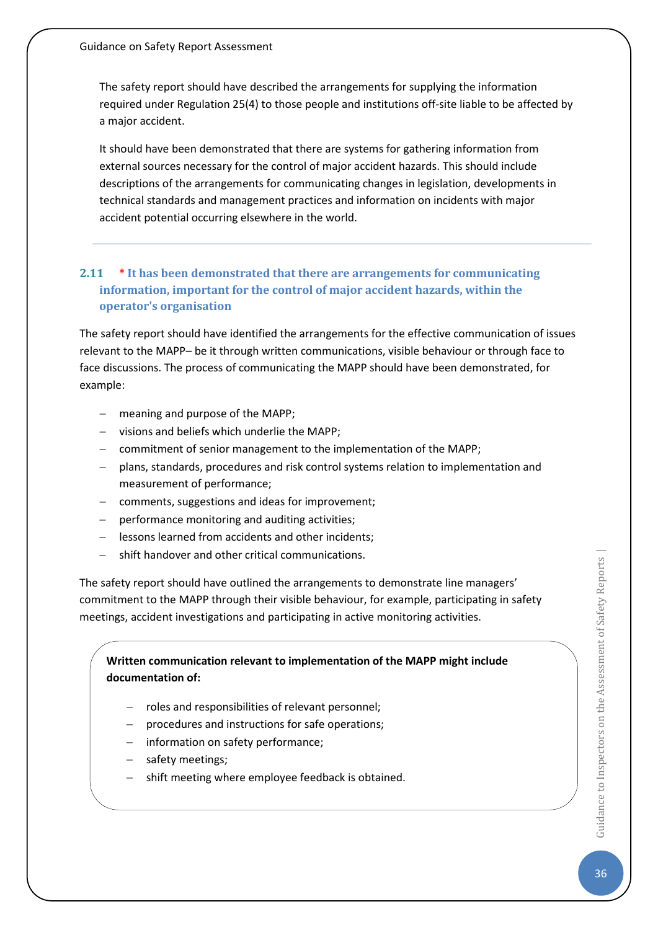The safety report should have described the arrangements for supplying the information required under Regulation 25(4) to those people and institutions off-site liable to be affected by a major accident.

It should have been demonstrated that there are systems for gathering information from external sources necessary for the control of major accident hazards. This should include descriptions of the arrangements for communicating changes in legislation, developments in technical standards and management practices and information on incidents with major accident potential occurring elsewhere in the world.

# **2.11 \* It has been demonstrated that there are arrangements for communicating information, important for the control of major accident hazards, within the operator's organisation**

The safety report should have identified the arrangements for the effective communication of issues relevant to the MAPP– be it through written communications, visible behaviour or through face to face discussions. The process of communicating the MAPP should have been demonstrated, for example:

- − meaning and purpose of the MAPP;
- − visions and beliefs which underlie the MAPP;
- − commitment of senior management to the implementation of the MAPP;
- − plans, standards, procedures and risk control systems relation to implementation and measurement of performance;
- − comments, suggestions and ideas for improvement;
- performance monitoring and auditing activities;
- − lessons learned from accidents and other incidents;
- − shift handover and other critical communications.

The safety report should have outlined the arrangements to demonstrate line managers' commitment to the MAPP through their visible behaviour, for example, participating in safety meetings, accident investigations and participating in active monitoring activities.

**Written communication relevant to implementation of the MAPP might include documentation of:** 

- − roles and responsibilities of relevant personnel;
- procedures and instructions for safe operations;
- − information on safety performance;
- safety meetings;
- shift meeting where employee feedback is obtained.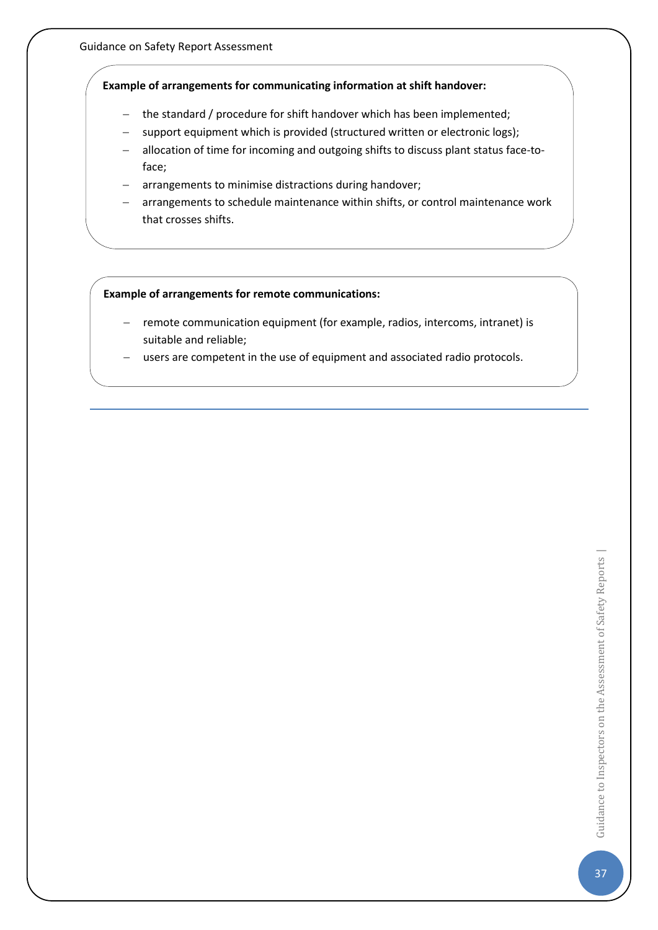### **Example of arrangements for communicating information at shift handover:**

- − the standard / procedure for shift handover which has been implemented;
- − support equipment which is provided (structured written or electronic logs);
- − allocation of time for incoming and outgoing shifts to discuss plant status face-toface;
- arrangements to minimise distractions during handover;
- arrangements to schedule maintenance within shifts, or control maintenance work that crosses shifts.

#### **Example of arrangements for remote communications:**

- − remote communication equipment (for example, radios, intercoms, intranet) is suitable and reliable;
- users are competent in the use of equipment and associated radio protocols.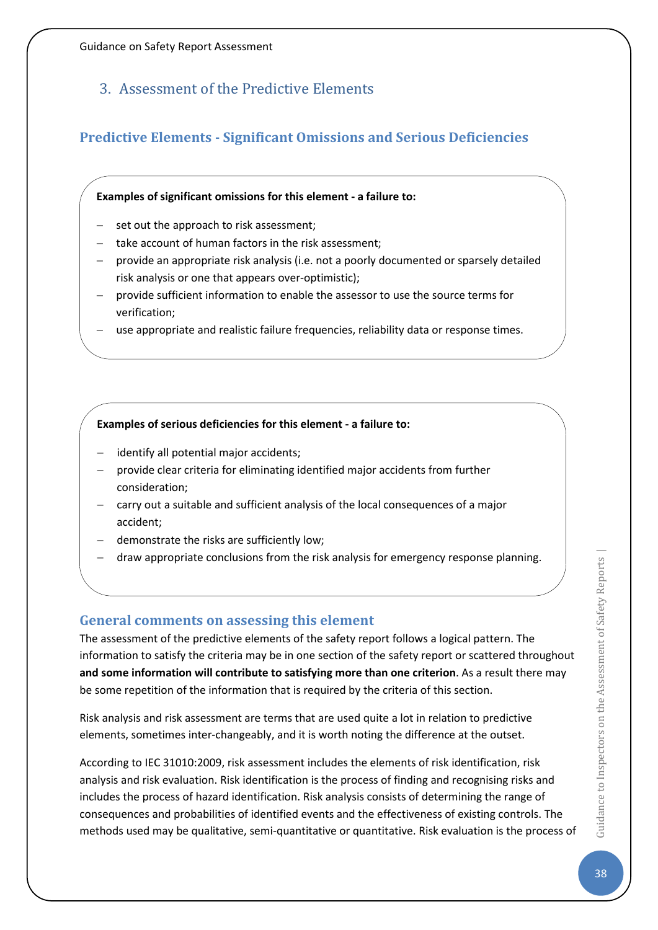# 3. Assessment of the Predictive Elements

# **Predictive Elements - Significant Omissions and Serious Deficiencies**

### **Examples of significant omissions for this element - a failure to:**

- set out the approach to risk assessment;
- take account of human factors in the risk assessment;
- − provide an appropriate risk analysis (i.e. not a poorly documented or sparsely detailed risk analysis or one that appears over-optimistic);
- − provide sufficient information to enable the assessor to use the source terms for verification;
- − use appropriate and realistic failure frequencies, reliability data or response times.

### **Examples of serious deficiencies for this element - a failure to:**

- identify all potential major accidents;
- provide clear criteria for eliminating identified major accidents from further consideration;
- − carry out a suitable and sufficient analysis of the local consequences of a major accident;
- demonstrate the risks are sufficiently low;
- − draw appropriate conclusions from the risk analysis for emergency response planning.

### **General comments on assessing this element**

The assessment of the predictive elements of the safety report follows a logical pattern. The information to satisfy the criteria may be in one section of the safety report or scattered throughout **and some information will contribute to satisfying more than one criterion**. As a result there may be some repetition of the information that is required by the criteria of this section.

Risk analysis and risk assessment are terms that are used quite a lot in relation to predictive elements, sometimes inter-changeably, and it is worth noting the difference at the outset.

According to IEC 31010:2009, risk assessment includes the elements of risk identification, risk analysis and risk evaluation. Risk identification is the process of finding and recognising risks and includes the process of hazard identification. Risk analysis consists of determining the range of consequences and probabilities of identified events and the effectiveness of existing controls. The methods used may be qualitative, semi-quantitative or quantitative. Risk evaluation is the process of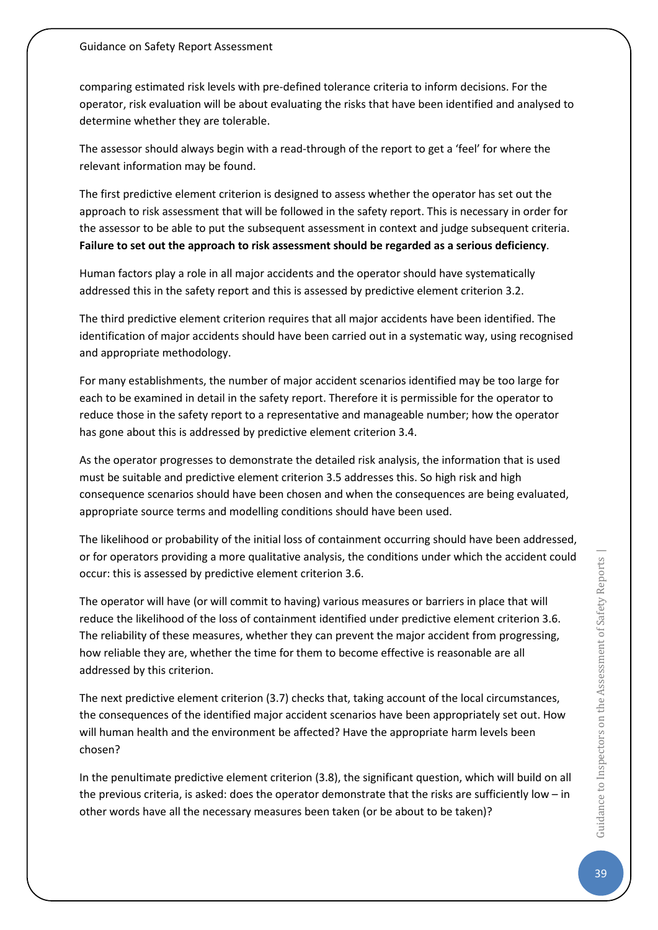comparing estimated risk levels with pre-defined tolerance criteria to inform decisions. For the operator, risk evaluation will be about evaluating the risks that have been identified and analysed to determine whether they are tolerable.

The assessor should always begin with a read-through of the report to get a 'feel' for where the relevant information may be found.

The first predictive element criterion is designed to assess whether the operator has set out the approach to risk assessment that will be followed in the safety report. This is necessary in order for the assessor to be able to put the subsequent assessment in context and judge subsequent criteria. **Failure to set out the approach to risk assessment should be regarded as a serious deficiency**.

Human factors play a role in all major accidents and the operator should have systematically addressed this in the safety report and this is assessed by predictive element criterion 3.2.

The third predictive element criterion requires that all major accidents have been identified. The identification of major accidents should have been carried out in a systematic way, using recognised and appropriate methodology.

For many establishments, the number of major accident scenarios identified may be too large for each to be examined in detail in the safety report. Therefore it is permissible for the operator to reduce those in the safety report to a representative and manageable number; how the operator has gone about this is addressed by predictive element criterion 3.4.

As the operator progresses to demonstrate the detailed risk analysis, the information that is used must be suitable and predictive element criterion 3.5 addresses this. So high risk and high consequence scenarios should have been chosen and when the consequences are being evaluated, appropriate source terms and modelling conditions should have been used.

The likelihood or probability of the initial loss of containment occurring should have been addressed, or for operators providing a more qualitative analysis, the conditions under which the accident could occur: this is assessed by predictive element criterion 3.6.

The operator will have (or will commit to having) various measures or barriers in place that will reduce the likelihood of the loss of containment identified under predictive element criterion 3.6. The reliability of these measures, whether they can prevent the major accident from progressing, how reliable they are, whether the time for them to become effective is reasonable are all addressed by this criterion.

The next predictive element criterion (3.7) checks that, taking account of the local circumstances, the consequences of the identified major accident scenarios have been appropriately set out. How will human health and the environment be affected? Have the appropriate harm levels been chosen?

In the penultimate predictive element criterion (3.8), the significant question, which will build on all the previous criteria, is asked: does the operator demonstrate that the risks are sufficiently low – in other words have all the necessary measures been taken (or be about to be taken)?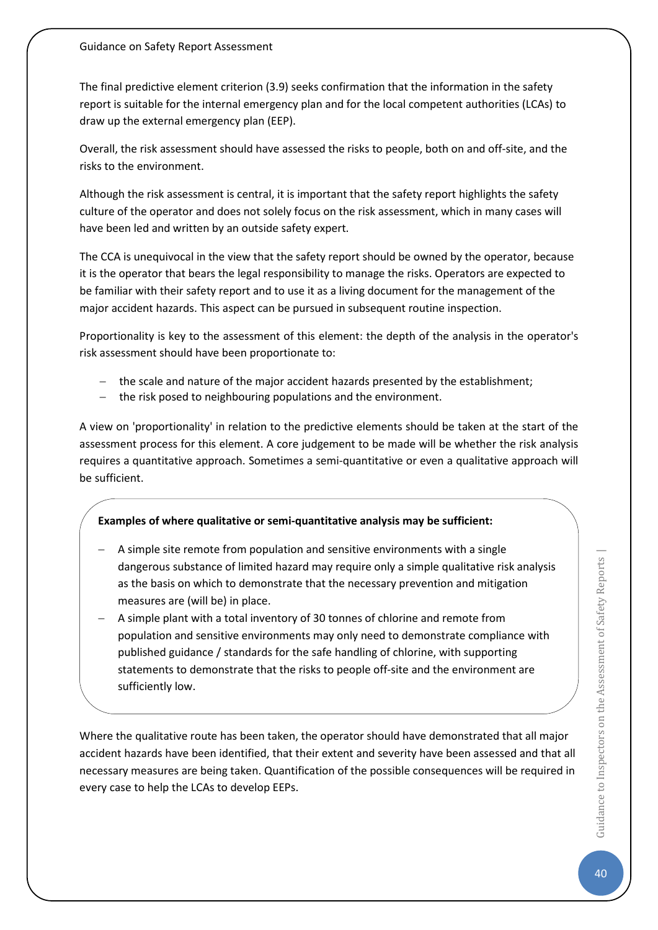The final predictive element criterion (3.9) seeks confirmation that the information in the safety report is suitable for the internal emergency plan and for the local competent authorities (LCAs) to draw up the external emergency plan (EEP).

Overall, the risk assessment should have assessed the risks to people, both on and off-site, and the risks to the environment.

Although the risk assessment is central, it is important that the safety report highlights the safety culture of the operator and does not solely focus on the risk assessment, which in many cases will have been led and written by an outside safety expert.

The CCA is unequivocal in the view that the safety report should be owned by the operator, because it is the operator that bears the legal responsibility to manage the risks. Operators are expected to be familiar with their safety report and to use it as a living document for the management of the major accident hazards. This aspect can be pursued in subsequent routine inspection.

Proportionality is key to the assessment of this element: the depth of the analysis in the operator's risk assessment should have been proportionate to:

- − the scale and nature of the major accident hazards presented by the establishment;
- − the risk posed to neighbouring populations and the environment.

A view on 'proportionality' in relation to the predictive elements should be taken at the start of the assessment process for this element. A core judgement to be made will be whether the risk analysis requires a quantitative approach. Sometimes a semi-quantitative or even a qualitative approach will be sufficient.

### **Examples of where qualitative or semi-quantitative analysis may be sufficient:**

- − A simple site remote from population and sensitive environments with a single dangerous substance of limited hazard may require only a simple qualitative risk analysis as the basis on which to demonstrate that the necessary prevention and mitigation measures are (will be) in place.
- A simple plant with a total inventory of 30 tonnes of chlorine and remote from population and sensitive environments may only need to demonstrate compliance with published guidance / standards for the safe handling of chlorine, with supporting statements to demonstrate that the risks to people off-site and the environment are sufficiently low.

Where the qualitative route has been taken, the operator should have demonstrated that all major accident hazards have been identified, that their extent and severity have been assessed and that all necessary measures are being taken. Quantification of the possible consequences will be required in every case to help the LCAs to develop EEPs.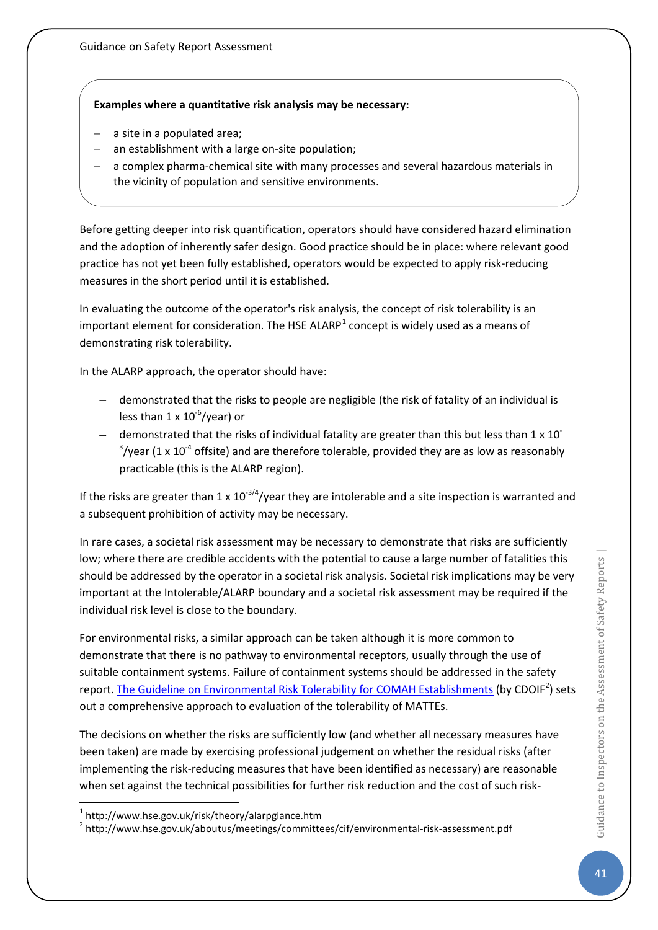### **Examples where a quantitative risk analysis may be necessary:**

- a site in a populated area;
- an establishment with a large on-site population;
- a complex pharma-chemical site with many processes and several hazardous materials in the vicinity of population and sensitive environments.

Before getting deeper into risk quantification, operators should have considered hazard elimination and the adoption of inherently safer design. Good practice should be in place: where relevant good practice has not yet been fully established, operators would be expected to apply risk-reducing measures in the short period until it is established.

In evaluating the outcome of the operator's risk analysis, the concept of risk tolerability is an important element for consideration. The HSE ALARP<sup>[1](#page-41-0)</sup> concept is widely used as a means of demonstrating risk tolerability.

In the ALARP approach, the operator should have:

- − demonstrated that the risks to people are negligible (the risk of fatality of an individual is less than 1 x 10<sup>-6</sup>/year) or
- demonstrated that the risks of individual fatality are greater than this but less than 1 x 10<sup>-</sup>  $3$ /year (1 x 10<sup>-4</sup> offsite) and are therefore tolerable, provided they are as low as reasonably practicable (this is the ALARP region).

If the risks are greater than 1 x  $10^{-3/4}$ /year they are intolerable and a site inspection is warranted and a subsequent prohibition of activity may be necessary.

In rare cases, a societal risk assessment may be necessary to demonstrate that risks are sufficiently low; where there are credible accidents with the potential to cause a large number of fatalities this should be addressed by the operator in a societal risk analysis. Societal risk implications may be very important at the Intolerable/ALARP boundary and a societal risk assessment may be required if the individual risk level is close to the boundary.

For environmental risks, a similar approach can be taken although it is more common to demonstrate that there is no pathway to environmental receptors, usually through the use of suitable containment systems. Failure of containment systems should be addressed in the safety report. [The Guideline on Environmental Risk Tolerability for COMAH Establishments](http://www.hse.gov.uk/aboutus/meetings/committees/cif/environmental-risk-assessment.pdf) (by CDOIF<sup>[2](#page-41-1)</sup>) sets out a comprehensive approach to evaluation of the tolerability of MATTEs.

The decisions on whether the risks are sufficiently low (and whether all necessary measures have been taken) are made by exercising professional judgement on whether the residual risks (after implementing the risk-reducing measures that have been identified as necessary) are reasonable when set against the technical possibilities for further risk reduction and the cost of such risk-

<span id="page-41-1"></span><sup>2</sup> http://www.hse.gov.uk/aboutus/meetings/committees/cif/environmental-risk-assessment.pdf

<span id="page-41-0"></span> <sup>1</sup> http://www.hse.gov.uk/risk/theory/alarpglance.htm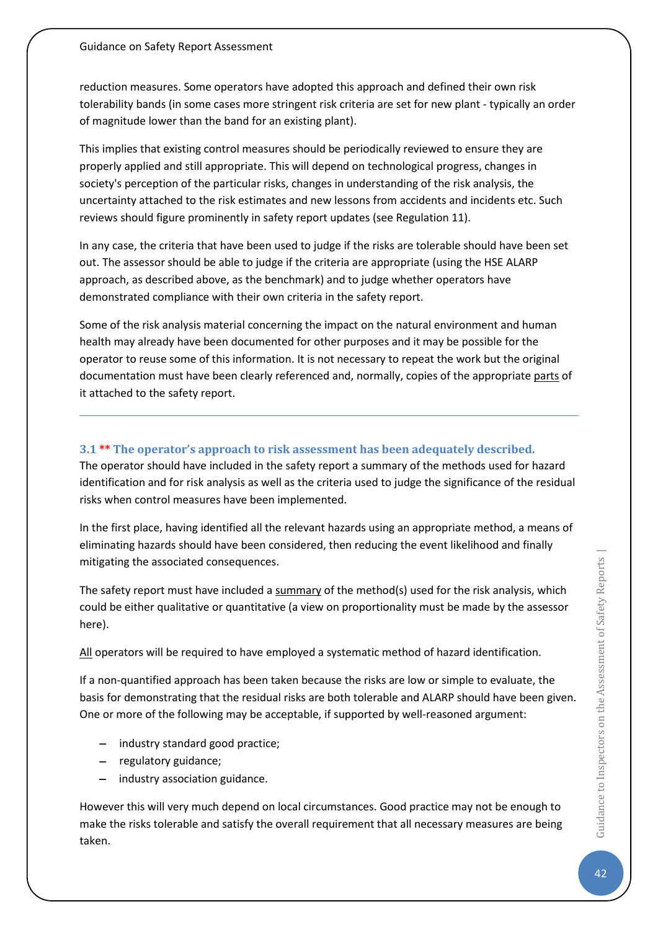reduction measures. Some operators have adopted this approach and defined their own risk tolerability bands (in some cases more stringent risk criteria are set for new plant - typically an order of magnitude lower than the band for an existing plant).

This implies that existing control measures should be periodically reviewed to ensure they are properly applied and still appropriate. This will depend on technological progress, changes in society's perception of the particular risks, changes in understanding of the risk analysis, the uncertainty attached to the risk estimates and new lessons from accidents and incidents etc. Such reviews should figure prominently in safety report updates (see Regulation 11).

In any case, the criteria that have been used to judge if the risks are tolerable should have been set out. The assessor should be able to judge if the criteria are appropriate (using the HSE ALARP approach, as described above, as the benchmark) and to judge whether operators have demonstrated compliance with their own criteria in the safety report.

Some of the risk analysis material concerning the impact on the natural environment and human health may already have been documented for other purposes and it may be possible for the operator to reuse some of this information. It is not necessary to repeat the work but the original documentation must have been clearly referenced and, normally, copies of the appropriate parts of it attached to the safety report.

### **3.1 \*\* The operator's approach to risk assessment has been adequately described.**

The operator should have included in the safety report a summary of the methods used for hazard identification and for risk analysis as well as the criteria used to judge the significance of the residual risks when control measures have been implemented.

In the first place, having identified all the relevant hazards using an appropriate method, a means of eliminating hazards should have been considered, then reducing the event likelihood and finally mitigating the associated consequences.

The safety report must have included a summary of the method(s) used for the risk analysis, which could be either qualitative or quantitative (a view on proportionality must be made by the assessor here).

All operators will be required to have employed a systematic method of hazard identification.

If a non-quantified approach has been taken because the risks are low or simple to evaluate, the basis for demonstrating that the residual risks are both tolerable and ALARP should have been given. One or more of the following may be acceptable, if supported by well-reasoned argument:

- − industry standard good practice;
- − regulatory guidance;
- − industry association guidance.

However this will very much depend on local circumstances. Good practice may not be enough to make the risks tolerable and satisfy the overall requirement that all necessary measures are being taken.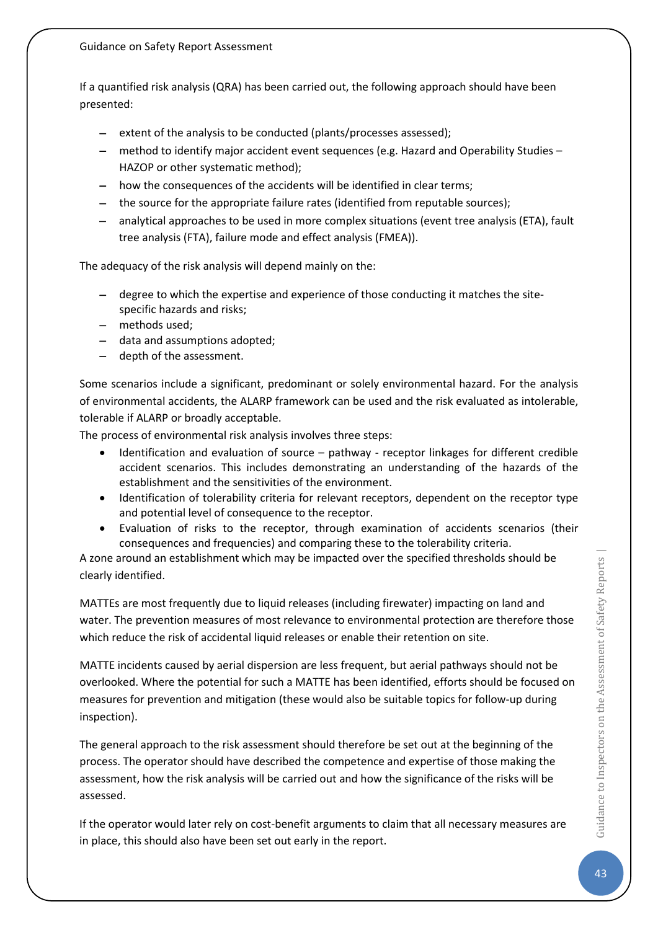#### Guidance on Safety Report Assessment

If a quantified risk analysis (QRA) has been carried out, the following approach should have been presented:

- − extent of the analysis to be conducted (plants/processes assessed);
- − method to identify major accident event sequences (e.g. Hazard and Operability Studies HAZOP or other systematic method);
- − how the consequences of the accidents will be identified in clear terms;
- − the source for the appropriate failure rates (identified from reputable sources);
- − analytical approaches to be used in more complex situations (event tree analysis (ETA), fault tree analysis (FTA), failure mode and effect analysis (FMEA)).

The adequacy of the risk analysis will depend mainly on the:

- − degree to which the expertise and experience of those conducting it matches the sitespecific hazards and risks;
- − methods used;
- − data and assumptions adopted;
- depth of the assessment.

Some scenarios include a significant, predominant or solely environmental hazard. For the analysis of environmental accidents, the ALARP framework can be used and the risk evaluated as intolerable, tolerable if ALARP or broadly acceptable.

The process of environmental risk analysis involves three steps:

- Identification and evaluation of source pathway receptor linkages for different credible accident scenarios. This includes demonstrating an understanding of the hazards of the establishment and the sensitivities of the environment.
- Identification of tolerability criteria for relevant receptors, dependent on the receptor type and potential level of consequence to the receptor.
- Evaluation of risks to the receptor, through examination of accidents scenarios (their consequences and frequencies) and comparing these to the tolerability criteria.

A zone around an establishment which may be impacted over the specified thresholds should be clearly identified.

MATTEs are most frequently due to liquid releases (including firewater) impacting on land and water. The prevention measures of most relevance to environmental protection are therefore those which reduce the risk of accidental liquid releases or enable their retention on site.

MATTE incidents caused by aerial dispersion are less frequent, but aerial pathways should not be overlooked. Where the potential for such a MATTE has been identified, efforts should be focused on measures for prevention and mitigation (these would also be suitable topics for follow-up during inspection).

The general approach to the risk assessment should therefore be set out at the beginning of the process. The operator should have described the competence and expertise of those making the assessment, how the risk analysis will be carried out and how the significance of the risks will be assessed.

If the operator would later rely on cost-benefit arguments to claim that all necessary measures are in place, this should also have been set out early in the report.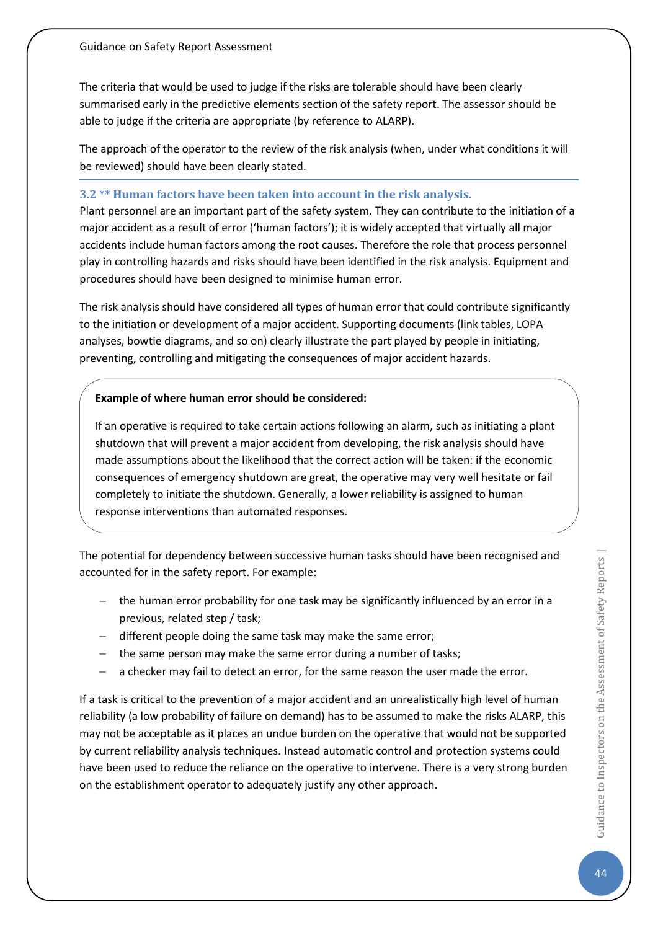The criteria that would be used to judge if the risks are tolerable should have been clearly summarised early in the predictive elements section of the safety report. The assessor should be able to judge if the criteria are appropriate (by reference to ALARP).

The approach of the operator to the review of the risk analysis (when, under what conditions it will be reviewed) should have been clearly stated.

#### **3.2 \*\* Human factors have been taken into account in the risk analysis.**

Plant personnel are an important part of the safety system. They can contribute to the initiation of a major accident as a result of error ('human factors'); it is widely accepted that virtually all major accidents include human factors among the root causes. Therefore the role that process personnel play in controlling hazards and risks should have been identified in the risk analysis. Equipment and procedures should have been designed to minimise human error.

The risk analysis should have considered all types of human error that could contribute significantly to the initiation or development of a major accident. Supporting documents (link tables, LOPA analyses, bowtie diagrams, and so on) clearly illustrate the part played by people in initiating, preventing, controlling and mitigating the consequences of major accident hazards.

### **Example of where human error should be considered:**

If an operative is required to take certain actions following an alarm, such as initiating a plant shutdown that will prevent a major accident from developing, the risk analysis should have made assumptions about the likelihood that the correct action will be taken: if the economic consequences of emergency shutdown are great, the operative may very well hesitate or fail completely to initiate the shutdown. Generally, a lower reliability is assigned to human response interventions than automated responses.

The potential for dependency between successive human tasks should have been recognised and accounted for in the safety report. For example:

- − the human error probability for one task may be significantly influenced by an error in a previous, related step / task;
- − different people doing the same task may make the same error;
- − the same person may make the same error during a number of tasks;
- − a checker may fail to detect an error, for the same reason the user made the error.

If a task is critical to the prevention of a major accident and an unrealistically high level of human reliability (a low probability of failure on demand) has to be assumed to make the risks ALARP, this may not be acceptable as it places an undue burden on the operative that would not be supported by current reliability analysis techniques. Instead automatic control and protection systems could have been used to reduce the reliance on the operative to intervene. There is a very strong burden on the establishment operator to adequately justify any other approach.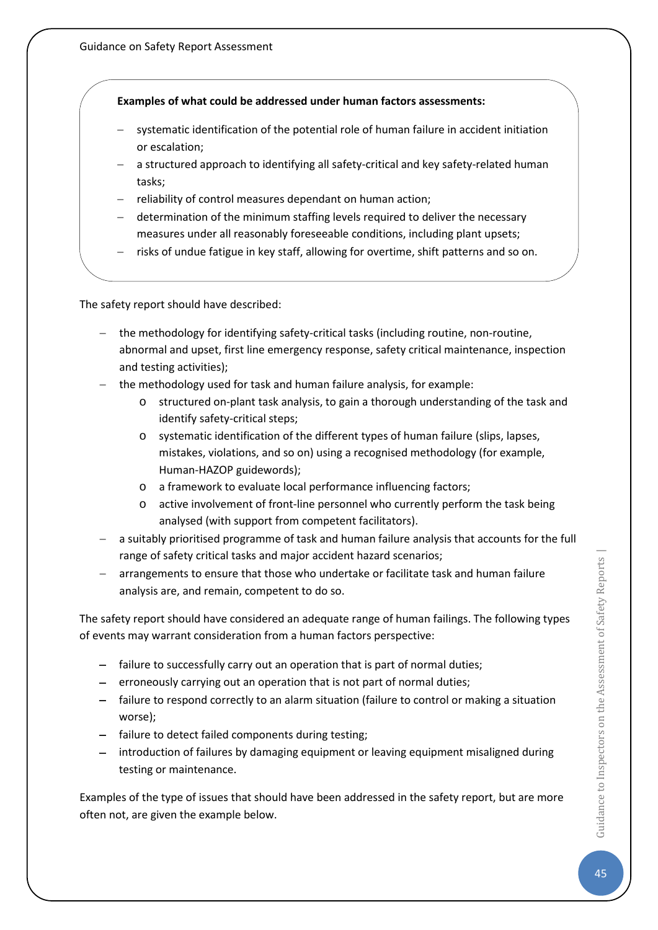### **Examples of what could be addressed under human factors assessments:**

- systematic identification of the potential role of human failure in accident initiation or escalation;
- − a structured approach to identifying all safety-critical and key safety-related human tasks;
- reliability of control measures dependant on human action;
- − determination of the minimum staffing levels required to deliver the necessary measures under all reasonably foreseeable conditions, including plant upsets;
- risks of undue fatigue in key staff, allowing for overtime, shift patterns and so on.

The safety report should have described:

- the methodology for identifying safety-critical tasks (including routine, non-routine, abnormal and upset, first line emergency response, safety critical maintenance, inspection and testing activities);
- − the methodology used for task and human failure analysis, for example:
	- o structured on-plant task analysis, to gain a thorough understanding of the task and identify safety-critical steps;
	- o systematic identification of the different types of human failure (slips, lapses, mistakes, violations, and so on) using a recognised methodology (for example, Human-HAZOP guidewords);
	- o a framework to evaluate local performance influencing factors;
	- o active involvement of front-line personnel who currently perform the task being analysed (with support from competent facilitators).
- − a suitably prioritised programme of task and human failure analysis that accounts for the full range of safety critical tasks and major accident hazard scenarios;
- − arrangements to ensure that those who undertake or facilitate task and human failure analysis are, and remain, competent to do so.

The safety report should have considered an adequate range of human failings. The following types of events may warrant consideration from a human factors perspective:

- − failure to successfully carry out an operation that is part of normal duties;
- − erroneously carrying out an operation that is not part of normal duties;
- − failure to respond correctly to an alarm situation (failure to control or making a situation worse);
- − failure to detect failed components during testing;
- − introduction of failures by damaging equipment or leaving equipment misaligned during testing or maintenance.

Examples of the type of issues that should have been addressed in the safety report, but are more often not, are given the example below.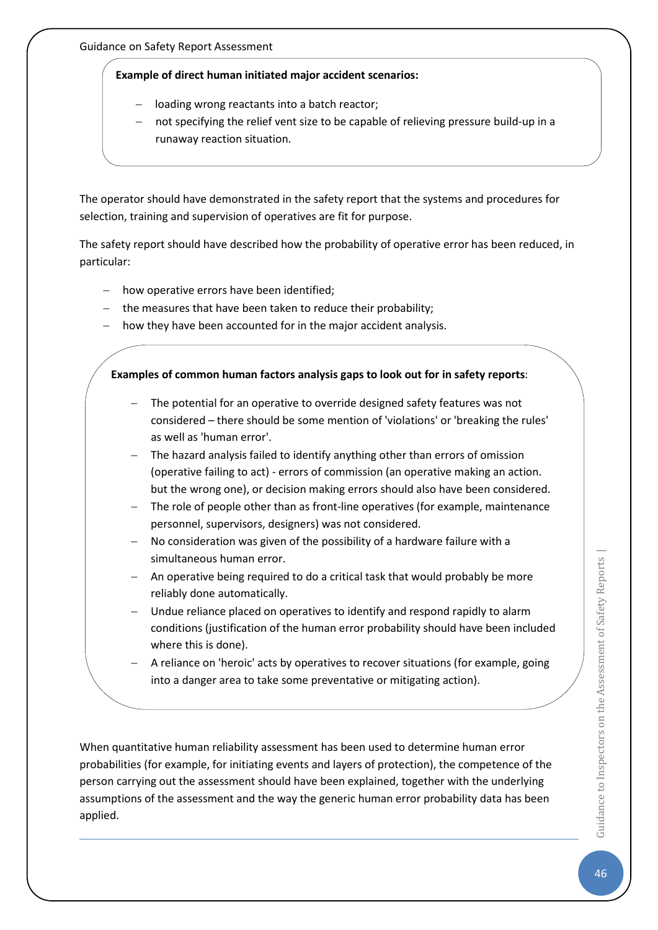### **Example of direct human initiated major accident scenarios:**

- loading wrong reactants into a batch reactor;
- not specifying the relief vent size to be capable of relieving pressure build-up in a runaway reaction situation.

The operator should have demonstrated in the safety report that the systems and procedures for selection, training and supervision of operatives are fit for purpose.

The safety report should have described how the probability of operative error has been reduced, in particular:

- − how operative errors have been identified;
- − the measures that have been taken to reduce their probability;
- how they have been accounted for in the major accident analysis.

### **Examples of common human factors analysis gaps to look out for in safety reports**:

- The potential for an operative to override designed safety features was not considered – there should be some mention of 'violations' or 'breaking the rules' as well as 'human error'.
- − The hazard analysis failed to identify anything other than errors of omission (operative failing to act) - errors of commission (an operative making an action. but the wrong one), or decision making errors should also have been considered.
- The role of people other than as front-line operatives (for example, maintenance personnel, supervisors, designers) was not considered.
- − No consideration was given of the possibility of a hardware failure with a simultaneous human error.
- − An operative being required to do a critical task that would probably be more reliably done automatically.
- − Undue reliance placed on operatives to identify and respond rapidly to alarm conditions (justification of the human error probability should have been included where this is done).
- − A reliance on 'heroic' acts by operatives to recover situations (for example, going into a danger area to take some preventative or mitigating action).

When quantitative human reliability assessment has been used to determine human error probabilities (for example, for initiating events and layers of protection), the competence of the person carrying out the assessment should have been explained, together with the underlying assumptions of the assessment and the way the generic human error probability data has been applied.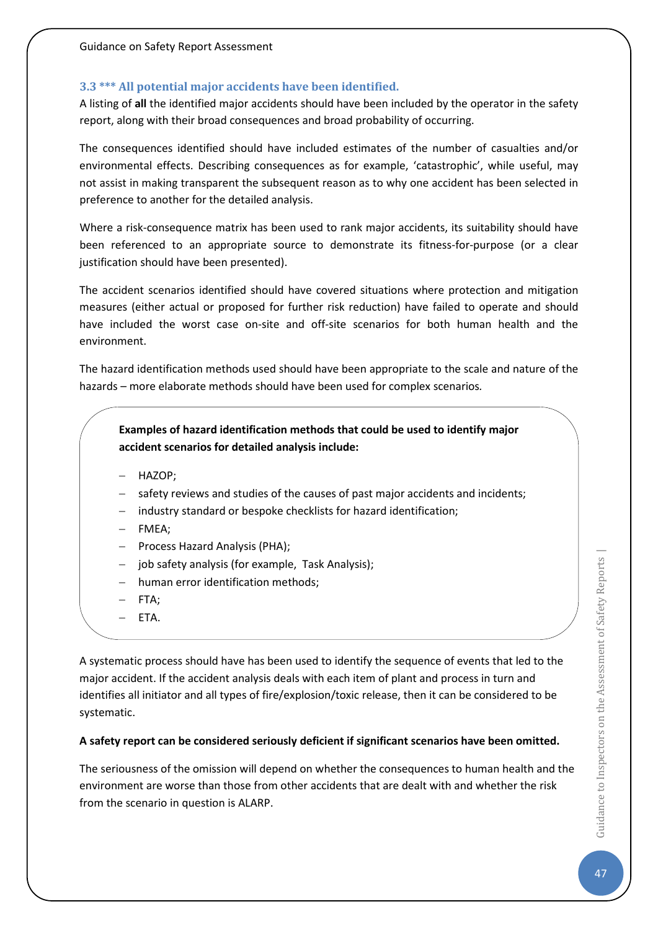### **3.3 \*\*\* All potential major accidents have been identified.**

A listing of **all** the identified major accidents should have been included by the operator in the safety report, along with their broad consequences and broad probability of occurring.

The consequences identified should have included estimates of the number of casualties and/or environmental effects. Describing consequences as for example, 'catastrophic', while useful, may not assist in making transparent the subsequent reason as to why one accident has been selected in preference to another for the detailed analysis.

Where a risk-consequence matrix has been used to rank major accidents, its suitability should have been referenced to an appropriate source to demonstrate its fitness-for-purpose (or a clear justification should have been presented).

The accident scenarios identified should have covered situations where protection and mitigation measures (either actual or proposed for further risk reduction) have failed to operate and should have included the worst case on-site and off-site scenarios for both human health and the environment.

The hazard identification methods used should have been appropriate to the scale and nature of the hazards – more elaborate methods should have been used for complex scenarios*.*

**Examples of hazard identification methods that could be used to identify major accident scenarios for detailed analysis include:**

- − HAZOP;
- safety reviews and studies of the causes of past major accidents and incidents;
- industry standard or bespoke checklists for hazard identification;
- − FMEA;
- − Process Hazard Analysis (PHA);
- − job safety analysis (for example, Task Analysis);
- human error identification methods;
- FTA:
- − ETA.

A systematic process should have has been used to identify the sequence of events that led to the major accident. If the accident analysis deals with each item of plant and process in turn and identifies all initiator and all types of fire/explosion/toxic release, then it can be considered to be systematic.

### **A safety report can be considered seriously deficient if significant scenarios have been omitted.**

The seriousness of the omission will depend on whether the consequences to human health and the environment are worse than those from other accidents that are dealt with and whether the risk from the scenario in question is ALARP.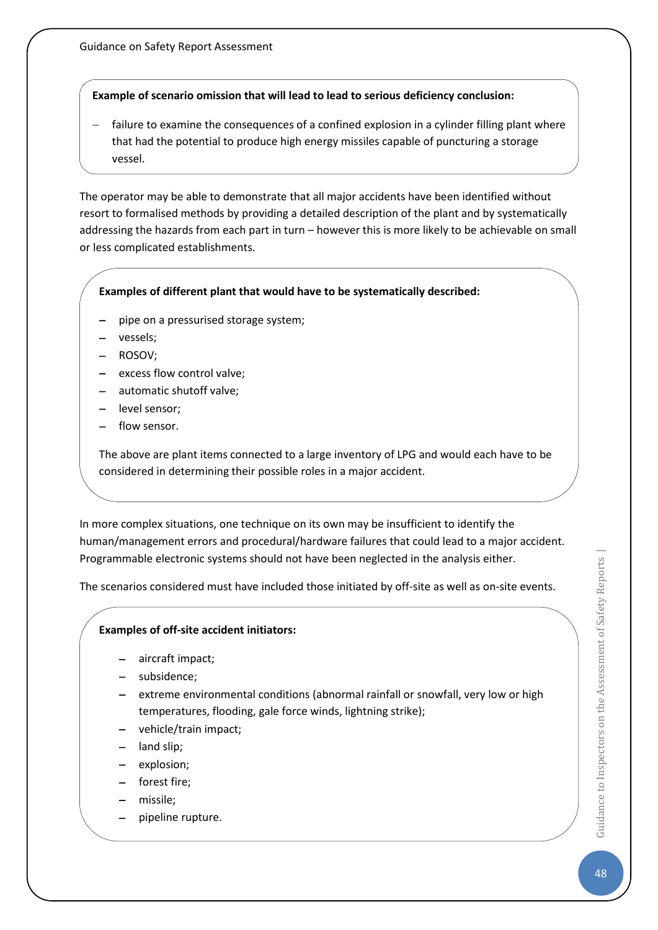### **Example of scenario omission that will lead to lead to serious deficiency conclusion:**

failure to examine the consequences of a confined explosion in a cylinder filling plant where that had the potential to produce high energy missiles capable of puncturing a storage vessel.

The operator may be able to demonstrate that all major accidents have been identified without resort to formalised methods by providing a detailed description of the plant and by systematically addressing the hazards from each part in turn – however this is more likely to be achievable on small or less complicated establishments.

### **Examples of different plant that would have to be systematically described:**

- − pipe on a pressurised storage system;
- − vessels;
- − ROSOV;
- − excess flow control valve;
- automatic shutoff valve;
- − level sensor;
- flow sensor.

The above are plant items connected to a large inventory of LPG and would each have to be considered in determining their possible roles in a major accident.

In more complex situations, one technique on its own may be insufficient to identify the human/management errors and procedural/hardware failures that could lead to a major accident. Programmable electronic systems should not have been neglected in the analysis either.

The scenarios considered must have included those initiated by off-site as well as on-site events.

### **Examples of off-site accident initiators:**

- − aircraft impact;
- − subsidence;
- extreme environmental conditions (abnormal rainfall or snowfall, very low or high temperatures, flooding, gale force winds, lightning strike);
- − vehicle/train impact;
- − land slip;
- explosion;
- − forest fire;
- − missile;
- − pipeline rupture.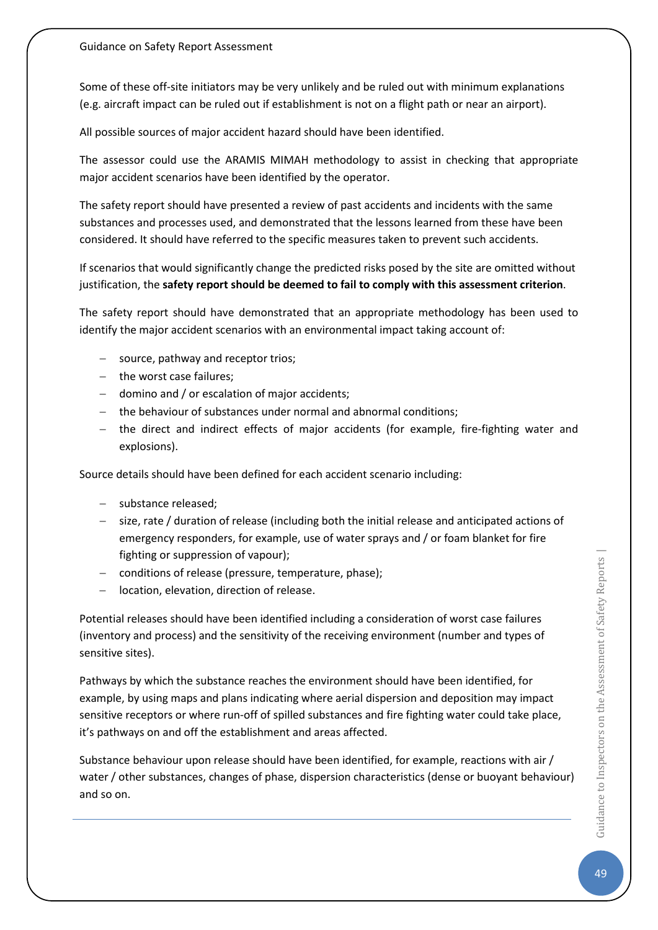Some of these off-site initiators may be very unlikely and be ruled out with minimum explanations (e.g. aircraft impact can be ruled out if establishment is not on a flight path or near an airport).

All possible sources of major accident hazard should have been identified.

The assessor could use the ARAMIS MIMAH methodology to assist in checking that appropriate major accident scenarios have been identified by the operator.

The safety report should have presented a review of past accidents and incidents with the same substances and processes used, and demonstrated that the lessons learned from these have been considered. It should have referred to the specific measures taken to prevent such accidents.

If scenarios that would significantly change the predicted risks posed by the site are omitted without justification, the **safety report should be deemed to fail to comply with this assessment criterion**.

The safety report should have demonstrated that an appropriate methodology has been used to identify the major accident scenarios with an environmental impact taking account of:

- source, pathway and receptor trios;
- − the worst case failures;
- − domino and / or escalation of major accidents;
- − the behaviour of substances under normal and abnormal conditions;
- − the direct and indirect effects of major accidents (for example, fire-fighting water and explosions).

Source details should have been defined for each accident scenario including:

- − substance released;
- − size, rate / duration of release (including both the initial release and anticipated actions of emergency responders, for example, use of water sprays and / or foam blanket for fire fighting or suppression of vapour);
- − conditions of release (pressure, temperature, phase);
- − location, elevation, direction of release.

Potential releases should have been identified including a consideration of worst case failures (inventory and process) and the sensitivity of the receiving environment (number and types of sensitive sites).

Pathways by which the substance reaches the environment should have been identified, for example, by using maps and plans indicating where aerial dispersion and deposition may impact sensitive receptors or where run-off of spilled substances and fire fighting water could take place, it's pathways on and off the establishment and areas affected.

Substance behaviour upon release should have been identified, for example, reactions with air / water / other substances, changes of phase, dispersion characteristics (dense or buoyant behaviour) and so on.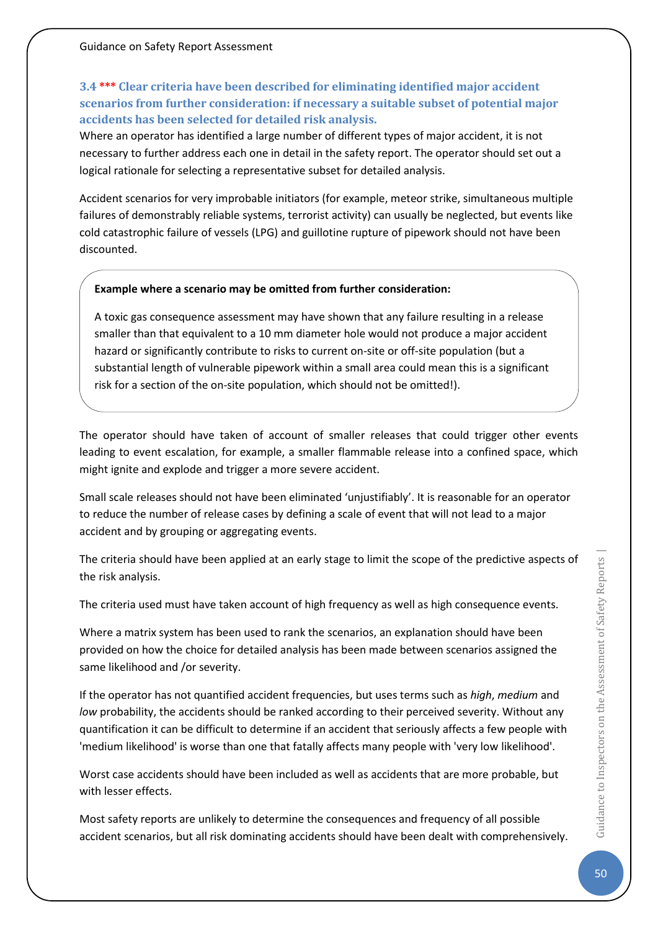# **3.4 \*\*\* Clear criteria have been described for eliminating identified major accident scenarios from further consideration: if necessary a suitable subset of potential major accidents has been selected for detailed risk analysis.**

Where an operator has identified a large number of different types of major accident, it is not necessary to further address each one in detail in the safety report. The operator should set out a logical rationale for selecting a representative subset for detailed analysis.

Accident scenarios for very improbable initiators (for example, meteor strike, simultaneous multiple failures of demonstrably reliable systems, terrorist activity) can usually be neglected, but events like cold catastrophic failure of vessels (LPG) and guillotine rupture of pipework should not have been discounted.

### **Example where a scenario may be omitted from further consideration:**

A toxic gas consequence assessment may have shown that any failure resulting in a release smaller than that equivalent to a 10 mm diameter hole would not produce a major accident hazard or significantly contribute to risks to current on-site or off-site population (but a substantial length of vulnerable pipework within a small area could mean this is a significant risk for a section of the on-site population, which should not be omitted!).

The operator should have taken of account of smaller releases that could trigger other events leading to event escalation, for example, a smaller flammable release into a confined space, which might ignite and explode and trigger a more severe accident.

Small scale releases should not have been eliminated 'unjustifiably'. It is reasonable for an operator to reduce the number of release cases by defining a scale of event that will not lead to a major accident and by grouping or aggregating events.

The criteria should have been applied at an early stage to limit the scope of the predictive aspects of the risk analysis.

The criteria used must have taken account of high frequency as well as high consequence events.

Where a matrix system has been used to rank the scenarios, an explanation should have been provided on how the choice for detailed analysis has been made between scenarios assigned the same likelihood and /or severity.

If the operator has not quantified accident frequencies, but uses terms such as *high*, *medium* and *low* probability, the accidents should be ranked according to their perceived severity. Without any quantification it can be difficult to determine if an accident that seriously affects a few people with 'medium likelihood' is worse than one that fatally affects many people with 'very low likelihood'.

Worst case accidents should have been included as well as accidents that are more probable, but with lesser effects.

Most safety reports are unlikely to determine the consequences and frequency of all possible accident scenarios, but all risk dominating accidents should have been dealt with comprehensively.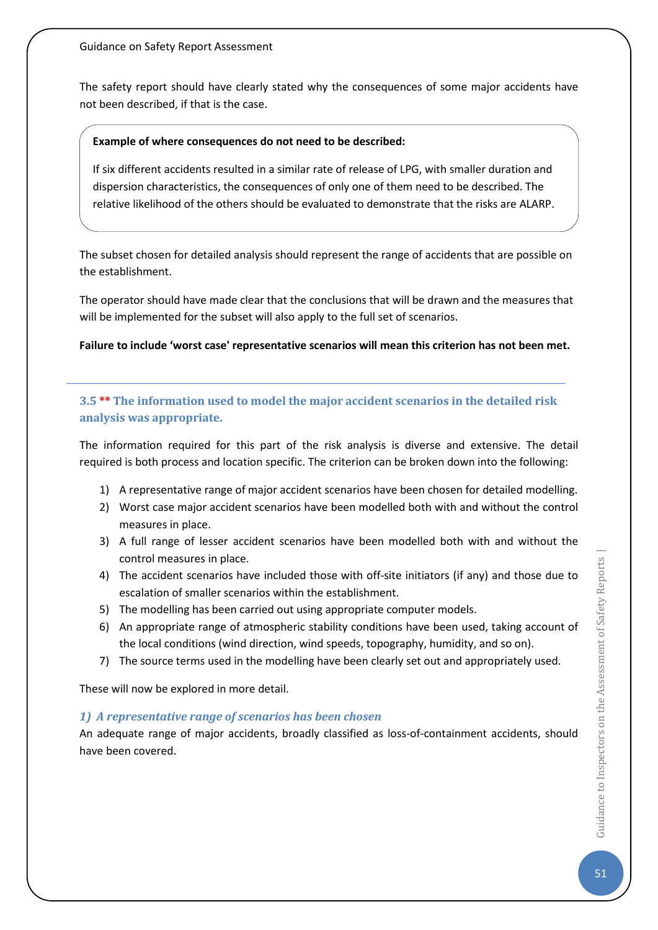Guidance on Safety Report Assessment

The safety report should have clearly stated why the consequences of some major accidents have not been described, if that is the case.

### **Example of where consequences do not need to be described:**

If six different accidents resulted in a similar rate of release of LPG, with smaller duration and dispersion characteristics, the consequences of only one of them need to be described. The relative likelihood of the others should be evaluated to demonstrate that the risks are ALARP.

The subset chosen for detailed analysis should represent the range of accidents that are possible on the establishment.

The operator should have made clear that the conclusions that will be drawn and the measures that will be implemented for the subset will also apply to the full set of scenarios.

**Failure to include 'worst case' representative scenarios will mean this criterion has not been met.**

# **3.5 \*\* The information used to model the major accident scenarios in the detailed risk analysis was appropriate.**

The information required for this part of the risk analysis is diverse and extensive. The detail required is both process and location specific. The criterion can be broken down into the following:

- 1) A representative range of major accident scenarios have been chosen for detailed modelling.
- 2) Worst case major accident scenarios have been modelled both with and without the control measures in place.
- 3) A full range of lesser accident scenarios have been modelled both with and without the control measures in place.
- 4) The accident scenarios have included those with off-site initiators (if any) and those due to escalation of smaller scenarios within the establishment.
- 5) The modelling has been carried out using appropriate computer models.
- 6) An appropriate range of atmospheric stability conditions have been used, taking account of the local conditions (wind direction, wind speeds, topography, humidity, and so on).
- 7) The source terms used in the modelling have been clearly set out and appropriately used.

These will now be explored in more detail.

### *1) A representative range of scenarios has been chosen*

An adequate range of major accidents, broadly classified as loss-of-containment accidents, should have been covered.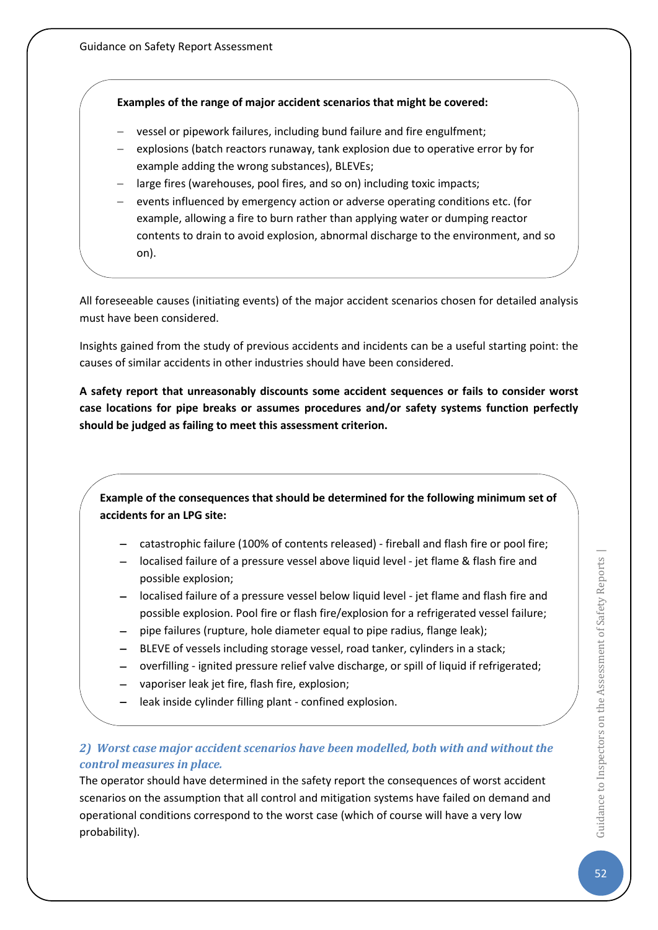#### **Examples of the range of major accident scenarios that might be covered:**

- − vessel or pipework failures, including bund failure and fire engulfment;
- − explosions (batch reactors runaway, tank explosion due to operative error by for example adding the wrong substances), BLEVEs;
- − large fires (warehouses, pool fires, and so on) including toxic impacts;
- − events influenced by emergency action or adverse operating conditions etc. (for example, allowing a fire to burn rather than applying water or dumping reactor contents to drain to avoid explosion, abnormal discharge to the environment, and so on).

All foreseeable causes (initiating events) of the major accident scenarios chosen for detailed analysis must have been considered.

Insights gained from the study of previous accidents and incidents can be a useful starting point: the causes of similar accidents in other industries should have been considered.

**A safety report that unreasonably discounts some accident sequences or fails to consider worst case locations for pipe breaks or assumes procedures and/or safety systems function perfectly should be judged as failing to meet this assessment criterion.**

**Example of the consequences that should be determined for the following minimum set of accidents for an LPG site:**

- − catastrophic failure (100% of contents released) fireball and flash fire or pool fire;
- − localised failure of a pressure vessel above liquid level jet flame & flash fire and possible explosion;
- − localised failure of a pressure vessel below liquid level jet flame and flash fire and possible explosion. Pool fire or flash fire/explosion for a refrigerated vessel failure;
- − pipe failures (rupture, hole diameter equal to pipe radius, flange leak);
- BLEVE of vessels including storage vessel, road tanker, cylinders in a stack;
- − overfilling ignited pressure relief valve discharge, or spill of liquid if refrigerated;
- vaporiser leak jet fire, flash fire, explosion;
- − leak inside cylinder filling plant confined explosion.

### *2) Worst case major accident scenarios have been modelled, both with and without the control measures in place.*

The operator should have determined in the safety report the consequences of worst accident scenarios on the assumption that all control and mitigation systems have failed on demand and operational conditions correspond to the worst case (which of course will have a very low probability).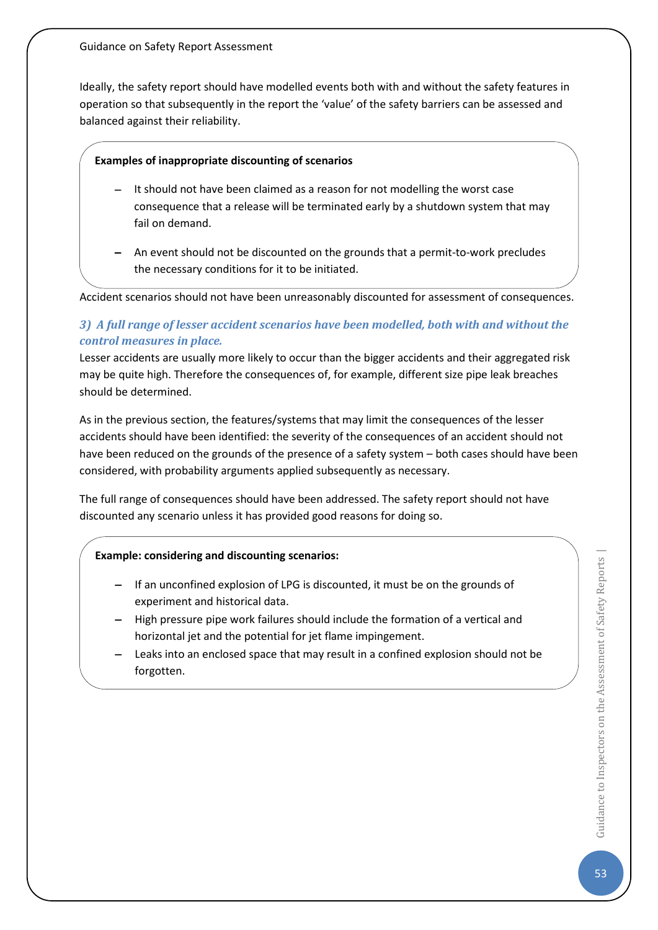Ideally, the safety report should have modelled events both with and without the safety features in operation so that subsequently in the report the 'value' of the safety barriers can be assessed and balanced against their reliability.

### **Examples of inappropriate discounting of scenarios**

- − It should not have been claimed as a reason for not modelling the worst case consequence that a release will be terminated early by a shutdown system that may fail on demand.
- − An event should not be discounted on the grounds that a permit-to-work precludes the necessary conditions for it to be initiated.

Accident scenarios should not have been unreasonably discounted for assessment of consequences.

### *3) A full range of lesser accident scenarios have been modelled, both with and without the control measures in place.*

Lesser accidents are usually more likely to occur than the bigger accidents and their aggregated risk may be quite high. Therefore the consequences of, for example, different size pipe leak breaches should be determined.

As in the previous section, the features/systems that may limit the consequences of the lesser accidents should have been identified: the severity of the consequences of an accident should not have been reduced on the grounds of the presence of a safety system – both cases should have been considered, with probability arguments applied subsequently as necessary.

The full range of consequences should have been addressed. The safety report should not have discounted any scenario unless it has provided good reasons for doing so.

### **Example: considering and discounting scenarios:**

- − If an unconfined explosion of LPG is discounted, it must be on the grounds of experiment and historical data.
- − High pressure pipe work failures should include the formation of a vertical and horizontal jet and the potential for jet flame impingement.
- − Leaks into an enclosed space that may result in a confined explosion should not be forgotten.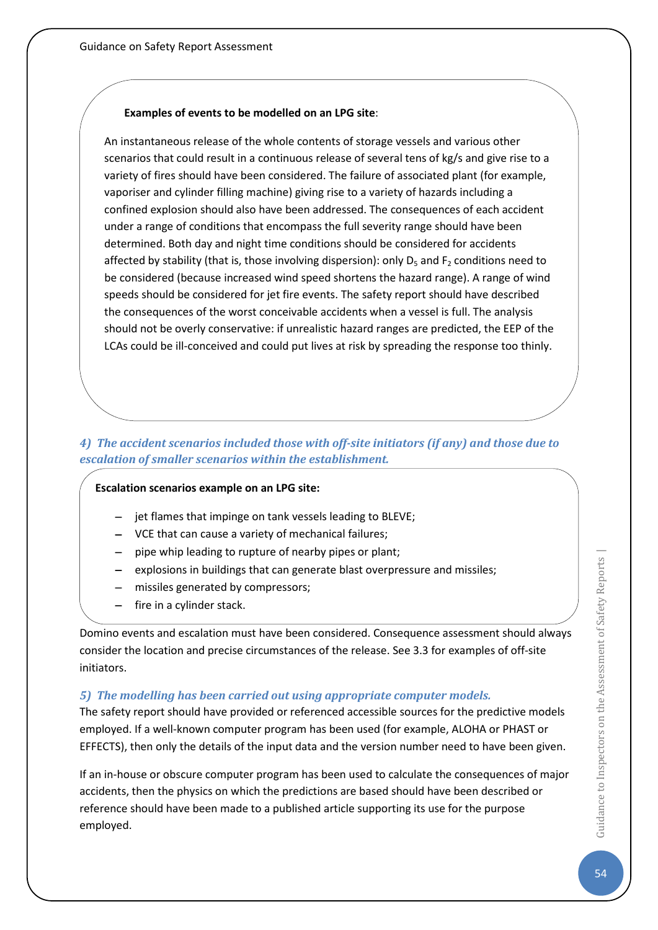### **Examples of events to be modelled on an LPG site**:

An instantaneous release of the whole contents of storage vessels and various other scenarios that could result in a continuous release of several tens of kg/s and give rise to a variety of fires should have been considered. The failure of associated plant (for example, vaporiser and cylinder filling machine) giving rise to a variety of hazards including a confined explosion should also have been addressed. The consequences of each accident under a range of conditions that encompass the full severity range should have been determined. Both day and night time conditions should be considered for accidents affected by stability (that is, those involving dispersion): only  $D_5$  and  $F_2$  conditions need to be considered (because increased wind speed shortens the hazard range). A range of wind speeds should be considered for jet fire events. The safety report should have described the consequences of the worst conceivable accidents when a vessel is full. The analysis should not be overly conservative: if unrealistic hazard ranges are predicted, the EEP of the LCAs could be ill-conceived and could put lives at risk by spreading the response too thinly.

### *4) The accident scenarios included those with off-site initiators (if any) and those due to escalation of smaller scenarios within the establishment.*

### **Escalation scenarios example on an LPG site:**

- − jet flames that impinge on tank vessels leading to BLEVE;
- − VCE that can cause a variety of mechanical failures;
- − pipe whip leading to rupture of nearby pipes or plant;
- − explosions in buildings that can generate blast overpressure and missiles;
- − missiles generated by compressors;
- − fire in a cylinder stack.

Domino events and escalation must have been considered. Consequence assessment should always consider the location and precise circumstances of the release. See 3.3 for examples of off-site initiators.

### *5) The modelling has been carried out using appropriate computer models.*

The safety report should have provided or referenced accessible sources for the predictive models employed. If a well-known computer program has been used (for example, ALOHA or PHAST or EFFECTS), then only the details of the input data and the version number need to have been given.

If an in-house or obscure computer program has been used to calculate the consequences of major accidents, then the physics on which the predictions are based should have been described or reference should have been made to a published article supporting its use for the purpose employed.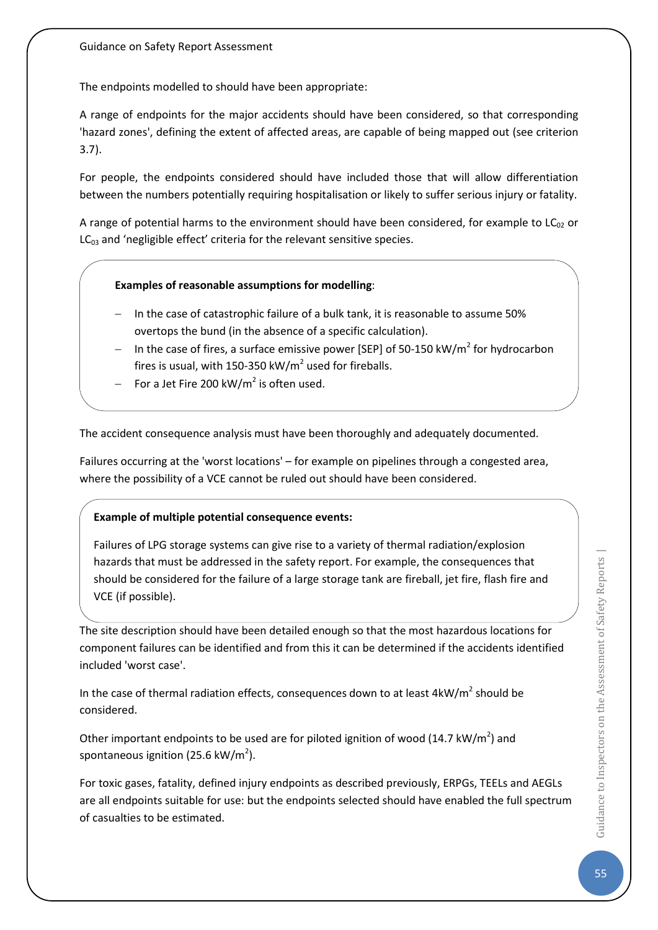The endpoints modelled to should have been appropriate:

A range of endpoints for the major accidents should have been considered, so that corresponding 'hazard zones', defining the extent of affected areas, are capable of being mapped out (see criterion 3.7).

For people, the endpoints considered should have included those that will allow differentiation between the numbers potentially requiring hospitalisation or likely to suffer serious injury or fatality.

A range of potential harms to the environment should have been considered, for example to  $LC_{02}$  or  $LC_{03}$  and 'negligible effect' criteria for the relevant sensitive species.

### **Examples of reasonable assumptions for modelling**:

- − In the case of catastrophic failure of a bulk tank, it is reasonable to assume 50% overtops the bund (in the absence of a specific calculation).
- − In the case of fires, a surface emissive power [SEP] of 50-150 kW/m<sup>2</sup> for hydrocarbon fires is usual, with 150-350 kW/ $m<sup>2</sup>$  used for fireballs.
- For a Jet Fire 200 kW/m<sup>2</sup> is often used.

The accident consequence analysis must have been thoroughly and adequately documented.

Failures occurring at the 'worst locations' – for example on pipelines through a congested area, where the possibility of a VCE cannot be ruled out should have been considered.

### **Example of multiple potential consequence events:**

Failures of LPG storage systems can give rise to a variety of thermal radiation/explosion hazards that must be addressed in the safety report. For example, the consequences that should be considered for the failure of a large storage tank are fireball, jet fire, flash fire and VCE (if possible).

The site description should have been detailed enough so that the most hazardous locations for component failures can be identified and from this it can be determined if the accidents identified included 'worst case'.

In the case of thermal radiation effects, consequences down to at least  $4kW/m^2$  should be considered.

Other important endpoints to be used are for piloted ignition of wood (14.7 kW/m<sup>2</sup>) and spontaneous ignition (25.6 kW/m<sup>2</sup>).

For toxic gases, fatality, defined injury endpoints as described previously, ERPGs, TEELs and AEGLs are all endpoints suitable for use: but the endpoints selected should have enabled the full spectrum of casualties to be estimated.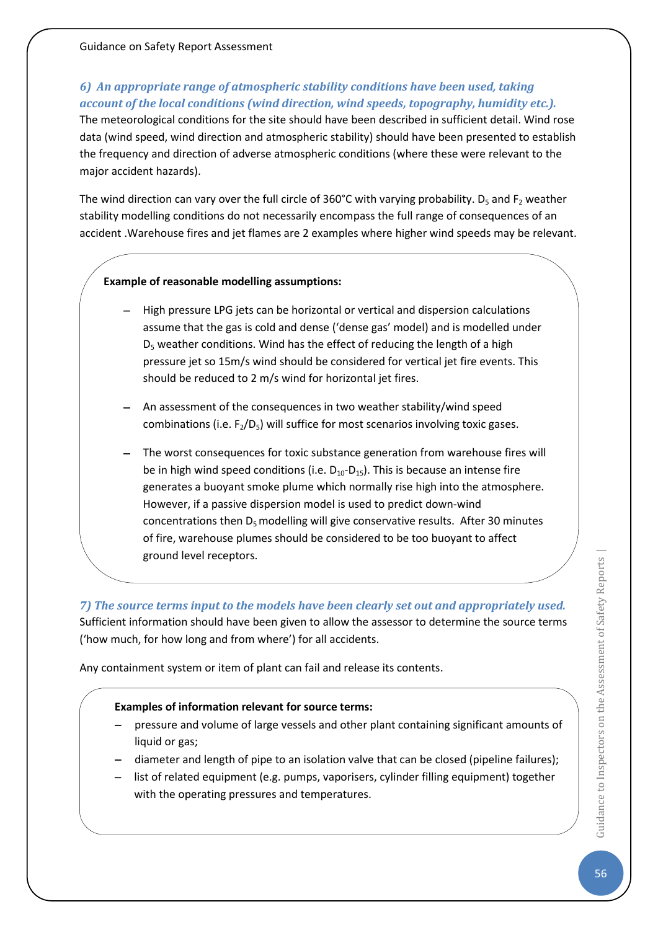# *6) An appropriate range of atmospheric stability conditions have been used, taking account of the local conditions (wind direction, wind speeds, topography, humidity etc.).*

The meteorological conditions for the site should have been described in sufficient detail. Wind rose data (wind speed, wind direction and atmospheric stability) should have been presented to establish the frequency and direction of adverse atmospheric conditions (where these were relevant to the major accident hazards).

The wind direction can vary over the full circle of 360°C with varying probability.  $D_5$  and  $F_2$  weather stability modelling conditions do not necessarily encompass the full range of consequences of an accident .Warehouse fires and jet flames are 2 examples where higher wind speeds may be relevant.

### **Example of reasonable modelling assumptions:**

- − High pressure LPG jets can be horizontal or vertical and dispersion calculations assume that the gas is cold and dense ('dense gas' model) and is modelled under  $D<sub>5</sub>$  weather conditions. Wind has the effect of reducing the length of a high pressure jet so 15m/s wind should be considered for vertical jet fire events. This should be reduced to 2 m/s wind for horizontal jet fires.
- − An assessment of the consequences in two weather stability/wind speed combinations (i.e.  $F_2/D_5$ ) will suffice for most scenarios involving toxic gases.
- The worst consequences for toxic substance generation from warehouse fires will be in high wind speed conditions (i.e.  $D_{10}-D_{15}$ ). This is because an intense fire generates a buoyant smoke plume which normally rise high into the atmosphere. However, if a passive dispersion model is used to predict down-wind concentrations then  $D_5$  modelling will give conservative results. After 30 minutes of fire, warehouse plumes should be considered to be too buoyant to affect ground level receptors.

*7) The source terms input to the models have been clearly set out and appropriately used.* Sufficient information should have been given to allow the assessor to determine the source terms ('how much, for how long and from where') for all accidents.

Any containment system or item of plant can fail and release its contents.

### **Examples of information relevant for source terms:**

- − pressure and volume of large vessels and other plant containing significant amounts of liquid or gas;
- − diameter and length of pipe to an isolation valve that can be closed (pipeline failures);
- − list of related equipment (e.g. pumps, vaporisers, cylinder filling equipment) together with the operating pressures and temperatures.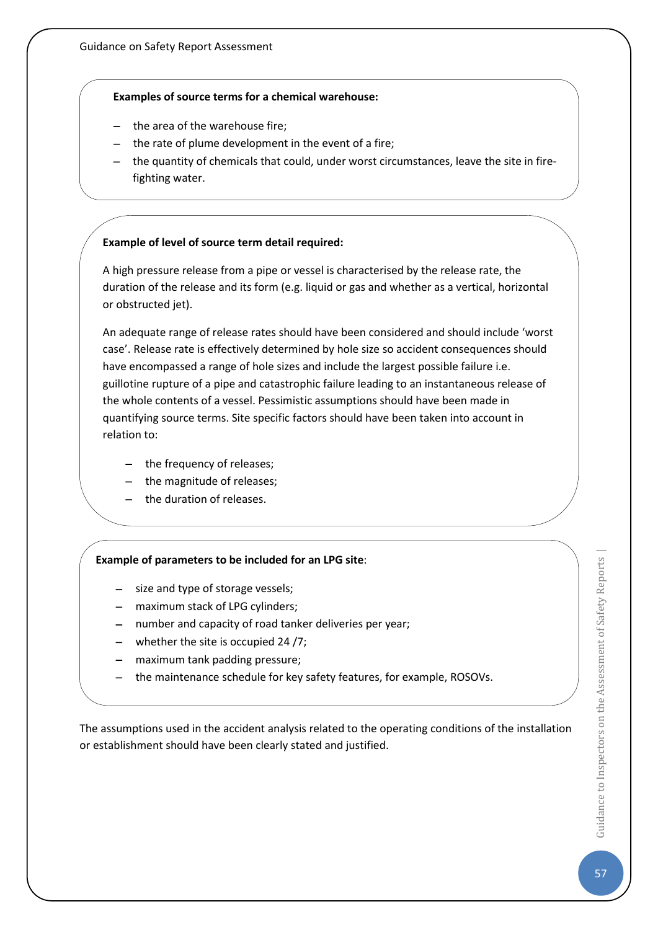### **Examples of source terms for a chemical warehouse:**

- the area of the warehouse fire;
- the rate of plume development in the event of a fire;
- − the quantity of chemicals that could, under worst circumstances, leave the site in firefighting water.

### **Example of level of source term detail required:**

A high pressure release from a pipe or vessel is characterised by the release rate, the duration of the release and its form (e.g. liquid or gas and whether as a vertical, horizontal or obstructed jet).

An adequate range of release rates should have been considered and should include 'worst case'. Release rate is effectively determined by hole size so accident consequences should have encompassed a range of hole sizes and include the largest possible failure i.e. guillotine rupture of a pipe and catastrophic failure leading to an instantaneous release of the whole contents of a vessel. Pessimistic assumptions should have been made in quantifying source terms. Site specific factors should have been taken into account in relation to:

- − the frequency of releases;
- the magnitude of releases;
- − the duration of releases.

### **Example of parameters to be included for an LPG site**:

- − size and type of storage vessels;
- − maximum stack of LPG cylinders;
- − number and capacity of road tanker deliveries per year;
- − whether the site is occupied 24 /7;
- − maximum tank padding pressure;
- − the maintenance schedule for key safety features, for example, ROSOVs.

The assumptions used in the accident analysis related to the operating conditions of the installation or establishment should have been clearly stated and justified.

57Guidance to Inspectors on the Assessment of Safety Reports | Guidance to Inspectors on the Assessment of Safety Reports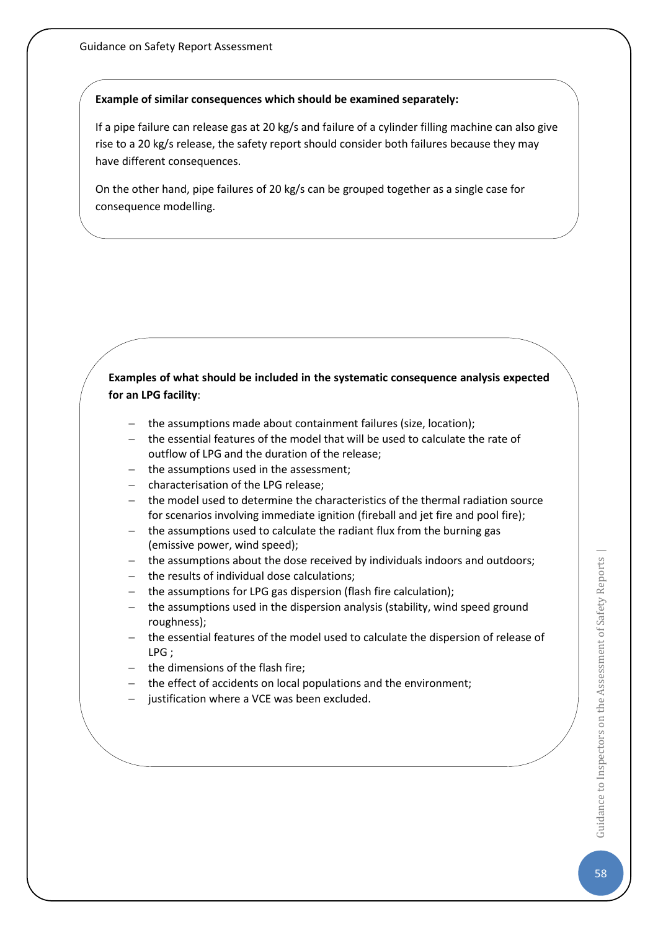#### **Example of similar consequences which should be examined separately:**

If a pipe failure can release gas at 20 kg/s and failure of a cylinder filling machine can also give rise to a 20 kg/s release, the safety report should consider both failures because they may have different consequences.

On the other hand, pipe failures of 20 kg/s can be grouped together as a single case for consequence modelling.

### **Examples of what should be included in the systematic consequence analysis expected for an LPG facility**:

- − the assumptions made about containment failures (size, location);
- − the essential features of the model that will be used to calculate the rate of outflow of LPG and the duration of the release;
- − the assumptions used in the assessment;
- − characterisation of the LPG release;
- − the model used to determine the characteristics of the thermal radiation source for scenarios involving immediate ignition (fireball and jet fire and pool fire);
- − the assumptions used to calculate the radiant flux from the burning gas (emissive power, wind speed);
- − the assumptions about the dose received by individuals indoors and outdoors;
- the results of individual dose calculations;
- the assumptions for LPG gas dispersion (flash fire calculation);
- the assumptions used in the dispersion analysis (stability, wind speed ground roughness);
- the essential features of the model used to calculate the dispersion of release of LPG ;
- − the dimensions of the flash fire;
- the effect of accidents on local populations and the environment;
- justification where a VCE was been excluded.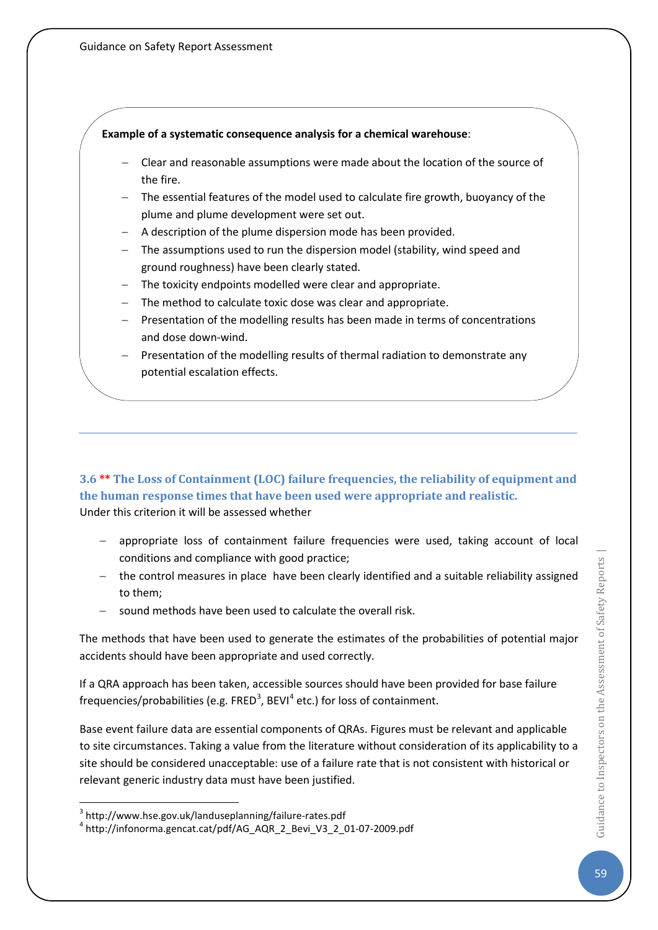#### **Example of a systematic consequence analysis for a chemical warehouse**:

- − Clear and reasonable assumptions were made about the location of the source of the fire.
- − The essential features of the model used to calculate fire growth, buoyancy of the plume and plume development were set out.
- − A description of the plume dispersion mode has been provided.
- − The assumptions used to run the dispersion model (stability, wind speed and ground roughness) have been clearly stated.
- The toxicity endpoints modelled were clear and appropriate.
- The method to calculate toxic dose was clear and appropriate.
- − Presentation of the modelling results has been made in terms of concentrations and dose down-wind.
- Presentation of the modelling results of thermal radiation to demonstrate any potential escalation effects.

**3.6 \*\* The Loss of Containment (LOC) failure frequencies, the reliability of equipment and the human response times that have been used were appropriate and realistic.** Under this criterion it will be assessed whether

- appropriate loss of containment failure frequencies were used, taking account of local conditions and compliance with good practice;
- − the control measures in place have been clearly identified and a suitable reliability assigned to them;
- sound methods have been used to calculate the overall risk.

The methods that have been used to generate the estimates of the probabilities of potential major accidents should have been appropriate and used correctly.

If a QRA approach has been taken, accessible sources should have been provided for base failure frequencies/probabilities (e.g. FRED<sup>[3](#page-59-0)</sup>, BEVI<sup>[4](#page-59-1)</sup> etc.) for loss of containment.

Base event failure data are essential components of QRAs. Figures must be relevant and applicable to site circumstances. Taking a value from the literature without consideration of its applicability to a site should be considered unacceptable: use of a failure rate that is not consistent with historical or relevant generic industry data must have been justified.

<span id="page-59-1"></span><span id="page-59-0"></span> $3$  http://www.hse.gov.uk/landuseplanning/failure-rates.pdf<br> $4$  http://infonorma.gencat.cat/pdf/AG\_AQR\_2\_Bevi\_V3\_2\_01-07-2009.pdf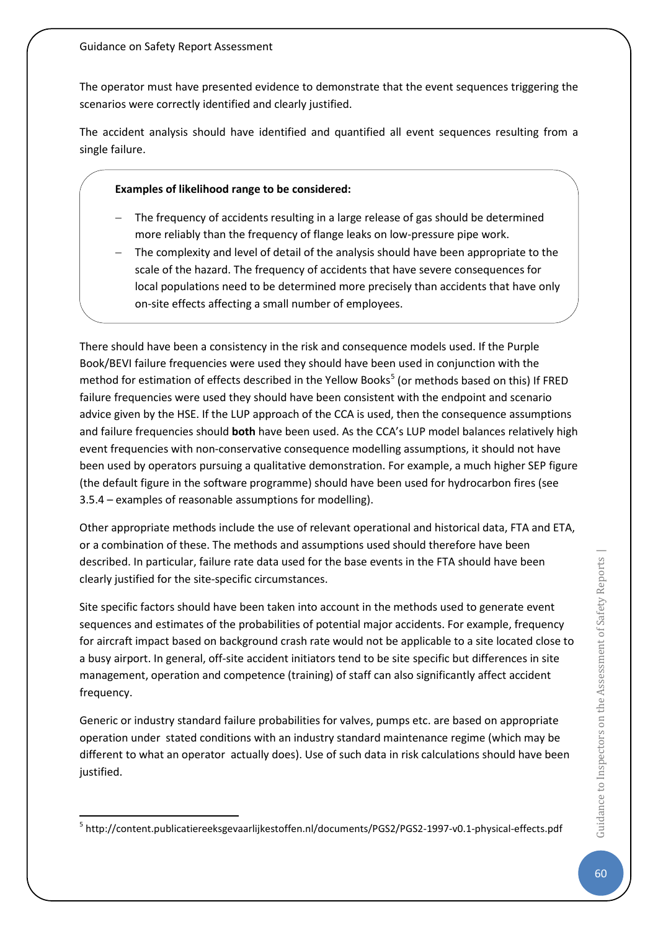The operator must have presented evidence to demonstrate that the event sequences triggering the scenarios were correctly identified and clearly justified.

The accident analysis should have identified and quantified all event sequences resulting from a single failure.

### **Examples of likelihood range to be considered:**

- − The frequency of accidents resulting in a large release of gas should be determined more reliably than the frequency of flange leaks on low-pressure pipe work.
- − The complexity and level of detail of the analysis should have been appropriate to the scale of the hazard. The frequency of accidents that have severe consequences for local populations need to be determined more precisely than accidents that have only on-site effects affecting a small number of employees.

There should have been a consistency in the risk and consequence models used. If the Purple Book/BEVI failure frequencies were used they should have been used in conjunction with the method for estimation of effects described in the Yellow Books<sup>[5](#page-60-0)</sup> (or methods based on this) If FRED failure frequencies were used they should have been consistent with the endpoint and scenario advice given by the HSE. If the LUP approach of the CCA is used, then the consequence assumptions and failure frequencies should **both** have been used. As the CCA's LUP model balances relatively high event frequencies with non-conservative consequence modelling assumptions, it should not have been used by operators pursuing a qualitative demonstration. For example, a much higher SEP figure (the default figure in the software programme) should have been used for hydrocarbon fires (see 3.5.4 – examples of reasonable assumptions for modelling).

Other appropriate methods include the use of relevant operational and historical data, FTA and ETA, or a combination of these. The methods and assumptions used should therefore have been described. In particular, failure rate data used for the base events in the FTA should have been clearly justified for the site-specific circumstances.

Site specific factors should have been taken into account in the methods used to generate event sequences and estimates of the probabilities of potential major accidents. For example, frequency for aircraft impact based on background crash rate would not be applicable to a site located close to a busy airport. In general, off-site accident initiators tend to be site specific but differences in site management, operation and competence (training) of staff can also significantly affect accident frequency.

Generic or industry standard failure probabilities for valves, pumps etc. are based on appropriate operation under stated conditions with an industry standard maintenance regime (which may be different to what an operator actually does). Use of such data in risk calculations should have been justified.

<span id="page-60-0"></span> <sup>5</sup> http://content.publicatiereeksgevaarlijkestoffen.nl/documents/PGS2/PGS2-1997-v0.1-physical-effects.pdf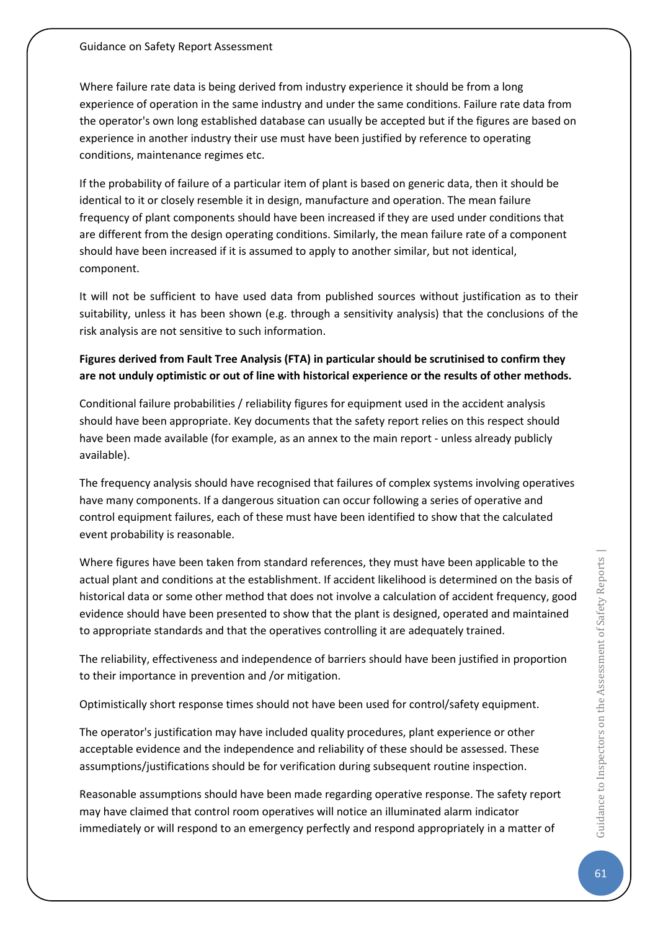Where failure rate data is being derived from industry experience it should be from a long experience of operation in the same industry and under the same conditions. Failure rate data from the operator's own long established database can usually be accepted but if the figures are based on experience in another industry their use must have been justified by reference to operating conditions, maintenance regimes etc.

If the probability of failure of a particular item of plant is based on generic data, then it should be identical to it or closely resemble it in design, manufacture and operation. The mean failure frequency of plant components should have been increased if they are used under conditions that are different from the design operating conditions. Similarly, the mean failure rate of a component should have been increased if it is assumed to apply to another similar, but not identical, component.

It will not be sufficient to have used data from published sources without justification as to their suitability, unless it has been shown (e.g. through a sensitivity analysis) that the conclusions of the risk analysis are not sensitive to such information.

# **Figures derived from Fault Tree Analysis (FTA) in particular should be scrutinised to confirm they are not unduly optimistic or out of line with historical experience or the results of other methods.**

Conditional failure probabilities / reliability figures for equipment used in the accident analysis should have been appropriate. Key documents that the safety report relies on this respect should have been made available (for example, as an annex to the main report - unless already publicly available).

The frequency analysis should have recognised that failures of complex systems involving operatives have many components. If a dangerous situation can occur following a series of operative and control equipment failures, each of these must have been identified to show that the calculated event probability is reasonable.

Where figures have been taken from standard references, they must have been applicable to the actual plant and conditions at the establishment. If accident likelihood is determined on the basis of historical data or some other method that does not involve a calculation of accident frequency, good evidence should have been presented to show that the plant is designed, operated and maintained to appropriate standards and that the operatives controlling it are adequately trained.

The reliability, effectiveness and independence of barriers should have been justified in proportion to their importance in prevention and /or mitigation.

Optimistically short response times should not have been used for control/safety equipment.

The operator's justification may have included quality procedures, plant experience or other acceptable evidence and the independence and reliability of these should be assessed. These assumptions/justifications should be for verification during subsequent routine inspection.

Reasonable assumptions should have been made regarding operative response. The safety report may have claimed that control room operatives will notice an illuminated alarm indicator immediately or will respond to an emergency perfectly and respond appropriately in a matter of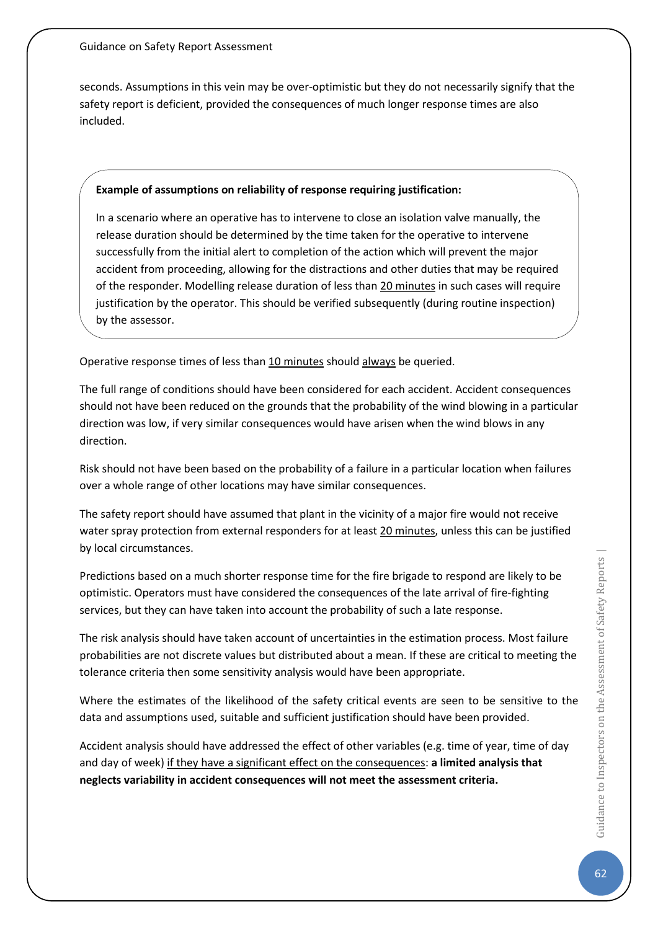seconds. Assumptions in this vein may be over-optimistic but they do not necessarily signify that the safety report is deficient, provided the consequences of much longer response times are also included.

### **Example of assumptions on reliability of response requiring justification:**

In a scenario where an operative has to intervene to close an isolation valve manually, the release duration should be determined by the time taken for the operative to intervene successfully from the initial alert to completion of the action which will prevent the major accident from proceeding, allowing for the distractions and other duties that may be required of the responder. Modelling release duration of less than 20 minutes in such cases will require justification by the operator. This should be verified subsequently (during routine inspection) by the assessor.

Operative response times of less than 10 minutes should always be queried.

The full range of conditions should have been considered for each accident. Accident consequences should not have been reduced on the grounds that the probability of the wind blowing in a particular direction was low, if very similar consequences would have arisen when the wind blows in any direction.

Risk should not have been based on the probability of a failure in a particular location when failures over a whole range of other locations may have similar consequences.

The safety report should have assumed that plant in the vicinity of a major fire would not receive water spray protection from external responders for at least 20 minutes, unless this can be justified by local circumstances.

Predictions based on a much shorter response time for the fire brigade to respond are likely to be optimistic. Operators must have considered the consequences of the late arrival of fire-fighting services, but they can have taken into account the probability of such a late response.

The risk analysis should have taken account of uncertainties in the estimation process. Most failure probabilities are not discrete values but distributed about a mean. If these are critical to meeting the tolerance criteria then some sensitivity analysis would have been appropriate.

Where the estimates of the likelihood of the safety critical events are seen to be sensitive to the data and assumptions used, suitable and sufficient justification should have been provided.

Accident analysis should have addressed the effect of other variables (e.g. time of year, time of day and day of week) if they have a significant effect on the consequences: **a limited analysis that neglects variability in accident consequences will not meet the assessment criteria.**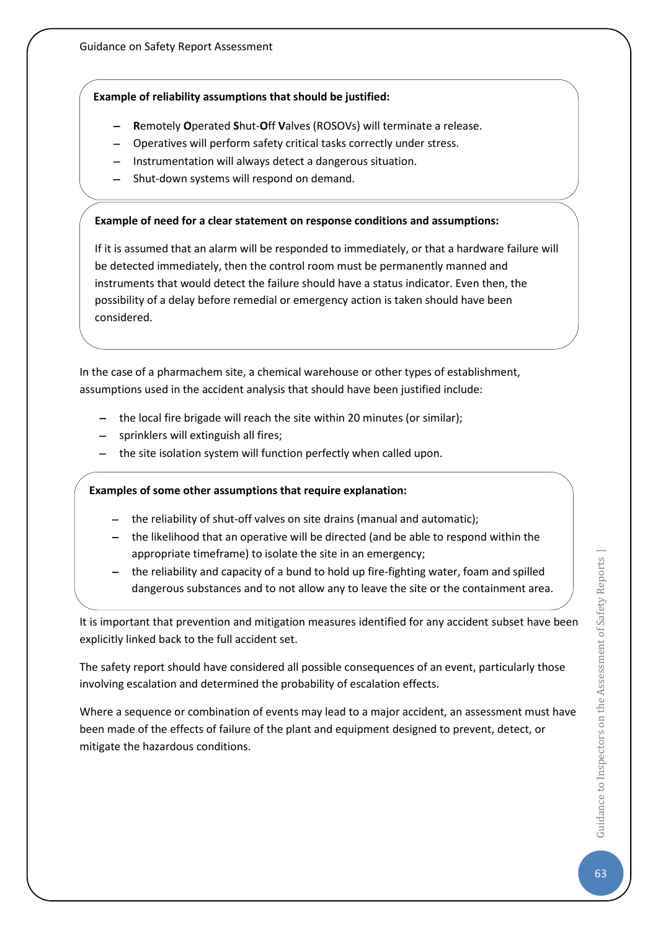### **Example of reliability assumptions that should be justified:**

- − **R**emotely **O**perated **S**hut-**O**ff **V**alves (ROSOVs) will terminate a release.
- − Operatives will perform safety critical tasks correctly under stress.
- Instrumentation will always detect a dangerous situation.
- − Shut-down systems will respond on demand.

### **Example of need for a clear statement on response conditions and assumptions:**

If it is assumed that an alarm will be responded to immediately, or that a hardware failure will be detected immediately, then the control room must be permanently manned and instruments that would detect the failure should have a status indicator. Even then, the possibility of a delay before remedial or emergency action is taken should have been considered.

In the case of a pharmachem site, a chemical warehouse or other types of establishment, assumptions used in the accident analysis that should have been justified include:

- − the local fire brigade will reach the site within 20 minutes (or similar);
- sprinklers will extinguish all fires;
- the site isolation system will function perfectly when called upon.

### **Examples of some other assumptions that require explanation:**

- the reliability of shut-off valves on site drains (manual and automatic);
- − the likelihood that an operative will be directed (and be able to respond within the appropriate timeframe) to isolate the site in an emergency;
- the reliability and capacity of a bund to hold up fire-fighting water, foam and spilled dangerous substances and to not allow any to leave the site or the containment area.

It is important that prevention and mitigation measures identified for any accident subset have been explicitly linked back to the full accident set.

The safety report should have considered all possible consequences of an event, particularly those involving escalation and determined the probability of escalation effects.

Where a sequence or combination of events may lead to a major accident, an assessment must have been made of the effects of failure of the plant and equipment designed to prevent, detect, or mitigate the hazardous conditions.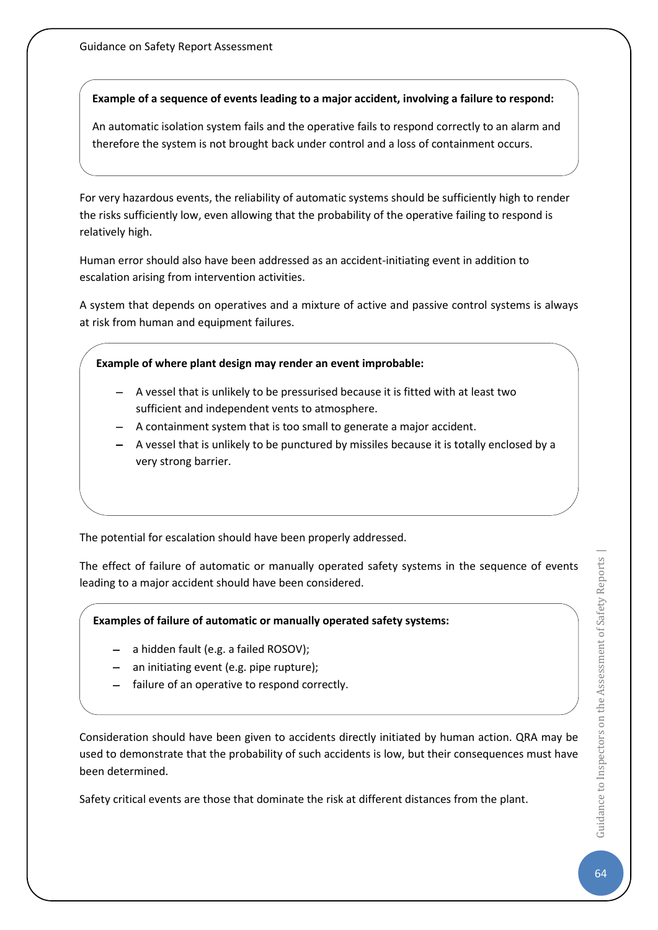### **Example of a sequence of events leading to a major accident, involving a failure to respond:**

An automatic isolation system fails and the operative fails to respond correctly to an alarm and therefore the system is not brought back under control and a loss of containment occurs.

For very hazardous events, the reliability of automatic systems should be sufficiently high to render the risks sufficiently low, even allowing that the probability of the operative failing to respond is relatively high.

Human error should also have been addressed as an accident-initiating event in addition to escalation arising from intervention activities.

A system that depends on operatives and a mixture of active and passive control systems is always at risk from human and equipment failures.

### **Example of where plant design may render an event improbable:**

- − A vessel that is unlikely to be pressurised because it is fitted with at least two sufficient and independent vents to atmosphere.
- − A containment system that is too small to generate a major accident.
- − A vessel that is unlikely to be punctured by missiles because it is totally enclosed by a very strong barrier.

The potential for escalation should have been properly addressed.

The effect of failure of automatic or manually operated safety systems in the sequence of events leading to a major accident should have been considered.

**Examples of failure of automatic or manually operated safety systems:**

- − a hidden fault (e.g. a failed ROSOV);
- an initiating event (e.g. pipe rupture);
- − failure of an operative to respond correctly.

Consideration should have been given to accidents directly initiated by human action. QRA may be used to demonstrate that the probability of such accidents is low, but their consequences must have been determined.

Safety critical events are those that dominate the risk at different distances from the plant.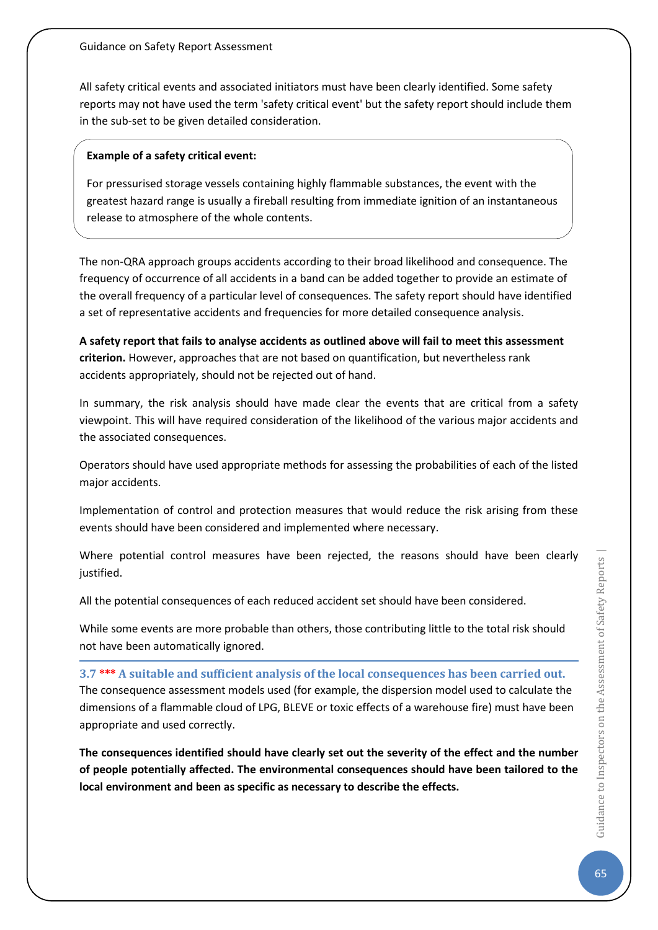All safety critical events and associated initiators must have been clearly identified. Some safety reports may not have used the term 'safety critical event' but the safety report should include them in the sub-set to be given detailed consideration.

### **Example of a safety critical event:**

For pressurised storage vessels containing highly flammable substances, the event with the greatest hazard range is usually a fireball resulting from immediate ignition of an instantaneous release to atmosphere of the whole contents.

The non-QRA approach groups accidents according to their broad likelihood and consequence. The frequency of occurrence of all accidents in a band can be added together to provide an estimate of the overall frequency of a particular level of consequences. The safety report should have identified a set of representative accidents and frequencies for more detailed consequence analysis.

**A safety report that fails to analyse accidents as outlined above will fail to meet this assessment criterion.** However, approaches that are not based on quantification, but nevertheless rank accidents appropriately, should not be rejected out of hand.

In summary, the risk analysis should have made clear the events that are critical from a safety viewpoint. This will have required consideration of the likelihood of the various major accidents and the associated consequences.

Operators should have used appropriate methods for assessing the probabilities of each of the listed major accidents.

Implementation of control and protection measures that would reduce the risk arising from these events should have been considered and implemented where necessary.

Where potential control measures have been rejected, the reasons should have been clearly justified.

All the potential consequences of each reduced accident set should have been considered.

While some events are more probable than others, those contributing little to the total risk should not have been automatically ignored.

**3.7 \*\*\* A suitable and sufficient analysis of the local consequences has been carried out.** The consequence assessment models used (for example, the dispersion model used to calculate the dimensions of a flammable cloud of LPG, BLEVE or toxic effects of a warehouse fire) must have been appropriate and used correctly.

**The consequences identified should have clearly set out the severity of the effect and the number of people potentially affected. The environmental consequences should have been tailored to the local environment and been as specific as necessary to describe the effects.**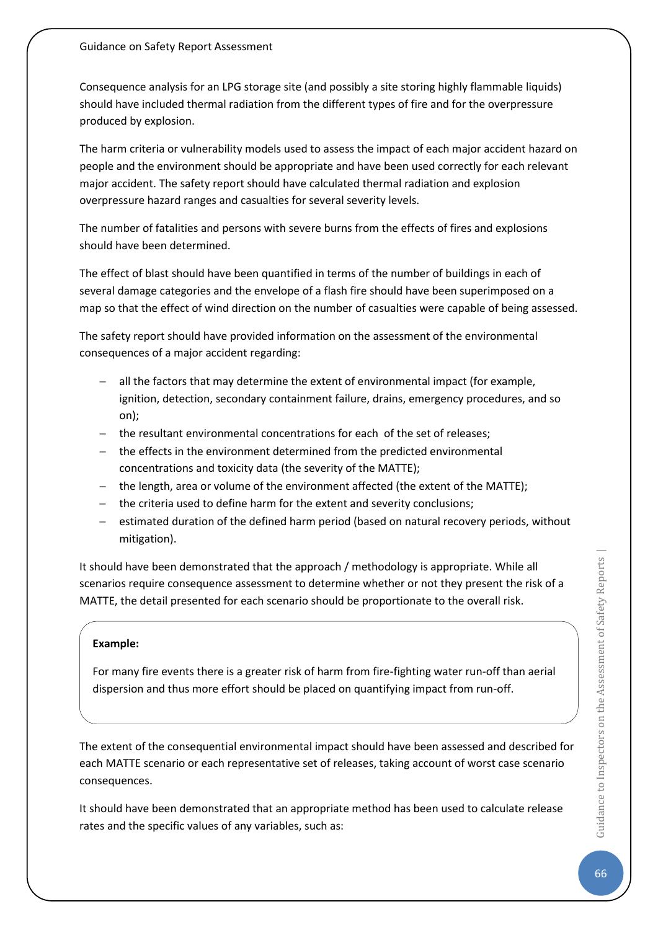Consequence analysis for an LPG storage site (and possibly a site storing highly flammable liquids) should have included thermal radiation from the different types of fire and for the overpressure produced by explosion.

The harm criteria or vulnerability models used to assess the impact of each major accident hazard on people and the environment should be appropriate and have been used correctly for each relevant major accident. The safety report should have calculated thermal radiation and explosion overpressure hazard ranges and casualties for several severity levels.

The number of fatalities and persons with severe burns from the effects of fires and explosions should have been determined.

The effect of blast should have been quantified in terms of the number of buildings in each of several damage categories and the envelope of a flash fire should have been superimposed on a map so that the effect of wind direction on the number of casualties were capable of being assessed.

The safety report should have provided information on the assessment of the environmental consequences of a major accident regarding:

- − all the factors that may determine the extent of environmental impact (for example, ignition, detection, secondary containment failure, drains, emergency procedures, and so on);
- the resultant environmental concentrations for each of the set of releases;
- − the effects in the environment determined from the predicted environmental concentrations and toxicity data (the severity of the MATTE);
- − the length, area or volume of the environment affected (the extent of the MATTE);
- − the criteria used to define harm for the extent and severity conclusions;
- estimated duration of the defined harm period (based on natural recovery periods, without mitigation).

It should have been demonstrated that the approach / methodology is appropriate. While all scenarios require consequence assessment to determine whether or not they present the risk of a MATTE, the detail presented for each scenario should be proportionate to the overall risk.

### **Example:**

For many fire events there is a greater risk of harm from fire-fighting water run-off than aerial dispersion and thus more effort should be placed on quantifying impact from run-off.

The extent of the consequential environmental impact should have been assessed and described for each MATTE scenario or each representative set of releases, taking account of worst case scenario consequences.

It should have been demonstrated that an appropriate method has been used to calculate release rates and the specific values of any variables, such as: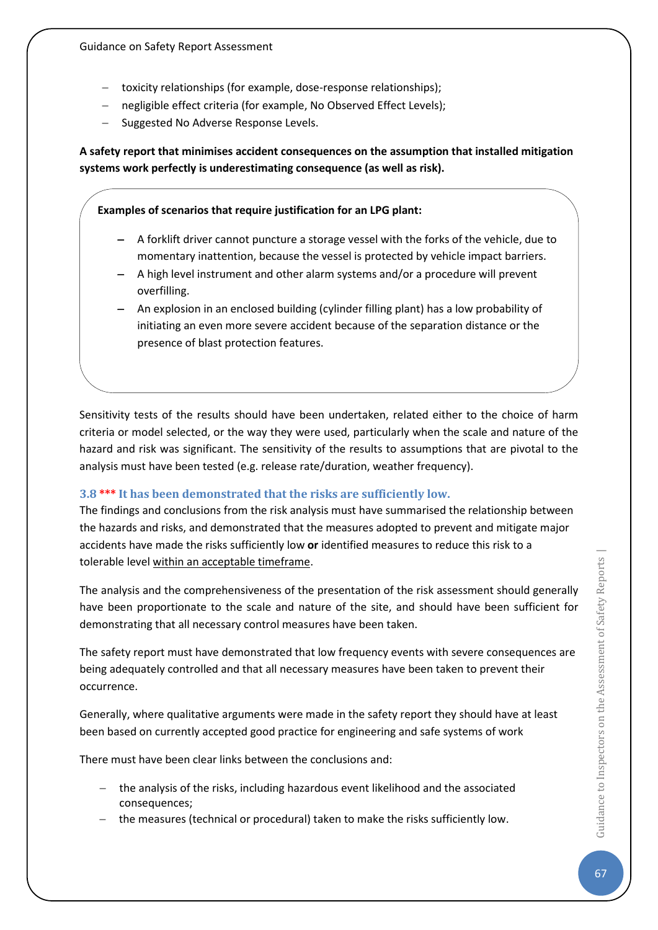- − toxicity relationships (for example, dose-response relationships);
- negligible effect criteria (for example, No Observed Effect Levels);
- − Suggested No Adverse Response Levels.

**A safety report that minimises accident consequences on the assumption that installed mitigation systems work perfectly is underestimating consequence (as well as risk).**

**Examples of scenarios that require justification for an LPG plant:**

- − A forklift driver cannot puncture a storage vessel with the forks of the vehicle, due to momentary inattention, because the vessel is protected by vehicle impact barriers.
- − A high level instrument and other alarm systems and/or a procedure will prevent overfilling.
- − An explosion in an enclosed building (cylinder filling plant) has a low probability of initiating an even more severe accident because of the separation distance or the presence of blast protection features.

Sensitivity tests of the results should have been undertaken, related either to the choice of harm criteria or model selected, or the way they were used, particularly when the scale and nature of the hazard and risk was significant. The sensitivity of the results to assumptions that are pivotal to the analysis must have been tested (e.g. release rate/duration, weather frequency).

### **3.8 \*\*\* It has been demonstrated that the risks are sufficiently low.**

The findings and conclusions from the risk analysis must have summarised the relationship between the hazards and risks, and demonstrated that the measures adopted to prevent and mitigate major accidents have made the risks sufficiently low **or** identified measures to reduce this risk to a tolerable level within an acceptable timeframe.

The analysis and the comprehensiveness of the presentation of the risk assessment should generally have been proportionate to the scale and nature of the site, and should have been sufficient for demonstrating that all necessary control measures have been taken.

The safety report must have demonstrated that low frequency events with severe consequences are being adequately controlled and that all necessary measures have been taken to prevent their occurrence.

Generally, where qualitative arguments were made in the safety report they should have at least been based on currently accepted good practice for engineering and safe systems of work

There must have been clear links between the conclusions and:

- − the analysis of the risks, including hazardous event likelihood and the associated consequences;
- − the measures (technical or procedural) taken to make the risks sufficiently low.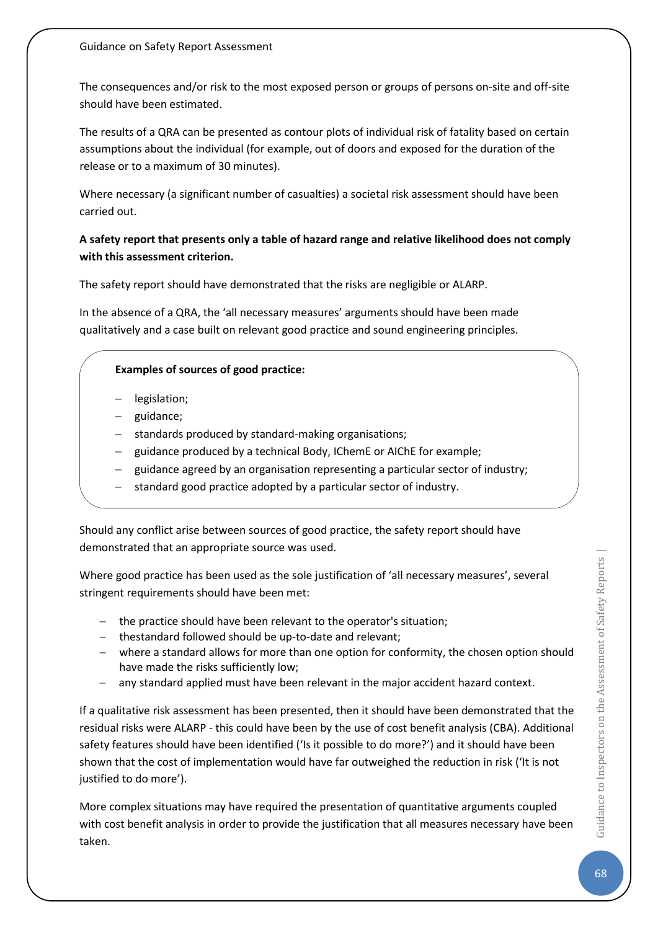The consequences and/or risk to the most exposed person or groups of persons on-site and off-site should have been estimated.

The results of a QRA can be presented as contour plots of individual risk of fatality based on certain assumptions about the individual (for example, out of doors and exposed for the duration of the release or to a maximum of 30 minutes).

Where necessary (a significant number of casualties) a societal risk assessment should have been carried out.

### **A safety report that presents only a table of hazard range and relative likelihood does not comply with this assessment criterion.**

The safety report should have demonstrated that the risks are negligible or ALARP.

In the absence of a QRA, the 'all necessary measures' arguments should have been made qualitatively and a case built on relevant good practice and sound engineering principles.

### **Examples of sources of good practice:**

- − legislation;
- − guidance;
- standards produced by standard-making organisations;
- − guidance produced by a technical Body, IChemE or AIChE for example;
- guidance agreed by an organisation representing a particular sector of industry;
- standard good practice adopted by a particular sector of industry.

Should any conflict arise between sources of good practice, the safety report should have demonstrated that an appropriate source was used.

Where good practice has been used as the sole justification of 'all necessary measures', several stringent requirements should have been met:

- − the practice should have been relevant to the operator's situation;
- − thestandard followed should be up-to-date and relevant;
- − where a standard allows for more than one option for conformity, the chosen option should have made the risks sufficiently low;
- − any standard applied must have been relevant in the major accident hazard context.

If a qualitative risk assessment has been presented, then it should have been demonstrated that the residual risks were ALARP - this could have been by the use of cost benefit analysis (CBA). Additional safety features should have been identified ('Is it possible to do more?') and it should have been shown that the cost of implementation would have far outweighed the reduction in risk ('It is not justified to do more').

More complex situations may have required the presentation of quantitative arguments coupled with cost benefit analysis in order to provide the justification that all measures necessary have been taken.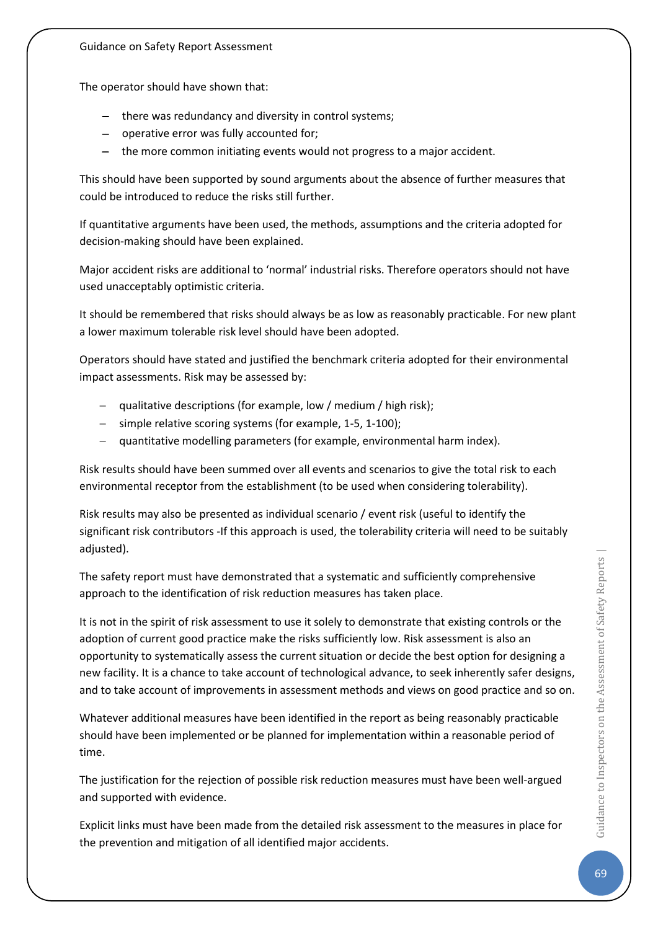The operator should have shown that:

- − there was redundancy and diversity in control systems;
- − operative error was fully accounted for;
- − the more common initiating events would not progress to a major accident.

This should have been supported by sound arguments about the absence of further measures that could be introduced to reduce the risks still further.

If quantitative arguments have been used, the methods, assumptions and the criteria adopted for decision-making should have been explained.

Major accident risks are additional to 'normal' industrial risks. Therefore operators should not have used unacceptably optimistic criteria.

It should be remembered that risks should always be as low as reasonably practicable. For new plant a lower maximum tolerable risk level should have been adopted.

Operators should have stated and justified the benchmark criteria adopted for their environmental impact assessments. Risk may be assessed by:

- qualitative descriptions (for example, low / medium / high risk);
- simple relative scoring systems (for example, 1-5, 1-100);
- − quantitative modelling parameters (for example, environmental harm index).

Risk results should have been summed over all events and scenarios to give the total risk to each environmental receptor from the establishment (to be used when considering tolerability).

Risk results may also be presented as individual scenario / event risk (useful to identify the significant risk contributors -If this approach is used, the tolerability criteria will need to be suitably adjusted).

The safety report must have demonstrated that a systematic and sufficiently comprehensive approach to the identification of risk reduction measures has taken place.

It is not in the spirit of risk assessment to use it solely to demonstrate that existing controls or the adoption of current good practice make the risks sufficiently low. Risk assessment is also an opportunity to systematically assess the current situation or decide the best option for designing a new facility. It is a chance to take account of technological advance, to seek inherently safer designs, and to take account of improvements in assessment methods and views on good practice and so on.

Whatever additional measures have been identified in the report as being reasonably practicable should have been implemented or be planned for implementation within a reasonable period of time.

The justification for the rejection of possible risk reduction measures must have been well-argued and supported with evidence.

Explicit links must have been made from the detailed risk assessment to the measures in place for the prevention and mitigation of all identified major accidents.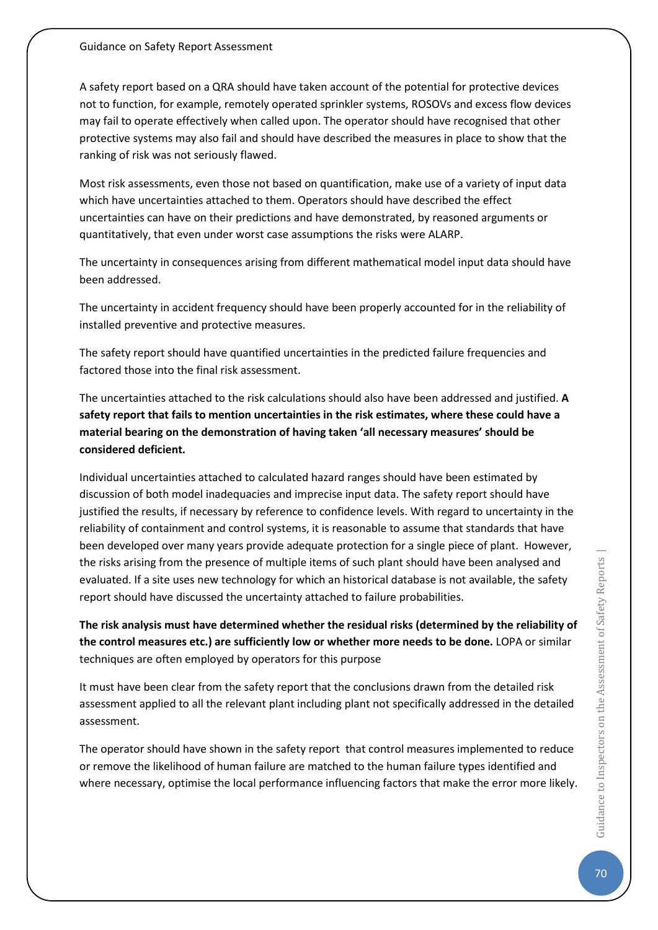A safety report based on a QRA should have taken account of the potential for protective devices not to function, for example, remotely operated sprinkler systems, ROSOVs and excess flow devices may fail to operate effectively when called upon. The operator should have recognised that other protective systems may also fail and should have described the measures in place to show that the ranking of risk was not seriously flawed.

Most risk assessments, even those not based on quantification, make use of a variety of input data which have uncertainties attached to them. Operators should have described the effect uncertainties can have on their predictions and have demonstrated, by reasoned arguments or quantitatively, that even under worst case assumptions the risks were ALARP.

The uncertainty in consequences arising from different mathematical model input data should have been addressed.

The uncertainty in accident frequency should have been properly accounted for in the reliability of installed preventive and protective measures.

The safety report should have quantified uncertainties in the predicted failure frequencies and factored those into the final risk assessment.

The uncertainties attached to the risk calculations should also have been addressed and justified. **A safety report that fails to mention uncertainties in the risk estimates, where these could have a material bearing on the demonstration of having taken 'all necessary measures' should be considered deficient.**

Individual uncertainties attached to calculated hazard ranges should have been estimated by discussion of both model inadequacies and imprecise input data. The safety report should have justified the results, if necessary by reference to confidence levels. With regard to uncertainty in the reliability of containment and control systems, it is reasonable to assume that standards that have been developed over many years provide adequate protection for a single piece of plant. However, the risks arising from the presence of multiple items of such plant should have been analysed and evaluated. If a site uses new technology for which an historical database is not available, the safety report should have discussed the uncertainty attached to failure probabilities.

**The risk analysis must have determined whether the residual risks (determined by the reliability of the control measures etc.) are sufficiently low or whether more needs to be done.** LOPA or similar techniques are often employed by operators for this purpose

It must have been clear from the safety report that the conclusions drawn from the detailed risk assessment applied to all the relevant plant including plant not specifically addressed in the detailed assessment.

The operator should have shown in the safety report that control measures implemented to reduce or remove the likelihood of human failure are matched to the human failure types identified and where necessary, optimise the local performance influencing factors that make the error more likely.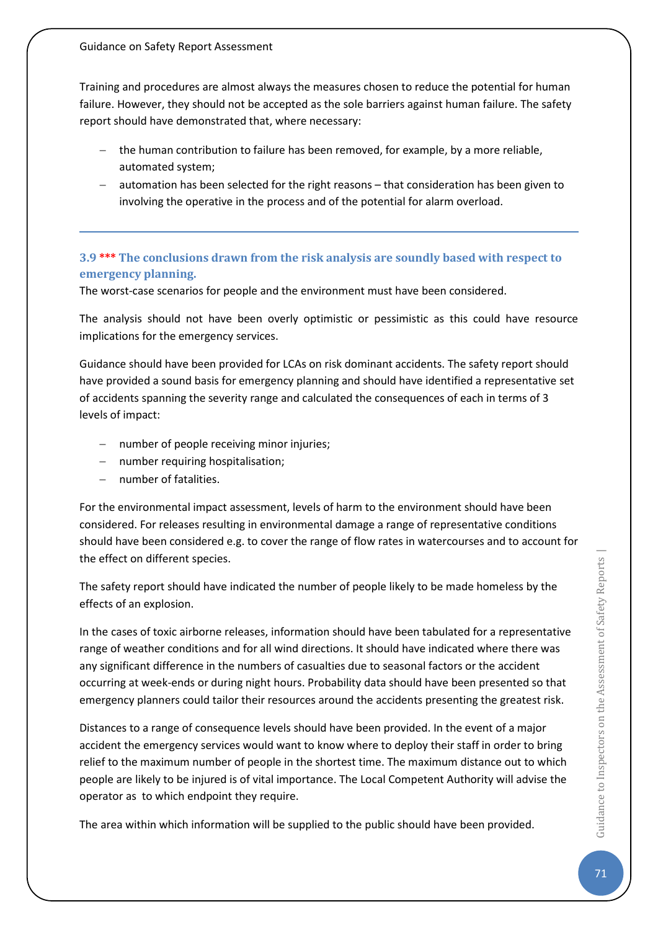Training and procedures are almost always the measures chosen to reduce the potential for human failure. However, they should not be accepted as the sole barriers against human failure. The safety report should have demonstrated that, where necessary:

- − the human contribution to failure has been removed, for example, by a more reliable, automated system;
- automation has been selected for the right reasons that consideration has been given to involving the operative in the process and of the potential for alarm overload.

### **3.9 \*\*\* The conclusions drawn from the risk analysis are soundly based with respect to emergency planning.**

The worst-case scenarios for people and the environment must have been considered.

The analysis should not have been overly optimistic or pessimistic as this could have resource implications for the emergency services.

Guidance should have been provided for LCAs on risk dominant accidents. The safety report should have provided a sound basis for emergency planning and should have identified a representative set of accidents spanning the severity range and calculated the consequences of each in terms of 3 levels of impact:

- − number of people receiving minor injuries;
- − number requiring hospitalisation;
- number of fatalities.

For the environmental impact assessment, levels of harm to the environment should have been considered. For releases resulting in environmental damage a range of representative conditions should have been considered e.g. to cover the range of flow rates in watercourses and to account for the effect on different species.

The safety report should have indicated the number of people likely to be made homeless by the effects of an explosion.

In the cases of toxic airborne releases, information should have been tabulated for a representative range of weather conditions and for all wind directions. It should have indicated where there was any significant difference in the numbers of casualties due to seasonal factors or the accident occurring at week-ends or during night hours. Probability data should have been presented so that emergency planners could tailor their resources around the accidents presenting the greatest risk.

Distances to a range of consequence levels should have been provided. In the event of a major accident the emergency services would want to know where to deploy their staff in order to bring relief to the maximum number of people in the shortest time. The maximum distance out to which people are likely to be injured is of vital importance. The Local Competent Authority will advise the operator as to which endpoint they require.

The area within which information will be supplied to the public should have been provided.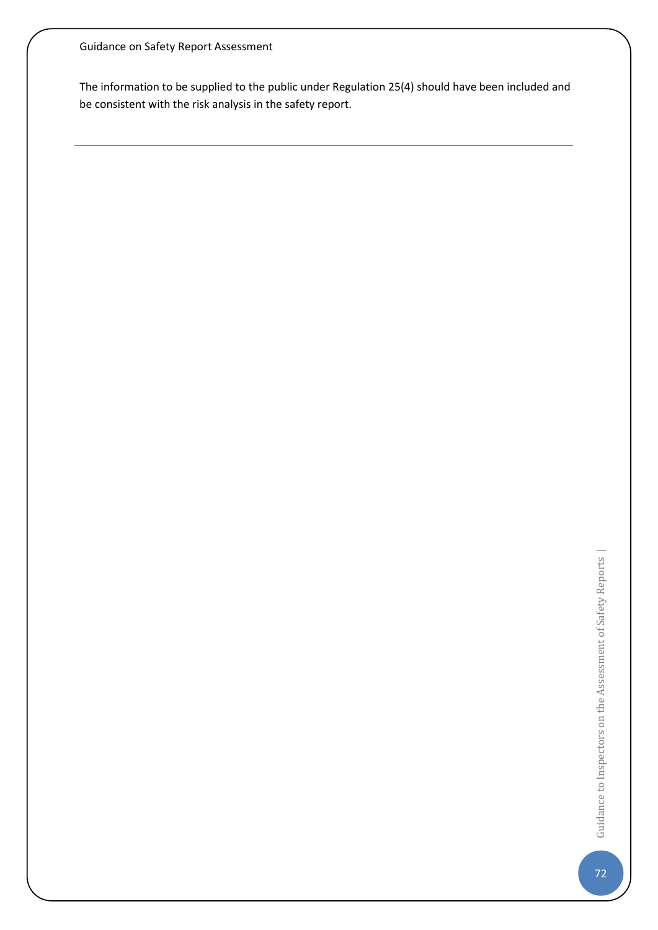The information to be supplied to the public under Regulation 25(4) should have been included and be consistent with the risk analysis in the safety report.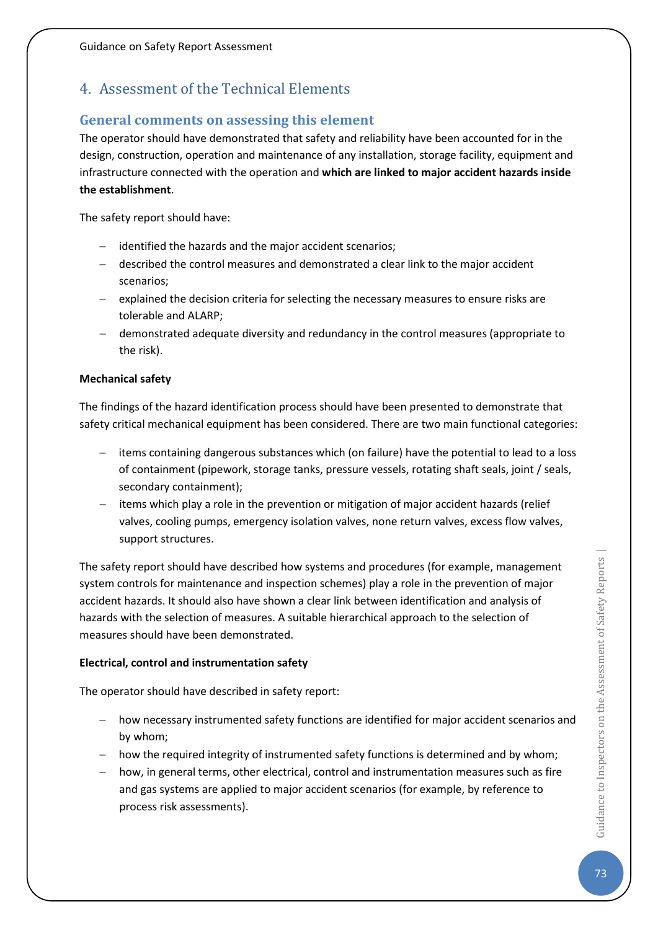# 4. Assessment of the Technical Elements

## **General comments on assessing this element**

The operator should have demonstrated that safety and reliability have been accounted for in the design, construction, operation and maintenance of any installation, storage facility, equipment and infrastructure connected with the operation and **which are linked to major accident hazards inside the establishment**.

The safety report should have:

- − identified the hazards and the major accident scenarios;
- − described the control measures and demonstrated a clear link to the major accident scenarios;
- − explained the decision criteria for selecting the necessary measures to ensure risks are tolerable and ALARP;
- − demonstrated adequate diversity and redundancy in the control measures (appropriate to the risk).

#### **Mechanical safety**

The findings of the hazard identification process should have been presented to demonstrate that safety critical mechanical equipment has been considered. There are two main functional categories:

- − items containing dangerous substances which (on failure) have the potential to lead to a loss of containment (pipework, storage tanks, pressure vessels, rotating shaft seals, joint / seals, secondary containment);
- − items which play a role in the prevention or mitigation of major accident hazards (relief valves, cooling pumps, emergency isolation valves, none return valves, excess flow valves, support structures.

The safety report should have described how systems and procedures (for example, management system controls for maintenance and inspection schemes) play a role in the prevention of major accident hazards. It should also have shown a clear link between identification and analysis of hazards with the selection of measures. A suitable hierarchical approach to the selection of measures should have been demonstrated.

### **Electrical, control and instrumentation safety**

The operator should have described in safety report:

- − how necessary instrumented safety functions are identified for major accident scenarios and by whom;
- − how the required integrity of instrumented safety functions is determined and by whom;
- − how, in general terms, other electrical, control and instrumentation measures such as fire and gas systems are applied to major accident scenarios (for example, by reference to process risk assessments).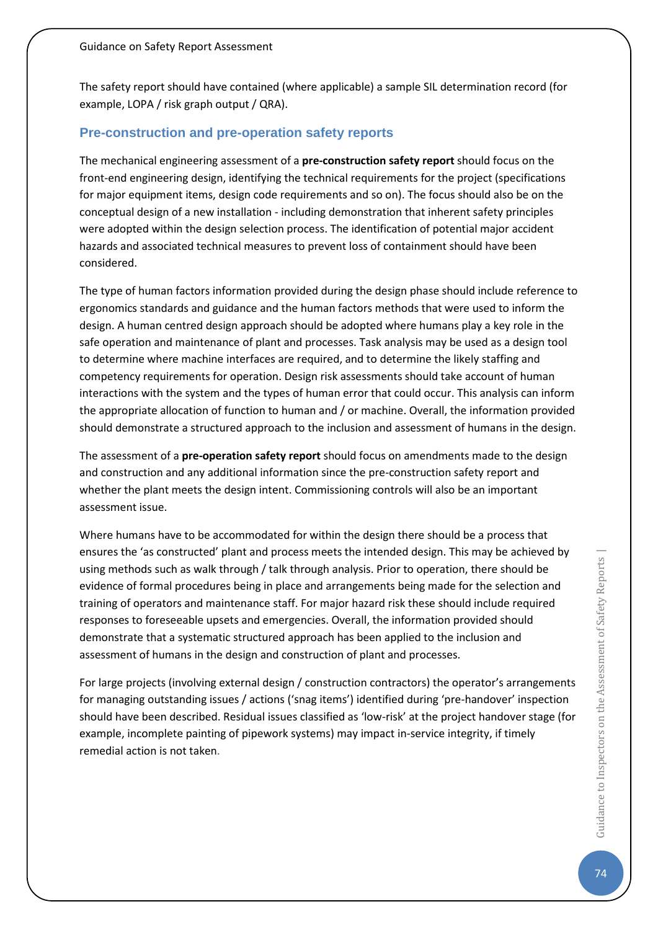The safety report should have contained (where applicable) a sample SIL determination record (for example, LOPA / risk graph output / QRA).

## **Pre-construction and pre-operation safety reports**

The mechanical engineering assessment of a **pre-construction safety report** should focus on the front-end engineering design, identifying the technical requirements for the project (specifications for major equipment items, design code requirements and so on). The focus should also be on the conceptual design of a new installation - including demonstration that inherent safety principles were adopted within the design selection process. The identification of potential major accident hazards and associated technical measures to prevent loss of containment should have been considered.

The type of human factors information provided during the design phase should include reference to ergonomics standards and guidance and the human factors methods that were used to inform the design. A human centred design approach should be adopted where humans play a key role in the safe operation and maintenance of plant and processes. Task analysis may be used as a design tool to determine where machine interfaces are required, and to determine the likely staffing and competency requirements for operation. Design risk assessments should take account of human interactions with the system and the types of human error that could occur. This analysis can inform the appropriate allocation of function to human and / or machine. Overall, the information provided should demonstrate a structured approach to the inclusion and assessment of humans in the design.

The assessment of a **pre-operation safety report** should focus on amendments made to the design and construction and any additional information since the pre-construction safety report and whether the plant meets the design intent. Commissioning controls will also be an important assessment issue.

Where humans have to be accommodated for within the design there should be a process that ensures the 'as constructed' plant and process meets the intended design. This may be achieved by using methods such as walk through / talk through analysis. Prior to operation, there should be evidence of formal procedures being in place and arrangements being made for the selection and training of operators and maintenance staff. For major hazard risk these should include required responses to foreseeable upsets and emergencies. Overall, the information provided should demonstrate that a systematic structured approach has been applied to the inclusion and assessment of humans in the design and construction of plant and processes.

For large projects (involving external design / construction contractors) the operator's arrangements for managing outstanding issues / actions ('snag items') identified during 'pre-handover' inspection should have been described. Residual issues classified as 'low-risk' at the project handover stage (for example, incomplete painting of pipework systems) may impact in-service integrity, if timely remedial action is not taken.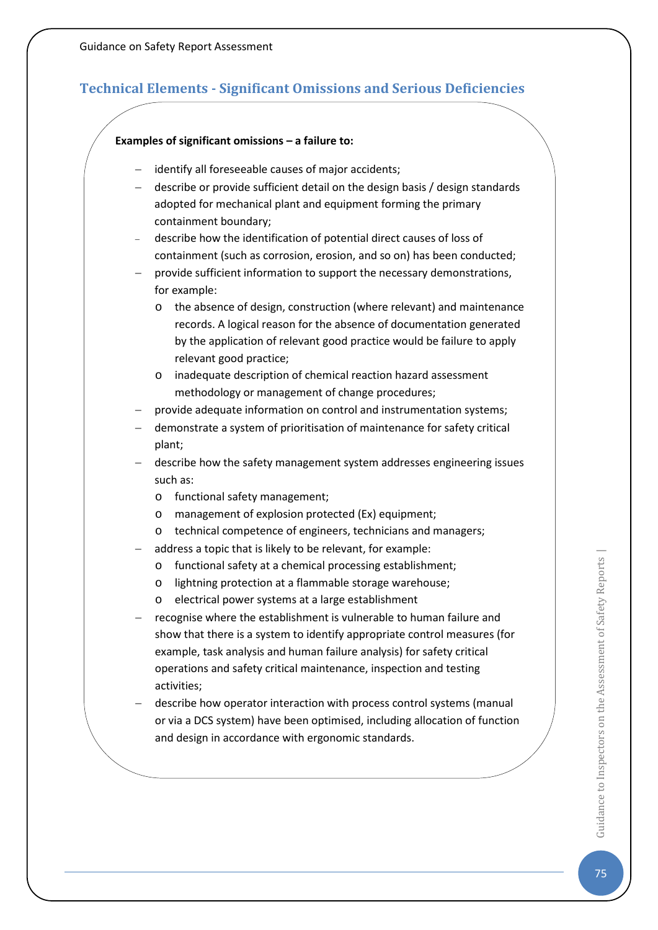# **Technical Elements - Significant Omissions and Serious Deficiencies**

#### **Examples of significant omissions – a failure to:**

- − identify all foreseeable causes of major accidents;
- − describe or provide sufficient detail on the design basis / design standards adopted for mechanical plant and equipment forming the primary containment boundary;
- − describe how the identification of potential direct causes of loss of containment (such as corrosion, erosion, and so on) has been conducted;
- provide sufficient information to support the necessary demonstrations, for example:
	- o the absence of design, construction (where relevant) and maintenance records. A logical reason for the absence of documentation generated by the application of relevant good practice would be failure to apply relevant good practice;
	- o inadequate description of chemical reaction hazard assessment methodology or management of change procedures;
- provide adequate information on control and instrumentation systems;
- − demonstrate a system of prioritisation of maintenance for safety critical plant;
- − describe how the safety management system addresses engineering issues such as:
	- o functional safety management;
	- o management of explosion protected (Ex) equipment;
	- o technical competence of engineers, technicians and managers;
- address a topic that is likely to be relevant, for example:
	- o functional safety at a chemical processing establishment;
	- o lightning protection at a flammable storage warehouse;
	- o electrical power systems at a large establishment
- recognise where the establishment is vulnerable to human failure and show that there is a system to identify appropriate control measures (for example, task analysis and human failure analysis) for safety critical operations and safety critical maintenance, inspection and testing activities;
- − describe how operator interaction with process control systems (manual or via a DCS system) have been optimised, including allocation of function and design in accordance with ergonomic standards.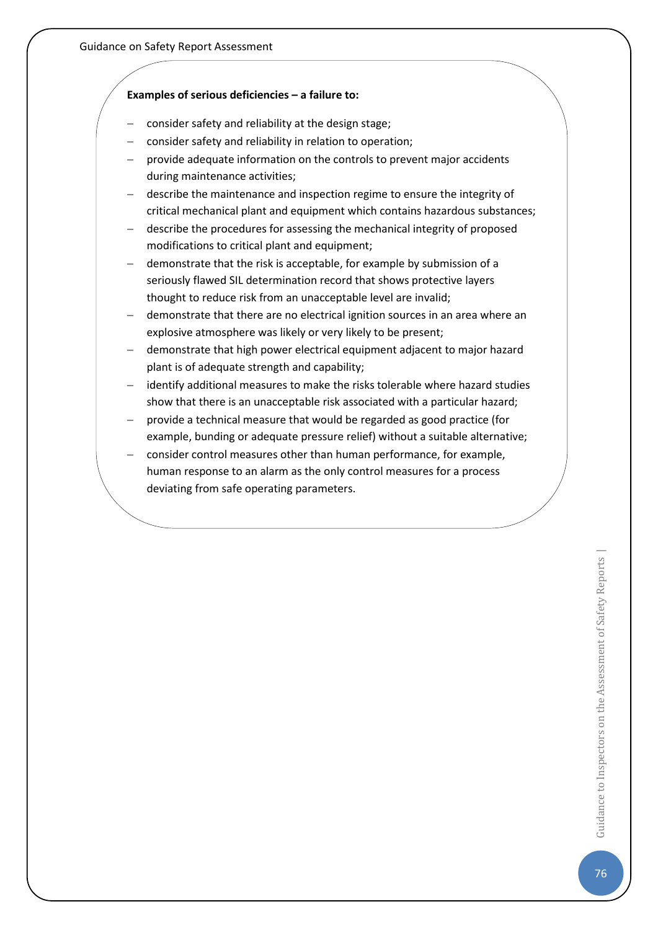#### **Examples of serious deficiencies – a failure to:**

- consider safety and reliability at the design stage;
- consider safety and reliability in relation to operation;
- provide adequate information on the controls to prevent major accidents during maintenance activities;
- − describe the maintenance and inspection regime to ensure the integrity of critical mechanical plant and equipment which contains hazardous substances;
- − describe the procedures for assessing the mechanical integrity of proposed modifications to critical plant and equipment;
- demonstrate that the risk is acceptable, for example by submission of a seriously flawed SIL determination record that shows protective layers thought to reduce risk from an unacceptable level are invalid;
- − demonstrate that there are no electrical ignition sources in an area where an explosive atmosphere was likely or very likely to be present;
- − demonstrate that high power electrical equipment adjacent to major hazard plant is of adequate strength and capability;
- identify additional measures to make the risks tolerable where hazard studies show that there is an unacceptable risk associated with a particular hazard;
- provide a technical measure that would be regarded as good practice (for example, bunding or adequate pressure relief) without a suitable alternative;
- − consider control measures other than human performance, for example, human response to an alarm as the only control measures for a process deviating from safe operating parameters.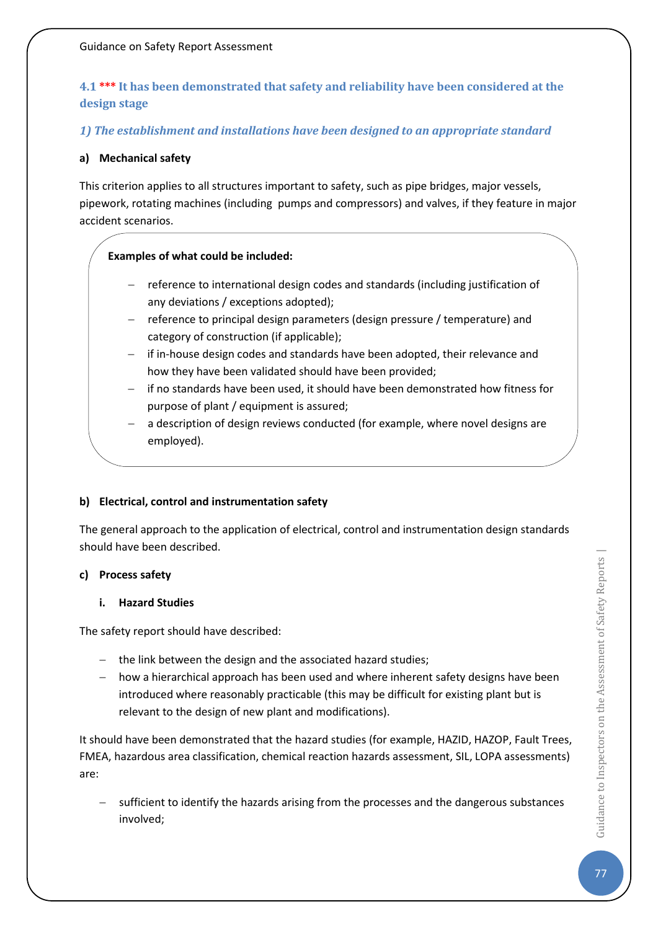## **4.1 \*\*\* It has been demonstrated that safety and reliability have been considered at the design stage**

## *1) The establishment and installations have been designed to an appropriate standard*

#### **a) Mechanical safety**

This criterion applies to all structures important to safety, such as pipe bridges, major vessels, pipework, rotating machines (including pumps and compressors) and valves, if they feature in major accident scenarios.

## **Examples of what could be included:**

- − reference to international design codes and standards (including justification of any deviations / exceptions adopted);
- − reference to principal design parameters (design pressure / temperature) and category of construction (if applicable);
- − if in-house design codes and standards have been adopted, their relevance and how they have been validated should have been provided;
- if no standards have been used, it should have been demonstrated how fitness for purpose of plant / equipment is assured;
- a description of design reviews conducted (for example, where novel designs are employed).

### **b) Electrical, control and instrumentation safety**

The general approach to the application of electrical, control and instrumentation design standards should have been described.

#### **c) Process safety**

#### **i. Hazard Studies**

The safety report should have described:

- − the link between the design and the associated hazard studies;
- − how a hierarchical approach has been used and where inherent safety designs have been introduced where reasonably practicable (this may be difficult for existing plant but is relevant to the design of new plant and modifications).

It should have been demonstrated that the hazard studies (for example, HAZID, HAZOP, Fault Trees, FMEA, hazardous area classification, chemical reaction hazards assessment, SIL, LOPA assessments) are:

sufficient to identify the hazards arising from the processes and the dangerous substances involved;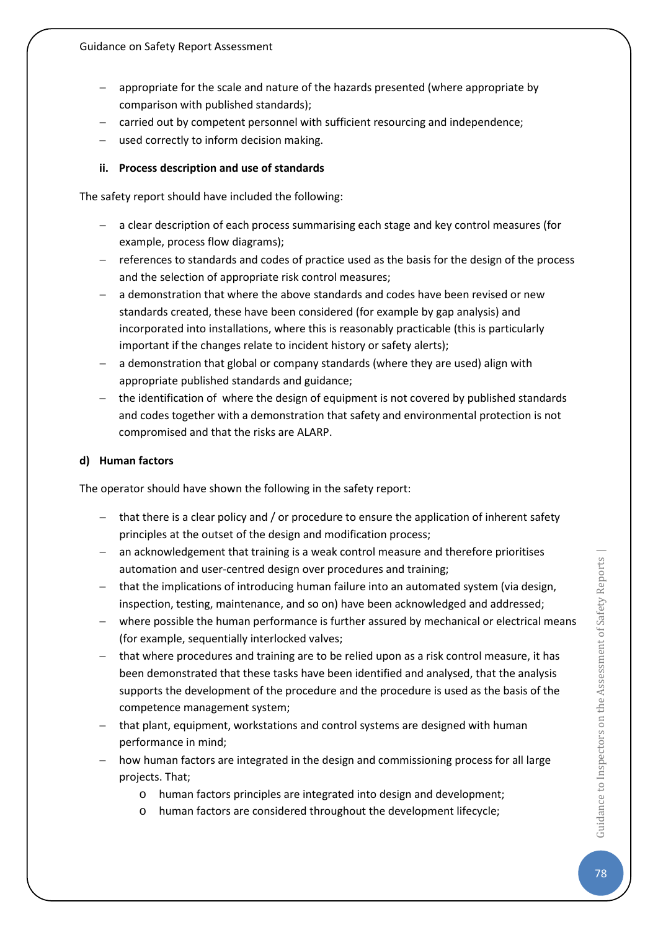- appropriate for the scale and nature of the hazards presented (where appropriate by comparison with published standards);
- − carried out by competent personnel with sufficient resourcing and independence;
- − used correctly to inform decision making.

### **ii. Process description and use of standards**

The safety report should have included the following:

- − a clear description of each process summarising each stage and key control measures (for example, process flow diagrams);
- − references to standards and codes of practice used as the basis for the design of the process and the selection of appropriate risk control measures;
- − a demonstration that where the above standards and codes have been revised or new standards created, these have been considered (for example by gap analysis) and incorporated into installations, where this is reasonably practicable (this is particularly important if the changes relate to incident history or safety alerts);
- a demonstration that global or company standards (where they are used) align with appropriate published standards and guidance;
- − the identification of where the design of equipment is not covered by published standards and codes together with a demonstration that safety and environmental protection is not compromised and that the risks are ALARP.

### **d) Human factors**

The operator should have shown the following in the safety report:

- − that there is a clear policy and / or procedure to ensure the application of inherent safety principles at the outset of the design and modification process;
- − an acknowledgement that training is a weak control measure and therefore prioritises automation and user-centred design over procedures and training;
- − that the implications of introducing human failure into an automated system (via design, inspection, testing, maintenance, and so on) have been acknowledged and addressed;
- − where possible the human performance is further assured by mechanical or electrical means (for example, sequentially interlocked valves;
- − that where procedures and training are to be relied upon as a risk control measure, it has been demonstrated that these tasks have been identified and analysed, that the analysis supports the development of the procedure and the procedure is used as the basis of the competence management system;
- − that plant, equipment, workstations and control systems are designed with human performance in mind;
- − how human factors are integrated in the design and commissioning process for all large projects. That;
	- o human factors principles are integrated into design and development;
	- o human factors are considered throughout the development lifecycle;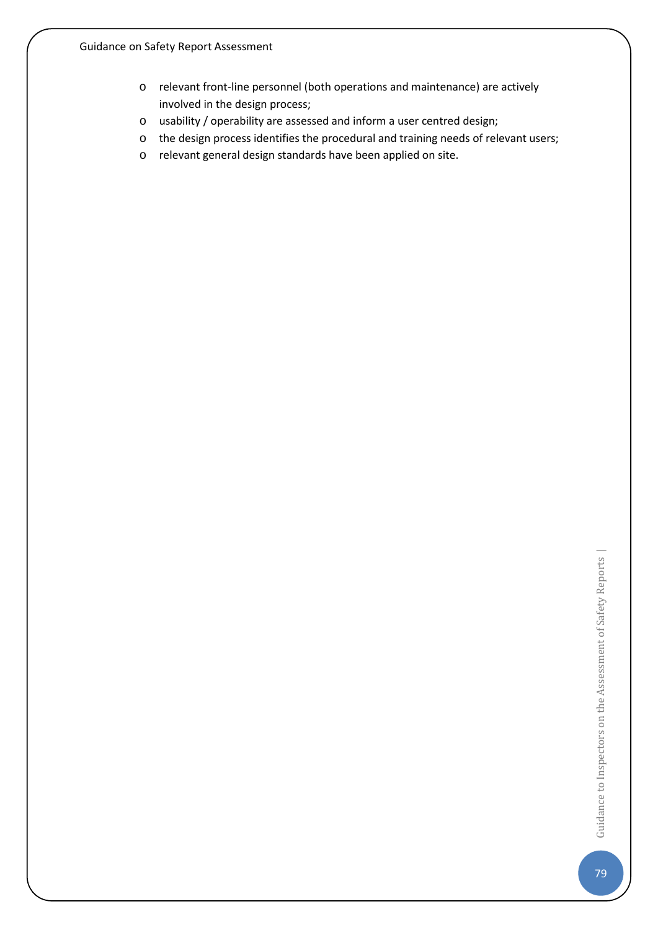- o relevant front-line personnel (both operations and maintenance) are actively involved in the design process;
- o usability / operability are assessed and inform a user centred design;
- o the design process identifies the procedural and training needs of relevant users;
- o relevant general design standards have been applied on site.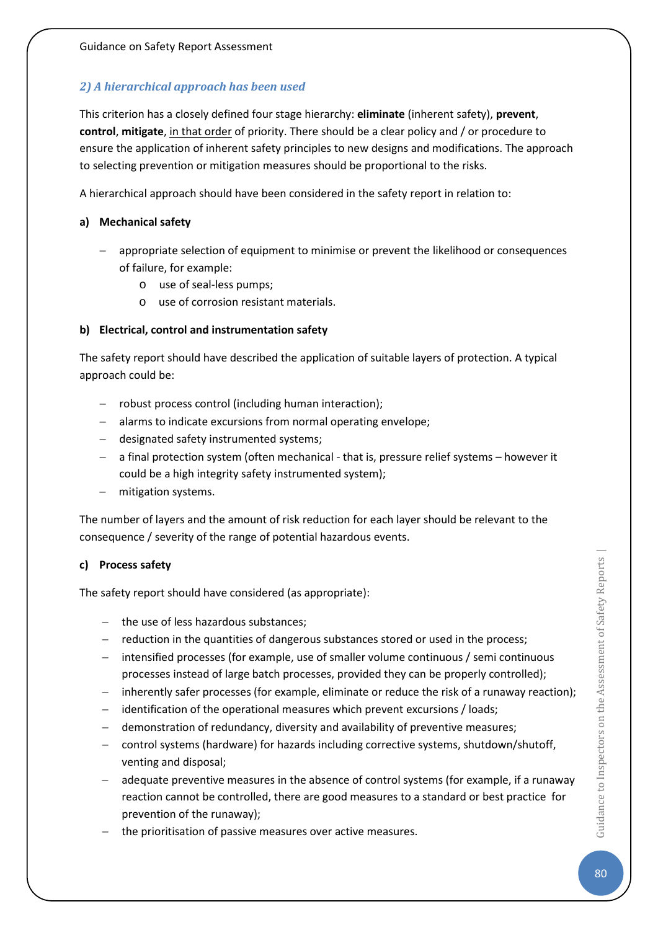## *2) A hierarchical approach has been used*

This criterion has a closely defined four stage hierarchy: **eliminate** (inherent safety), **prevent**, **control**, **mitigate**, in that order of priority. There should be a clear policy and / or procedure to ensure the application of inherent safety principles to new designs and modifications. The approach to selecting prevention or mitigation measures should be proportional to the risks.

A hierarchical approach should have been considered in the safety report in relation to:

### **a) Mechanical safety**

- − appropriate selection of equipment to minimise or prevent the likelihood or consequences of failure, for example:
	- o use of seal-less pumps;
	- o use of corrosion resistant materials.

## **b) Electrical, control and instrumentation safety**

The safety report should have described the application of suitable layers of protection. A typical approach could be:

- − robust process control (including human interaction);
- − alarms to indicate excursions from normal operating envelope;
- − designated safety instrumented systems;
- − a final protection system (often mechanical that is, pressure relief systems however it could be a high integrity safety instrumented system);
- − mitigation systems.

The number of layers and the amount of risk reduction for each layer should be relevant to the consequence / severity of the range of potential hazardous events.

### **c) Process safety**

The safety report should have considered (as appropriate):

- − the use of less hazardous substances;
- − reduction in the quantities of dangerous substances stored or used in the process;
- − intensified processes (for example, use of smaller volume continuous / semi continuous processes instead of large batch processes, provided they can be properly controlled);
- inherently safer processes (for example, eliminate or reduce the risk of a runaway reaction);
- − identification of the operational measures which prevent excursions / loads;
- demonstration of redundancy, diversity and availability of preventive measures;
- − control systems (hardware) for hazards including corrective systems, shutdown/shutoff, venting and disposal;
- adequate preventive measures in the absence of control systems (for example, if a runaway reaction cannot be controlled, there are good measures to a standard or best practice for prevention of the runaway);
- the prioritisation of passive measures over active measures.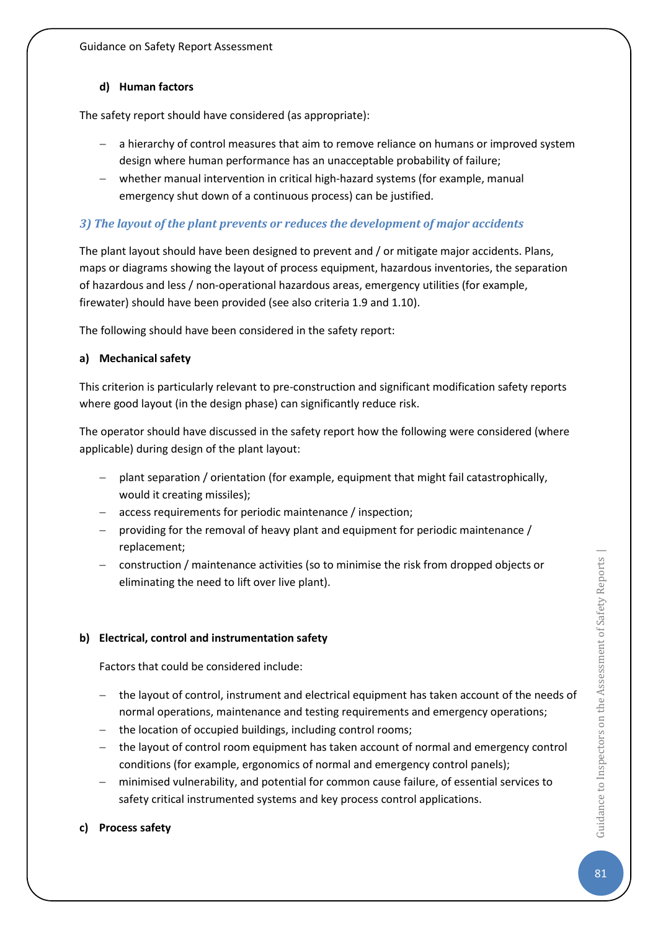### **d) Human factors**

The safety report should have considered (as appropriate):

- − a hierarchy of control measures that aim to remove reliance on humans or improved system design where human performance has an unacceptable probability of failure;
- − whether manual intervention in critical high-hazard systems (for example, manual emergency shut down of a continuous process) can be justified.

## *3) The layout of the plant prevents or reduces the development of major accidents*

The plant layout should have been designed to prevent and / or mitigate major accidents. Plans, maps or diagrams showing the layout of process equipment, hazardous inventories, the separation of hazardous and less / non-operational hazardous areas, emergency utilities (for example, firewater) should have been provided (see also criteria 1.9 and 1.10).

The following should have been considered in the safety report:

### **a) Mechanical safety**

This criterion is particularly relevant to pre-construction and significant modification safety reports where good layout (in the design phase) can significantly reduce risk.

The operator should have discussed in the safety report how the following were considered (where applicable) during design of the plant layout:

- − plant separation / orientation (for example, equipment that might fail catastrophically, would it creating missiles);
- − access requirements for periodic maintenance / inspection;
- providing for the removal of heavy plant and equipment for periodic maintenance / replacement;
- − construction / maintenance activities (so to minimise the risk from dropped objects or eliminating the need to lift over live plant).

### **b) Electrical, control and instrumentation safety**

Factors that could be considered include:

- − the layout of control, instrument and electrical equipment has taken account of the needs of normal operations, maintenance and testing requirements and emergency operations;
- − the location of occupied buildings, including control rooms;
- − the layout of control room equipment has taken account of normal and emergency control conditions (for example, ergonomics of normal and emergency control panels);
- − minimised vulnerability, and potential for common cause failure, of essential services to safety critical instrumented systems and key process control applications.

### **c) Process safety**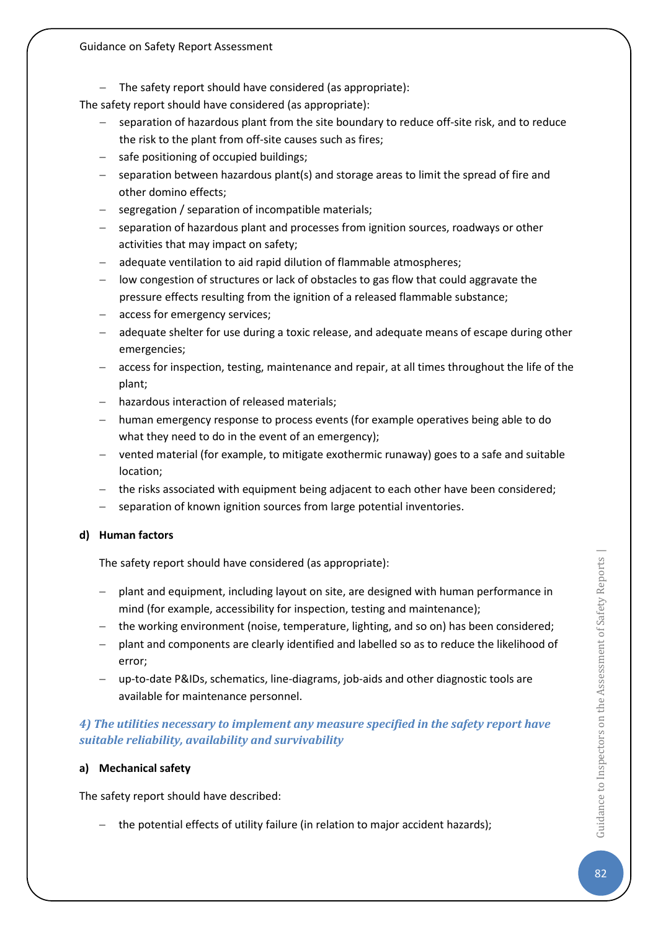− The safety report should have considered (as appropriate):

The safety report should have considered (as appropriate):

- separation of hazardous plant from the site boundary to reduce off-site risk, and to reduce the risk to the plant from off-site causes such as fires;
- − safe positioning of occupied buildings;
- − separation between hazardous plant(s) and storage areas to limit the spread of fire and other domino effects;
- − segregation / separation of incompatible materials;
- − separation of hazardous plant and processes from ignition sources, roadways or other activities that may impact on safety;
- − adequate ventilation to aid rapid dilution of flammable atmospheres;
- low congestion of structures or lack of obstacles to gas flow that could aggravate the pressure effects resulting from the ignition of a released flammable substance;
- − access for emergency services;
- − adequate shelter for use during a toxic release, and adequate means of escape during other emergencies;
- − access for inspection, testing, maintenance and repair, at all times throughout the life of the plant;
- − hazardous interaction of released materials;
- − human emergency response to process events (for example operatives being able to do what they need to do in the event of an emergency);
- − vented material (for example, to mitigate exothermic runaway) goes to a safe and suitable location;
- − the risks associated with equipment being adjacent to each other have been considered;
- separation of known ignition sources from large potential inventories.

#### **d) Human factors**

The safety report should have considered (as appropriate):

- − plant and equipment, including layout on site, are designed with human performance in mind (for example, accessibility for inspection, testing and maintenance);
- − the working environment (noise, temperature, lighting, and so on) has been considered;
- − plant and components are clearly identified and labelled so as to reduce the likelihood of error;
- − up-to-date P&IDs, schematics, line-diagrams, job-aids and other diagnostic tools are available for maintenance personnel.

## *4) The utilities necessary to implement any measure specified in the safety report have suitable reliability, availability and survivability*

#### **a) Mechanical safety**

The safety report should have described:

− the potential effects of utility failure (in relation to major accident hazards);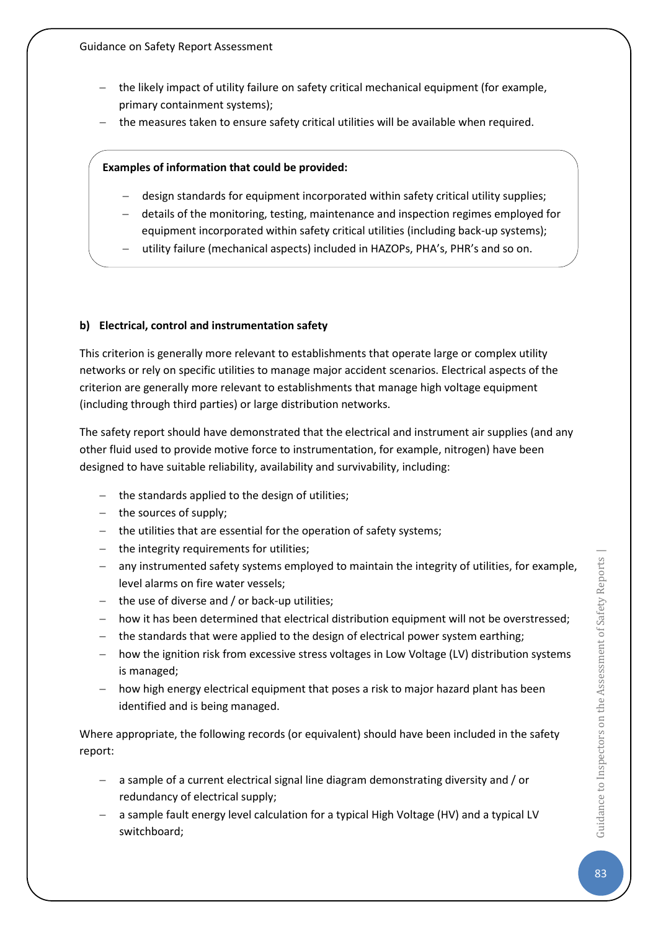- − the likely impact of utility failure on safety critical mechanical equipment (for example, primary containment systems);
- − the measures taken to ensure safety critical utilities will be available when required.

### **Examples of information that could be provided:**

- − design standards for equipment incorporated within safety critical utility supplies;
- − details of the monitoring, testing, maintenance and inspection regimes employed for
- equipment incorporated within safety critical utilities (including back-up systems);
- utility failure (mechanical aspects) included in HAZOPs, PHA's, PHR's and so on.

## **b) Electrical, control and instrumentation safety**

This criterion is generally more relevant to establishments that operate large or complex utility networks or rely on specific utilities to manage major accident scenarios. Electrical aspects of the criterion are generally more relevant to establishments that manage high voltage equipment (including through third parties) or large distribution networks.

The safety report should have demonstrated that the electrical and instrument air supplies (and any other fluid used to provide motive force to instrumentation, for example, nitrogen) have been designed to have suitable reliability, availability and survivability, including:

- − the standards applied to the design of utilities;
- − the sources of supply;
- − the utilities that are essential for the operation of safety systems;
- − the integrity requirements for utilities;
- − any instrumented safety systems employed to maintain the integrity of utilities, for example, level alarms on fire water vessels;
- − the use of diverse and / or back-up utilities;
- − how it has been determined that electrical distribution equipment will not be overstressed;
- − the standards that were applied to the design of electrical power system earthing;
- − how the ignition risk from excessive stress voltages in Low Voltage (LV) distribution systems is managed;
- − how high energy electrical equipment that poses a risk to major hazard plant has been identified and is being managed.

Where appropriate, the following records (or equivalent) should have been included in the safety report:

- − a sample of a current electrical signal line diagram demonstrating diversity and / or redundancy of electrical supply;
- − a sample fault energy level calculation for a typical High Voltage (HV) and a typical LV switchboard;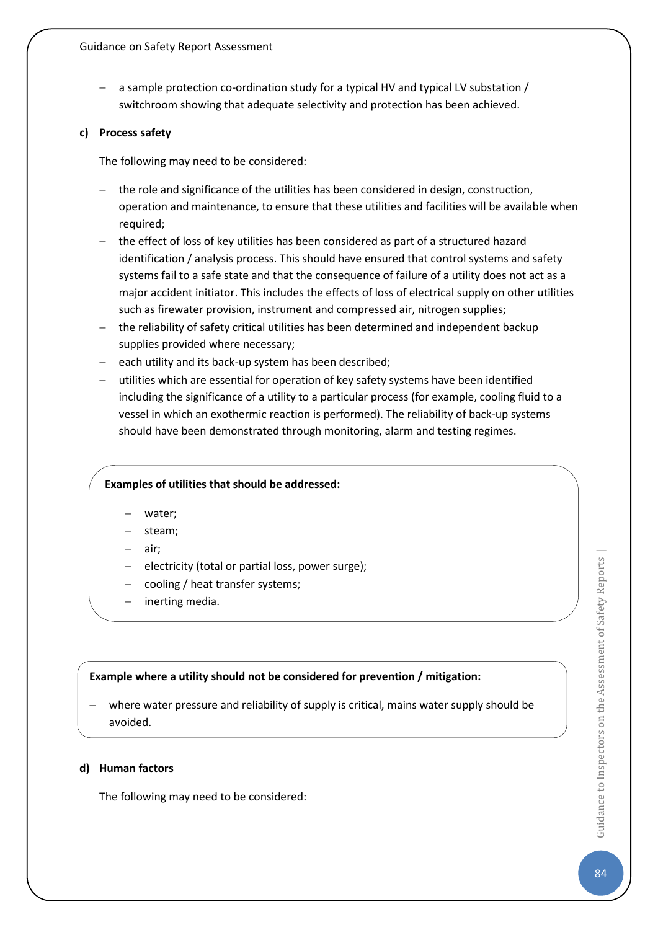− a sample protection co-ordination study for a typical HV and typical LV substation / switchroom showing that adequate selectivity and protection has been achieved.

#### **c) Process safety**

The following may need to be considered:

- − the role and significance of the utilities has been considered in design, construction, operation and maintenance, to ensure that these utilities and facilities will be available when required;
- − the effect of loss of key utilities has been considered as part of a structured hazard identification / analysis process. This should have ensured that control systems and safety systems fail to a safe state and that the consequence of failure of a utility does not act as a major accident initiator. This includes the effects of loss of electrical supply on other utilities such as firewater provision, instrument and compressed air, nitrogen supplies;
- − the reliability of safety critical utilities has been determined and independent backup supplies provided where necessary;
- − each utility and its back-up system has been described;
- − utilities which are essential for operation of key safety systems have been identified including the significance of a utility to a particular process (for example, cooling fluid to a vessel in which an exothermic reaction is performed). The reliability of back-up systems should have been demonstrated through monitoring, alarm and testing regimes.

#### **Examples of utilities that should be addressed:**

- water;
- − steam;
- air;
- electricity (total or partial loss, power surge);
- − cooling / heat transfer systems;
- − inerting media.

#### **Example where a utility should not be considered for prevention / mitigation:**

where water pressure and reliability of supply is critical, mains water supply should be avoided.

#### **d) Human factors**

The following may need to be considered: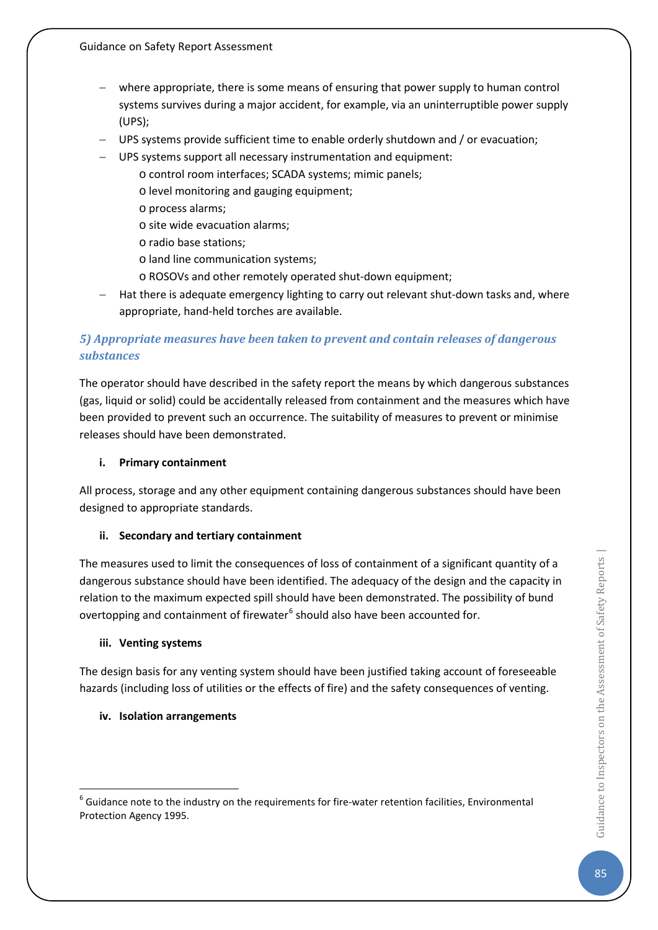- − where appropriate, there is some means of ensuring that power supply to human control systems survives during a major accident, for example, via an uninterruptible power supply (UPS);
- − UPS systems provide sufficient time to enable orderly shutdown and / or evacuation;
- − UPS systems support all necessary instrumentation and equipment:
	- o control room interfaces; SCADA systems; mimic panels;
	- o level monitoring and gauging equipment;
	- o process alarms;
	- o site wide evacuation alarms;
	- o radio base stations;
	- o land line communication systems;
	- o ROSOVs and other remotely operated shut-down equipment;
- Hat there is adequate emergency lighting to carry out relevant shut-down tasks and, where appropriate, hand-held torches are available.

## *5) Appropriate measures have been taken to prevent and contain releases of dangerous substances*

The operator should have described in the safety report the means by which dangerous substances (gas, liquid or solid) could be accidentally released from containment and the measures which have been provided to prevent such an occurrence. The suitability of measures to prevent or minimise releases should have been demonstrated.

#### **i. Primary containment**

All process, storage and any other equipment containing dangerous substances should have been designed to appropriate standards.

### **ii. Secondary and tertiary containment**

The measures used to limit the consequences of loss of containment of a significant quantity of a dangerous substance should have been identified. The adequacy of the design and the capacity in relation to the maximum expected spill should have been demonstrated. The possibility of bund overtopping and containment of firewater $6$  should also have been accounted for.

### **iii. Venting systems**

The design basis for any venting system should have been justified taking account of foreseeable hazards (including loss of utilities or the effects of fire) and the safety consequences of venting.

### **iv. Isolation arrangements**

<span id="page-85-0"></span> $6$  Guidance note to the industry on the requirements for fire-water retention facilities, Environmental Protection Agency 1995.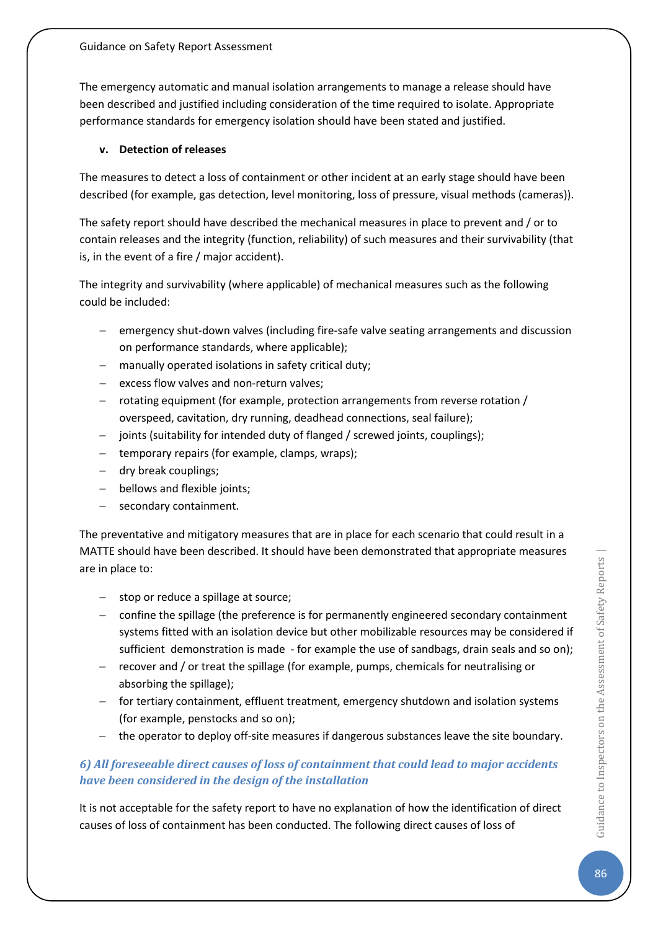The emergency automatic and manual isolation arrangements to manage a release should have been described and justified including consideration of the time required to isolate. Appropriate performance standards for emergency isolation should have been stated and justified.

### **v. Detection of releases**

The measures to detect a loss of containment or other incident at an early stage should have been described (for example, gas detection, level monitoring, loss of pressure, visual methods (cameras)).

The safety report should have described the mechanical measures in place to prevent and / or to contain releases and the integrity (function, reliability) of such measures and their survivability (that is, in the event of a fire / major accident).

The integrity and survivability (where applicable) of mechanical measures such as the following could be included:

- emergency shut-down valves (including fire-safe valve seating arrangements and discussion on performance standards, where applicable);
- − manually operated isolations in safety critical duty;
- − excess flow valves and non-return valves;
- − rotating equipment (for example, protection arrangements from reverse rotation / overspeed, cavitation, dry running, deadhead connections, seal failure);
- − joints (suitability for intended duty of flanged / screwed joints, couplings);
- − temporary repairs (for example, clamps, wraps);
- − dry break couplings;
- − bellows and flexible joints;
- − secondary containment.

The preventative and mitigatory measures that are in place for each scenario that could result in a MATTE should have been described. It should have been demonstrated that appropriate measures are in place to:

- − stop or reduce a spillage at source;
- − confine the spillage (the preference is for permanently engineered secondary containment systems fitted with an isolation device but other mobilizable resources may be considered if sufficient demonstration is made - for example the use of sandbags, drain seals and so on);
- − recover and / or treat the spillage (for example, pumps, chemicals for neutralising or absorbing the spillage);
- − for tertiary containment, effluent treatment, emergency shutdown and isolation systems (for example, penstocks and so on);
- − the operator to deploy off-site measures if dangerous substances leave the site boundary.

## *6) All foreseeable direct causes of loss of containment that could lead to major accidents have been considered in the design of the installation*

It is not acceptable for the safety report to have no explanation of how the identification of direct causes of loss of containment has been conducted. The following direct causes of loss of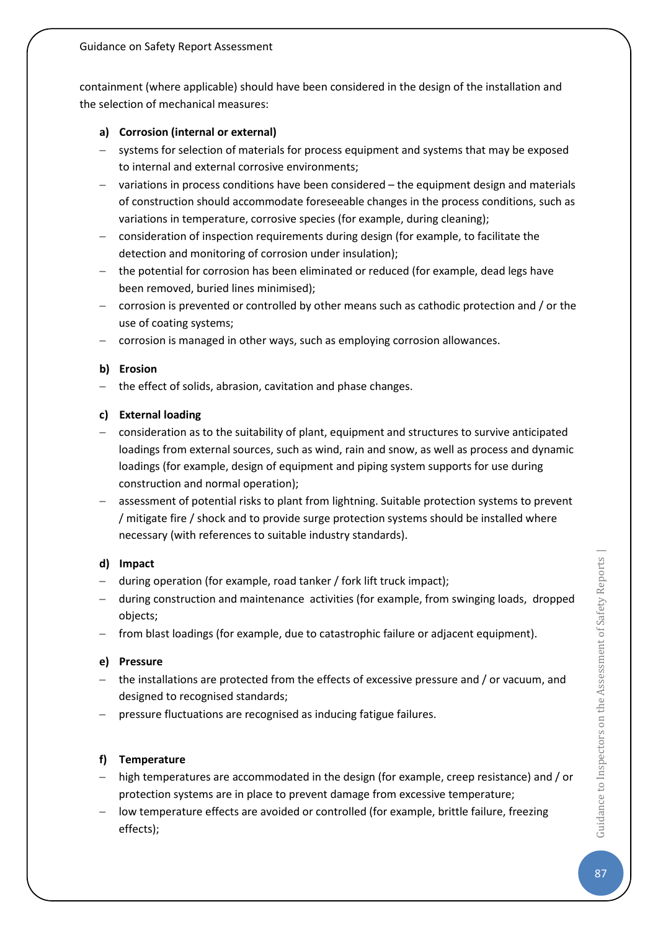containment (where applicable) should have been considered in the design of the installation and the selection of mechanical measures:

## **a) Corrosion (internal or external)**

- − systems for selection of materials for process equipment and systems that may be exposed to internal and external corrosive environments;
- − variations in process conditions have been considered the equipment design and materials of construction should accommodate foreseeable changes in the process conditions, such as variations in temperature, corrosive species (for example, during cleaning);
- − consideration of inspection requirements during design (for example, to facilitate the detection and monitoring of corrosion under insulation);
- − the potential for corrosion has been eliminated or reduced (for example, dead legs have been removed, buried lines minimised);
- − corrosion is prevented or controlled by other means such as cathodic protection and / or the use of coating systems;
- − corrosion is managed in other ways, such as employing corrosion allowances.

### **b) Erosion**

− the effect of solids, abrasion, cavitation and phase changes.

### **c) External loading**

- − consideration as to the suitability of plant, equipment and structures to survive anticipated loadings from external sources, such as wind, rain and snow, as well as process and dynamic loadings (for example, design of equipment and piping system supports for use during construction and normal operation);
- − assessment of potential risks to plant from lightning. Suitable protection systems to prevent / mitigate fire / shock and to provide surge protection systems should be installed where necessary (with references to suitable industry standards).

### **d) Impact**

- − during operation (for example, road tanker / fork lift truck impact);
- − during construction and maintenance activities (for example, from swinging loads, dropped objects;
- − from blast loadings (for example, due to catastrophic failure or adjacent equipment).

### **e) Pressure**

- − the installations are protected from the effects of excessive pressure and / or vacuum, and designed to recognised standards;
- − pressure fluctuations are recognised as inducing fatigue failures.

### **f) Temperature**

- − high temperatures are accommodated in the design (for example, creep resistance) and / or protection systems are in place to prevent damage from excessive temperature;
- − low temperature effects are avoided or controlled (for example, brittle failure, freezing effects);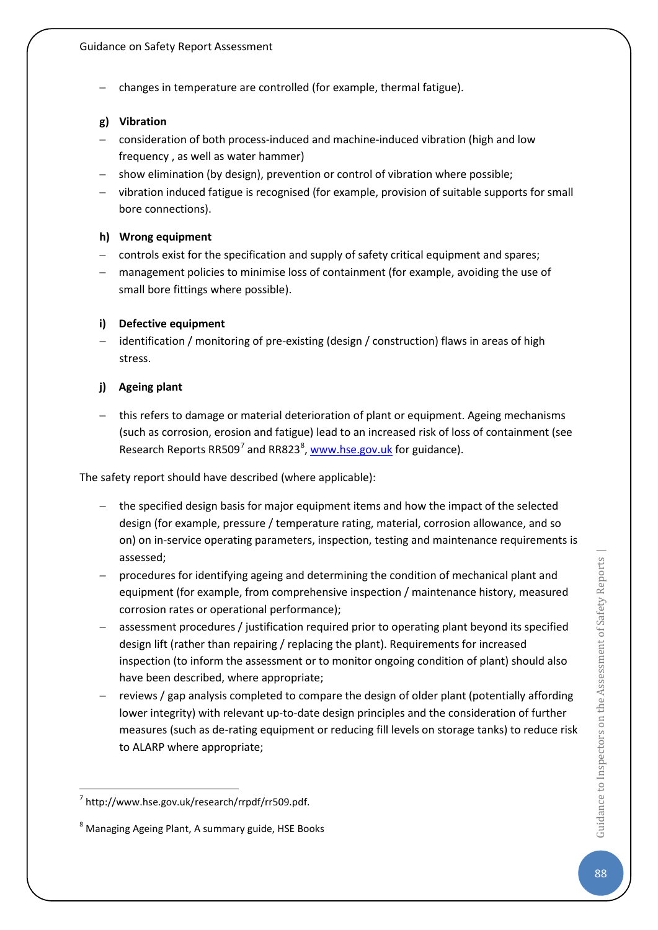− changes in temperature are controlled (for example, thermal fatigue).

### **g) Vibration**

- − consideration of both process-induced and machine-induced vibration (high and low frequency , as well as water hammer)
- − show elimination (by design), prevention or control of vibration where possible;
- − vibration induced fatigue is recognised (for example, provision of suitable supports for small bore connections).

#### **h) Wrong equipment**

- − controls exist for the specification and supply of safety critical equipment and spares;
- management policies to minimise loss of containment (for example, avoiding the use of small bore fittings where possible).

#### **i) Defective equipment**

− identification / monitoring of pre-existing (design / construction) flaws in areas of high stress.

#### **j) Ageing plant**

− this refers to damage or material deterioration of plant or equipment. Ageing mechanisms (such as corrosion, erosion and fatigue) lead to an increased risk of loss of containment (see Research Reports RR509<sup>[7](#page-88-0)</sup> and RR[8](#page-88-1)23<sup>8</sup>, [www.hse.gov.uk](http://www.hse.gov.uk/) for guidance).

The safety report should have described (where applicable):

- the specified design basis for major equipment items and how the impact of the selected design (for example, pressure / temperature rating, material, corrosion allowance, and so on) on in-service operating parameters, inspection, testing and maintenance requirements is assessed;
- − procedures for identifying ageing and determining the condition of mechanical plant and equipment (for example, from comprehensive inspection / maintenance history, measured corrosion rates or operational performance);
- assessment procedures / justification required prior to operating plant beyond its specified design lift (rather than repairing / replacing the plant). Requirements for increased inspection (to inform the assessment or to monitor ongoing condition of plant) should also have been described, where appropriate;
- reviews / gap analysis completed to compare the design of older plant (potentially affording lower integrity) with relevant up-to-date design principles and the consideration of further measures (such as de-rating equipment or reducing fill levels on storage tanks) to reduce risk to ALARP where appropriate;

<span id="page-88-0"></span> <sup>7</sup> http://www.hse.gov.uk/research/rrpdf/rr509.pdf.

<span id="page-88-1"></span><sup>&</sup>lt;sup>8</sup> Managing Ageing Plant, A summary guide, HSE Books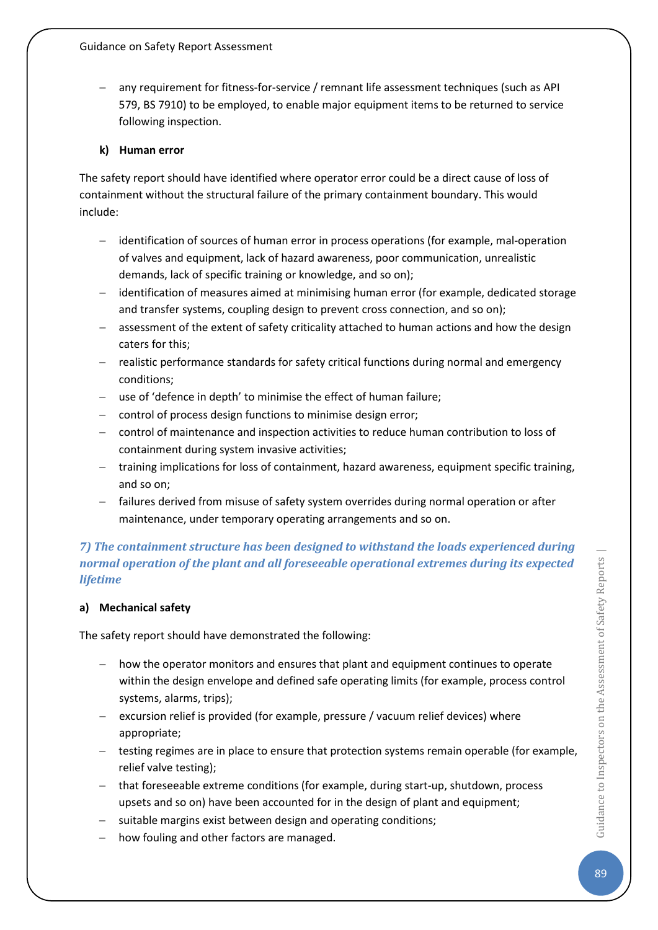any requirement for fitness-for-service / remnant life assessment techniques (such as API 579, BS 7910) to be employed, to enable major equipment items to be returned to service following inspection.

### **k) Human error**

The safety report should have identified where operator error could be a direct cause of loss of containment without the structural failure of the primary containment boundary. This would include:

- − identification of sources of human error in process operations (for example, mal-operation of valves and equipment, lack of hazard awareness, poor communication, unrealistic demands, lack of specific training or knowledge, and so on);
- − identification of measures aimed at minimising human error (for example, dedicated storage and transfer systems, coupling design to prevent cross connection, and so on);
- − assessment of the extent of safety criticality attached to human actions and how the design caters for this;
- − realistic performance standards for safety critical functions during normal and emergency conditions;
- − use of 'defence in depth' to minimise the effect of human failure;
- − control of process design functions to minimise design error;
- − control of maintenance and inspection activities to reduce human contribution to loss of containment during system invasive activities;
- − training implications for loss of containment, hazard awareness, equipment specific training, and so on;
- − failures derived from misuse of safety system overrides during normal operation or after maintenance, under temporary operating arrangements and so on.

## *7) The containment structure has been designed to withstand the loads experienced during normal operation of the plant and all foreseeable operational extremes during its expected lifetime*

### **a) Mechanical safety**

The safety report should have demonstrated the following:

- − how the operator monitors and ensures that plant and equipment continues to operate within the design envelope and defined safe operating limits (for example, process control systems, alarms, trips);
- − excursion relief is provided (for example, pressure / vacuum relief devices) where appropriate;
- − testing regimes are in place to ensure that protection systems remain operable (for example, relief valve testing);
- − that foreseeable extreme conditions (for example, during start-up, shutdown, process upsets and so on) have been accounted for in the design of plant and equipment;
- − suitable margins exist between design and operating conditions;
- how fouling and other factors are managed.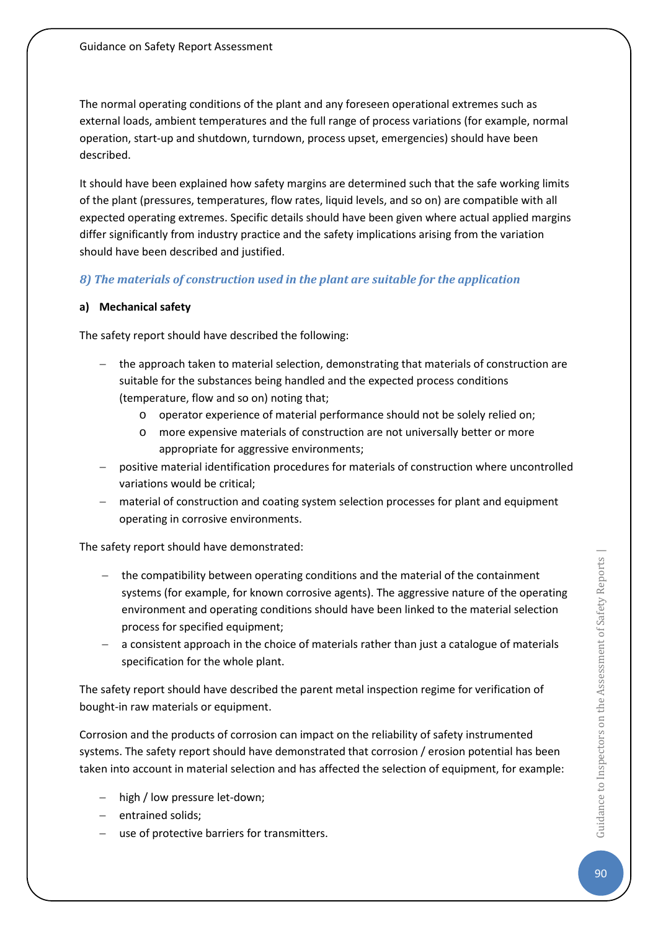The normal operating conditions of the plant and any foreseen operational extremes such as external loads, ambient temperatures and the full range of process variations (for example, normal operation, start-up and shutdown, turndown, process upset, emergencies) should have been described.

It should have been explained how safety margins are determined such that the safe working limits of the plant (pressures, temperatures, flow rates, liquid levels, and so on) are compatible with all expected operating extremes. Specific details should have been given where actual applied margins differ significantly from industry practice and the safety implications arising from the variation should have been described and justified.

## *8) The materials of construction used in the plant are suitable for the application*

### **a) Mechanical safety**

The safety report should have described the following:

- − the approach taken to material selection, demonstrating that materials of construction are suitable for the substances being handled and the expected process conditions (temperature, flow and so on) noting that;
	- o operator experience of material performance should not be solely relied on;
	- o more expensive materials of construction are not universally better or more appropriate for aggressive environments;
- − positive material identification procedures for materials of construction where uncontrolled variations would be critical;
- material of construction and coating system selection processes for plant and equipment operating in corrosive environments.

The safety report should have demonstrated:

- the compatibility between operating conditions and the material of the containment systems (for example, for known corrosive agents). The aggressive nature of the operating environment and operating conditions should have been linked to the material selection process for specified equipment;
- a consistent approach in the choice of materials rather than just a catalogue of materials specification for the whole plant.

The safety report should have described the parent metal inspection regime for verification of bought-in raw materials or equipment.

Corrosion and the products of corrosion can impact on the reliability of safety instrumented systems. The safety report should have demonstrated that corrosion / erosion potential has been taken into account in material selection and has affected the selection of equipment, for example:

- − high / low pressure let-down;
- − entrained solids;
- − use of protective barriers for transmitters.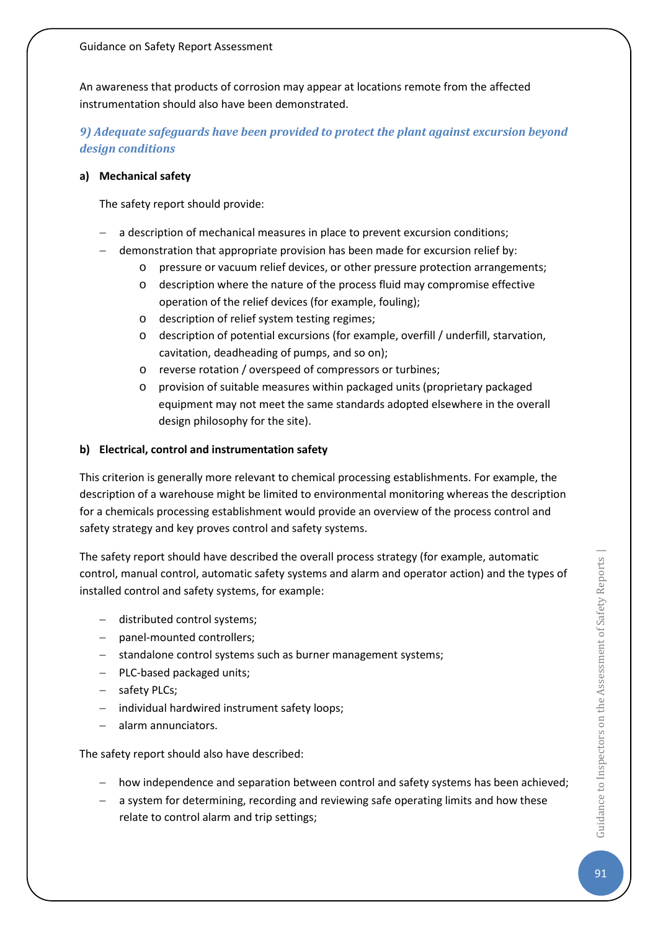An awareness that products of corrosion may appear at locations remote from the affected instrumentation should also have been demonstrated.

## *9) Adequate safeguards have been provided to protect the plant against excursion beyond design conditions*

#### **a) Mechanical safety**

The safety report should provide:

- a description of mechanical measures in place to prevent excursion conditions;
- − demonstration that appropriate provision has been made for excursion relief by:
	- o pressure or vacuum relief devices, or other pressure protection arrangements;
	- o description where the nature of the process fluid may compromise effective operation of the relief devices (for example, fouling);
	- o description of relief system testing regimes;
	- o description of potential excursions (for example, overfill / underfill, starvation, cavitation, deadheading of pumps, and so on);
	- o reverse rotation / overspeed of compressors or turbines;
	- o provision of suitable measures within packaged units (proprietary packaged equipment may not meet the same standards adopted elsewhere in the overall design philosophy for the site).

#### **b) Electrical, control and instrumentation safety**

This criterion is generally more relevant to chemical processing establishments. For example, the description of a warehouse might be limited to environmental monitoring whereas the description for a chemicals processing establishment would provide an overview of the process control and safety strategy and key proves control and safety systems.

The safety report should have described the overall process strategy (for example, automatic control, manual control, automatic safety systems and alarm and operator action) and the types of installed control and safety systems, for example:

- − distributed control systems;
- − panel-mounted controllers;
- − standalone control systems such as burner management systems;
- − PLC-based packaged units;
- − safety PLCs;
- − individual hardwired instrument safety loops;
- − alarm annunciators.

The safety report should also have described:

- − how independence and separation between control and safety systems has been achieved;
- − a system for determining, recording and reviewing safe operating limits and how these relate to control alarm and trip settings;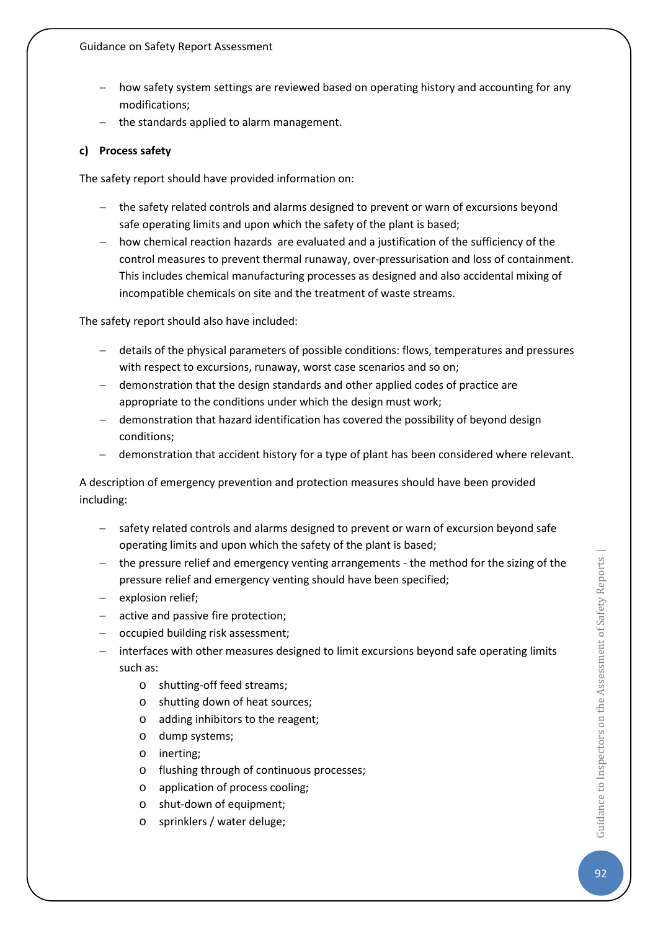- how safety system settings are reviewed based on operating history and accounting for any modifications;
- − the standards applied to alarm management.

#### **c) Process safety**

The safety report should have provided information on:

- − the safety related controls and alarms designed to prevent or warn of excursions beyond safe operating limits and upon which the safety of the plant is based;
- − how chemical reaction hazards are evaluated and a justification of the sufficiency of the control measures to prevent thermal runaway, over-pressurisation and loss of containment. This includes chemical manufacturing processes as designed and also accidental mixing of incompatible chemicals on site and the treatment of waste streams.

The safety report should also have included:

- − details of the physical parameters of possible conditions: flows, temperatures and pressures with respect to excursions, runaway, worst case scenarios and so on;
- − demonstration that the design standards and other applied codes of practice are appropriate to the conditions under which the design must work;
- − demonstration that hazard identification has covered the possibility of beyond design conditions;
- − demonstration that accident history for a type of plant has been considered where relevant.

A description of emergency prevention and protection measures should have been provided including:

- − safety related controls and alarms designed to prevent or warn of excursion beyond safe operating limits and upon which the safety of the plant is based;
- − the pressure relief and emergency venting arrangements the method for the sizing of the pressure relief and emergency venting should have been specified;
- − explosion relief;
- − active and passive fire protection;
- − occupied building risk assessment;
- − interfaces with other measures designed to limit excursions beyond safe operating limits such as:
	- o shutting-off feed streams;
	- o shutting down of heat sources;
	- o adding inhibitors to the reagent;
	- o dump systems;
	- o inerting;
	- o flushing through of continuous processes;
	- o application of process cooling;
	- o shut-down of equipment;
	- o sprinklers / water deluge;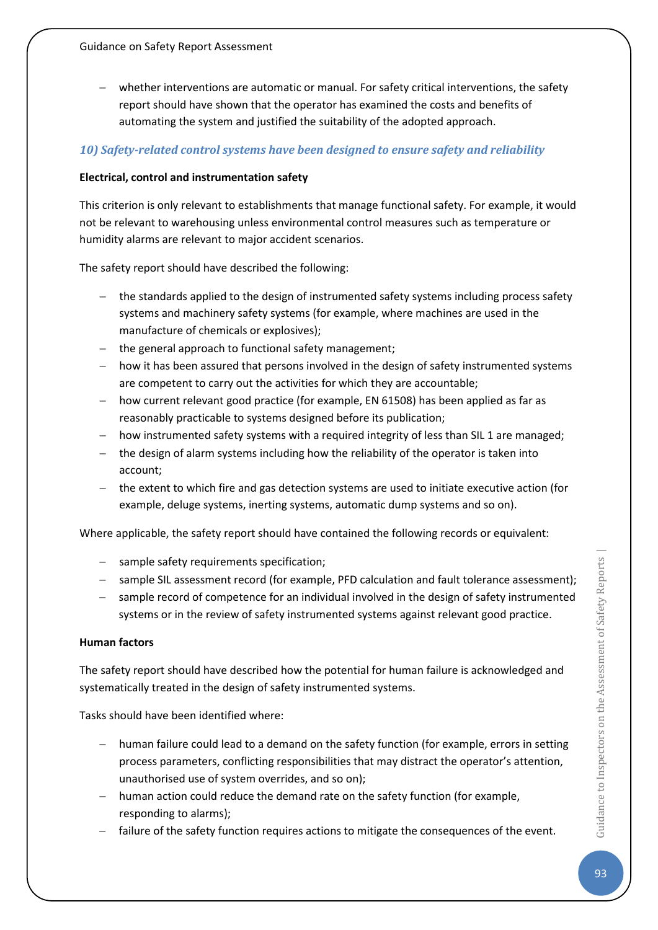whether interventions are automatic or manual. For safety critical interventions, the safety report should have shown that the operator has examined the costs and benefits of automating the system and justified the suitability of the adopted approach.

## *10) Safety-related control systems have been designed to ensure safety and reliability*

### **Electrical, control and instrumentation safety**

This criterion is only relevant to establishments that manage functional safety. For example, it would not be relevant to warehousing unless environmental control measures such as temperature or humidity alarms are relevant to major accident scenarios.

The safety report should have described the following:

- the standards applied to the design of instrumented safety systems including process safety systems and machinery safety systems (for example, where machines are used in the manufacture of chemicals or explosives);
- − the general approach to functional safety management;
- − how it has been assured that persons involved in the design of safety instrumented systems are competent to carry out the activities for which they are accountable;
- − how current relevant good practice (for example, EN 61508) has been applied as far as reasonably practicable to systems designed before its publication;
- how instrumented safety systems with a required integrity of less than SIL 1 are managed;
- the design of alarm systems including how the reliability of the operator is taken into account;
- − the extent to which fire and gas detection systems are used to initiate executive action (for example, deluge systems, inerting systems, automatic dump systems and so on).

Where applicable, the safety report should have contained the following records or equivalent:

- − sample safety requirements specification;
- − sample SIL assessment record (for example, PFD calculation and fault tolerance assessment);
- − sample record of competence for an individual involved in the design of safety instrumented systems or in the review of safety instrumented systems against relevant good practice.

### **Human factors**

The safety report should have described how the potential for human failure is acknowledged and systematically treated in the design of safety instrumented systems.

Tasks should have been identified where:

- − human failure could lead to a demand on the safety function (for example, errors in setting process parameters, conflicting responsibilities that may distract the operator's attention, unauthorised use of system overrides, and so on);
- − human action could reduce the demand rate on the safety function (for example, responding to alarms);
- − failure of the safety function requires actions to mitigate the consequences of the event.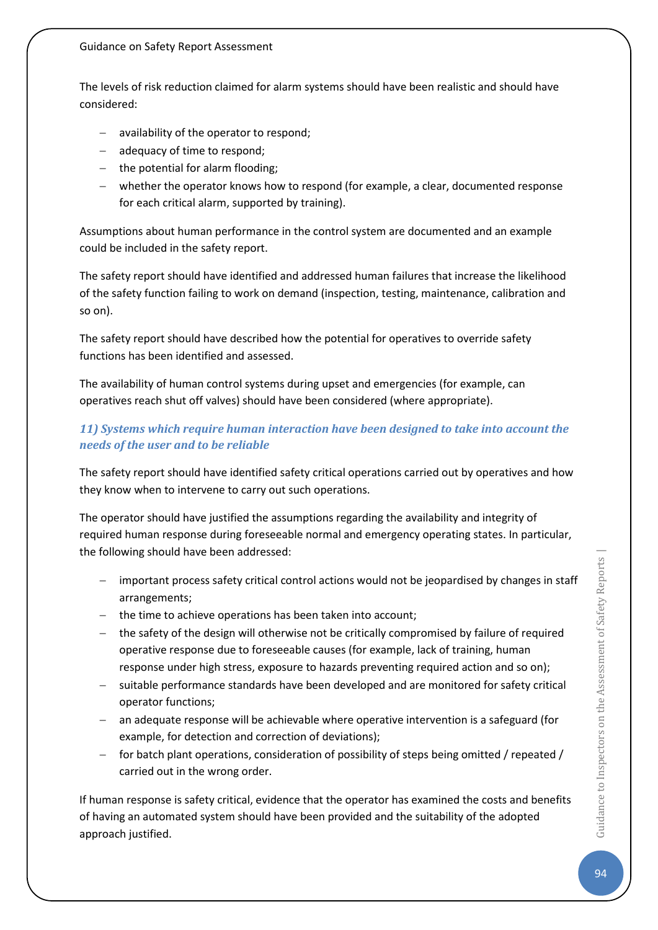The levels of risk reduction claimed for alarm systems should have been realistic and should have considered:

- availability of the operator to respond;
- − adequacy of time to respond;
- − the potential for alarm flooding;
- − whether the operator knows how to respond (for example, a clear, documented response for each critical alarm, supported by training).

Assumptions about human performance in the control system are documented and an example could be included in the safety report.

The safety report should have identified and addressed human failures that increase the likelihood of the safety function failing to work on demand (inspection, testing, maintenance, calibration and so on).

The safety report should have described how the potential for operatives to override safety functions has been identified and assessed.

The availability of human control systems during upset and emergencies (for example, can operatives reach shut off valves) should have been considered (where appropriate).

## *11) Systems which require human interaction have been designed to take into account the needs of the user and to be reliable*

The safety report should have identified safety critical operations carried out by operatives and how they know when to intervene to carry out such operations.

The operator should have justified the assumptions regarding the availability and integrity of required human response during foreseeable normal and emergency operating states. In particular, the following should have been addressed:

- important process safety critical control actions would not be jeopardised by changes in staff arrangements;
- − the time to achieve operations has been taken into account;
- − the safety of the design will otherwise not be critically compromised by failure of required operative response due to foreseeable causes (for example, lack of training, human response under high stress, exposure to hazards preventing required action and so on);
- − suitable performance standards have been developed and are monitored for safety critical operator functions;
- an adequate response will be achievable where operative intervention is a safeguard (for example, for detection and correction of deviations);
- − for batch plant operations, consideration of possibility of steps being omitted / repeated / carried out in the wrong order.

If human response is safety critical, evidence that the operator has examined the costs and benefits of having an automated system should have been provided and the suitability of the adopted approach justified.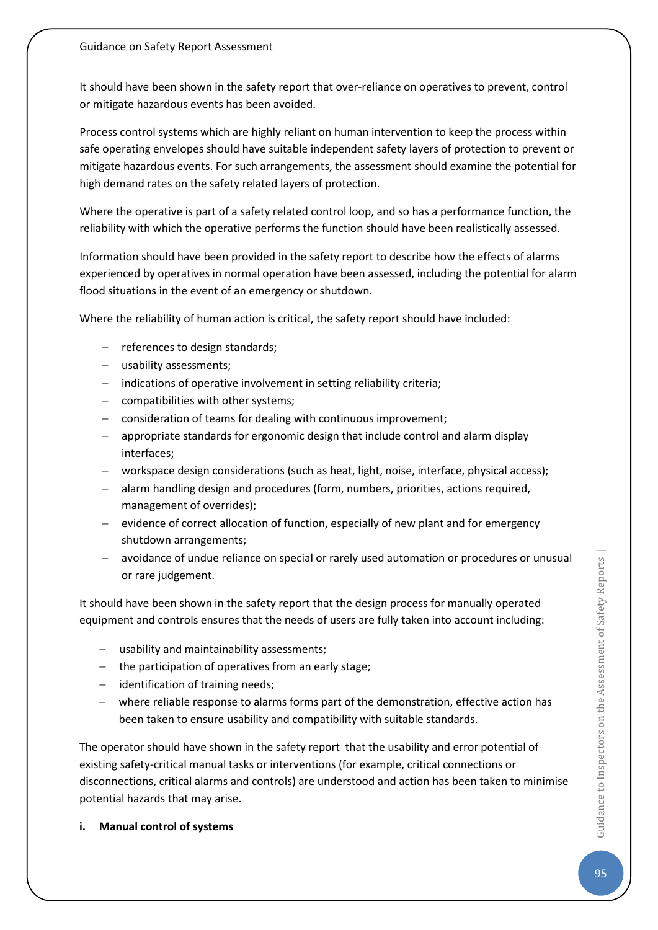It should have been shown in the safety report that over-reliance on operatives to prevent, control or mitigate hazardous events has been avoided.

Process control systems which are highly reliant on human intervention to keep the process within safe operating envelopes should have suitable independent safety layers of protection to prevent or mitigate hazardous events. For such arrangements, the assessment should examine the potential for high demand rates on the safety related layers of protection.

Where the operative is part of a safety related control loop, and so has a performance function, the reliability with which the operative performs the function should have been realistically assessed.

Information should have been provided in the safety report to describe how the effects of alarms experienced by operatives in normal operation have been assessed, including the potential for alarm flood situations in the event of an emergency or shutdown.

Where the reliability of human action is critical, the safety report should have included:

- − references to design standards;
- usability assessments;
- − indications of operative involvement in setting reliability criteria;
- − compatibilities with other systems;
- consideration of teams for dealing with continuous improvement;
- − appropriate standards for ergonomic design that include control and alarm display interfaces;
- − workspace design considerations (such as heat, light, noise, interface, physical access);
- alarm handling design and procedures (form, numbers, priorities, actions required, management of overrides);
- − evidence of correct allocation of function, especially of new plant and for emergency shutdown arrangements;
- − avoidance of undue reliance on special or rarely used automation or procedures or unusual or rare judgement.

It should have been shown in the safety report that the design process for manually operated equipment and controls ensures that the needs of users are fully taken into account including:

- − usability and maintainability assessments;
- − the participation of operatives from an early stage;
- − identification of training needs;
- − where reliable response to alarms forms part of the demonstration, effective action has been taken to ensure usability and compatibility with suitable standards.

The operator should have shown in the safety report that the usability and error potential of existing safety-critical manual tasks or interventions (for example, critical connections or disconnections, critical alarms and controls) are understood and action has been taken to minimise potential hazards that may arise.

**i. Manual control of systems**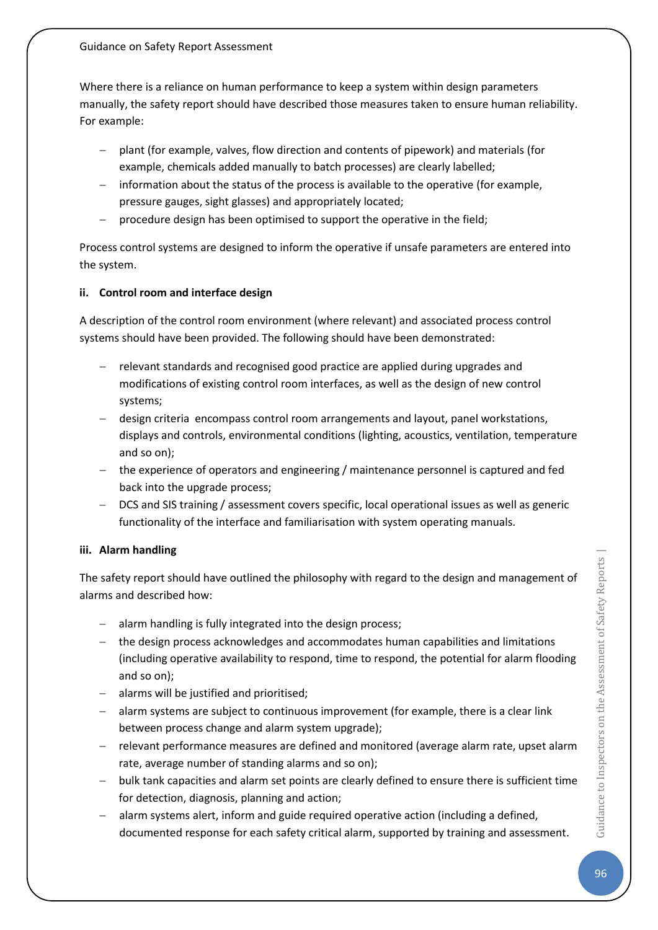Where there is a reliance on human performance to keep a system within design parameters manually, the safety report should have described those measures taken to ensure human reliability. For example:

- − plant (for example, valves, flow direction and contents of pipework) and materials (for example, chemicals added manually to batch processes) are clearly labelled;
- − information about the status of the process is available to the operative (for example, pressure gauges, sight glasses) and appropriately located;
- procedure design has been optimised to support the operative in the field;

Process control systems are designed to inform the operative if unsafe parameters are entered into the system.

### **ii. Control room and interface design**

A description of the control room environment (where relevant) and associated process control systems should have been provided. The following should have been demonstrated:

- − relevant standards and recognised good practice are applied during upgrades and modifications of existing control room interfaces, as well as the design of new control systems;
- − design criteria encompass control room arrangements and layout, panel workstations, displays and controls, environmental conditions (lighting, acoustics, ventilation, temperature and so on);
- the experience of operators and engineering / maintenance personnel is captured and fed back into the upgrade process;
- − DCS and SIS training / assessment covers specific, local operational issues as well as generic functionality of the interface and familiarisation with system operating manuals.

### **iii. Alarm handling**

The safety report should have outlined the philosophy with regard to the design and management of alarms and described how:

- − alarm handling is fully integrated into the design process;
- − the design process acknowledges and accommodates human capabilities and limitations (including operative availability to respond, time to respond, the potential for alarm flooding and so on);
- − alarms will be justified and prioritised;
- − alarm systems are subject to continuous improvement (for example, there is a clear link between process change and alarm system upgrade);
- − relevant performance measures are defined and monitored (average alarm rate, upset alarm rate, average number of standing alarms and so on);
- − bulk tank capacities and alarm set points are clearly defined to ensure there is sufficient time for detection, diagnosis, planning and action;
- alarm systems alert, inform and guide required operative action (including a defined, documented response for each safety critical alarm, supported by training and assessment.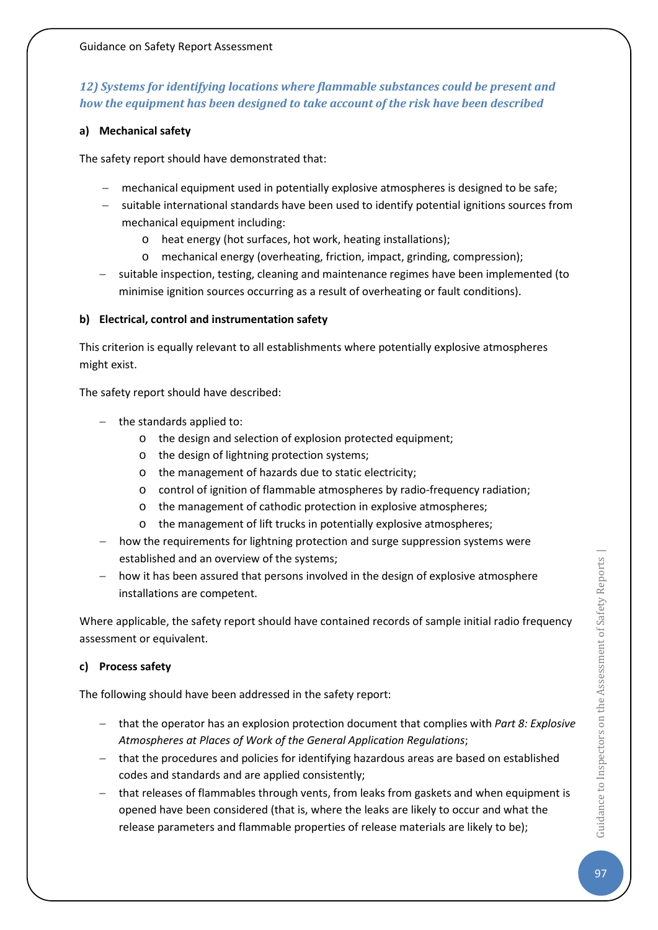## *12) Systems for identifying locations where flammable substances could be present and how the equipment has been designed to take account of the risk have been described*

#### **a) Mechanical safety**

The safety report should have demonstrated that:

- − mechanical equipment used in potentially explosive atmospheres is designed to be safe;
- suitable international standards have been used to identify potential ignitions sources from mechanical equipment including:
	- o heat energy (hot surfaces, hot work, heating installations);
	- o mechanical energy (overheating, friction, impact, grinding, compression);
- suitable inspection, testing, cleaning and maintenance regimes have been implemented (to minimise ignition sources occurring as a result of overheating or fault conditions).

#### **b) Electrical, control and instrumentation safety**

This criterion is equally relevant to all establishments where potentially explosive atmospheres might exist.

The safety report should have described:

- − the standards applied to:
	- o the design and selection of explosion protected equipment;
	- o the design of lightning protection systems;
	- o the management of hazards due to static electricity;
	- o control of ignition of flammable atmospheres by radio-frequency radiation;
	- o the management of cathodic protection in explosive atmospheres;
	- o the management of lift trucks in potentially explosive atmospheres;
- how the requirements for lightning protection and surge suppression systems were established and an overview of the systems;
- − how it has been assured that persons involved in the design of explosive atmosphere installations are competent.

Where applicable, the safety report should have contained records of sample initial radio frequency assessment or equivalent.

#### **c) Process safety**

The following should have been addressed in the safety report:

- − that the operator has an explosion protection document that complies with *Part 8: Explosive Atmospheres at Places of Work of the General Application Regulations*;
- − that the procedures and policies for identifying hazardous areas are based on established codes and standards and are applied consistently;
- − that releases of flammables through vents, from leaks from gaskets and when equipment is opened have been considered (that is, where the leaks are likely to occur and what the release parameters and flammable properties of release materials are likely to be);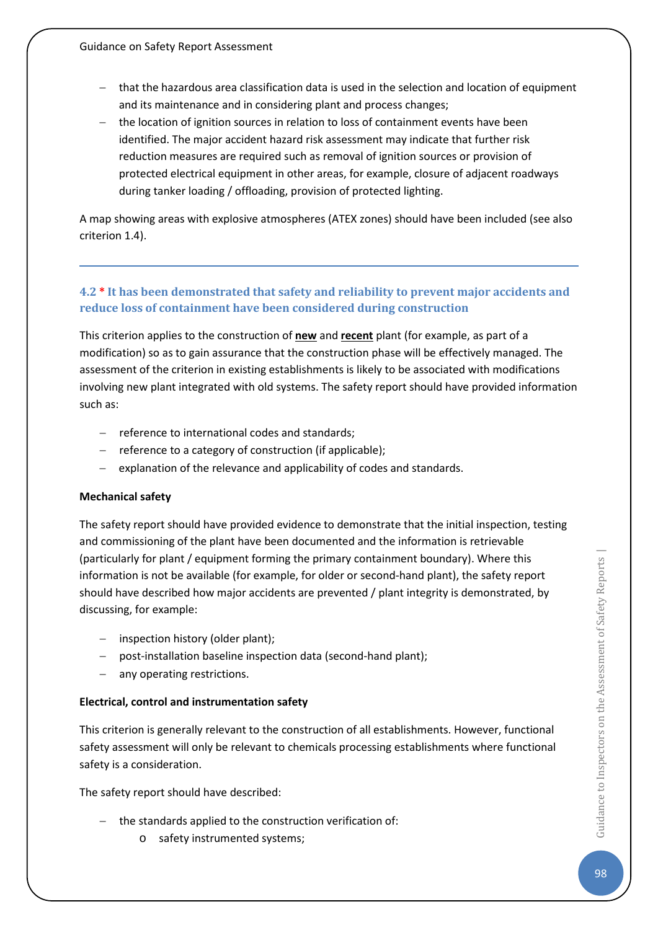- − that the hazardous area classification data is used in the selection and location of equipment and its maintenance and in considering plant and process changes;
- − the location of ignition sources in relation to loss of containment events have been identified. The major accident hazard risk assessment may indicate that further risk reduction measures are required such as removal of ignition sources or provision of protected electrical equipment in other areas, for example, closure of adjacent roadways during tanker loading / offloading, provision of protected lighting.

A map showing areas with explosive atmospheres (ATEX zones) should have been included (see also criterion 1.4).

## **4.2 \* It has been demonstrated that safety and reliability to prevent major accidents and reduce loss of containment have been considered during construction**

This criterion applies to the construction of **new** and **recent** plant (for example, as part of a modification) so as to gain assurance that the construction phase will be effectively managed. The assessment of the criterion in existing establishments is likely to be associated with modifications involving new plant integrated with old systems. The safety report should have provided information such as:

- − reference to international codes and standards;
- − reference to a category of construction (if applicable);
- explanation of the relevance and applicability of codes and standards.

### **Mechanical safety**

The safety report should have provided evidence to demonstrate that the initial inspection, testing and commissioning of the plant have been documented and the information is retrievable (particularly for plant / equipment forming the primary containment boundary). Where this information is not be available (for example, for older or second-hand plant), the safety report should have described how major accidents are prevented / plant integrity is demonstrated, by discussing, for example:

- − inspection history (older plant);
- − post-installation baseline inspection data (second-hand plant);
- − any operating restrictions.

### **Electrical, control and instrumentation safety**

This criterion is generally relevant to the construction of all establishments. However, functional safety assessment will only be relevant to chemicals processing establishments where functional safety is a consideration.

The safety report should have described:

- − the standards applied to the construction verification of:
	- o safety instrumented systems;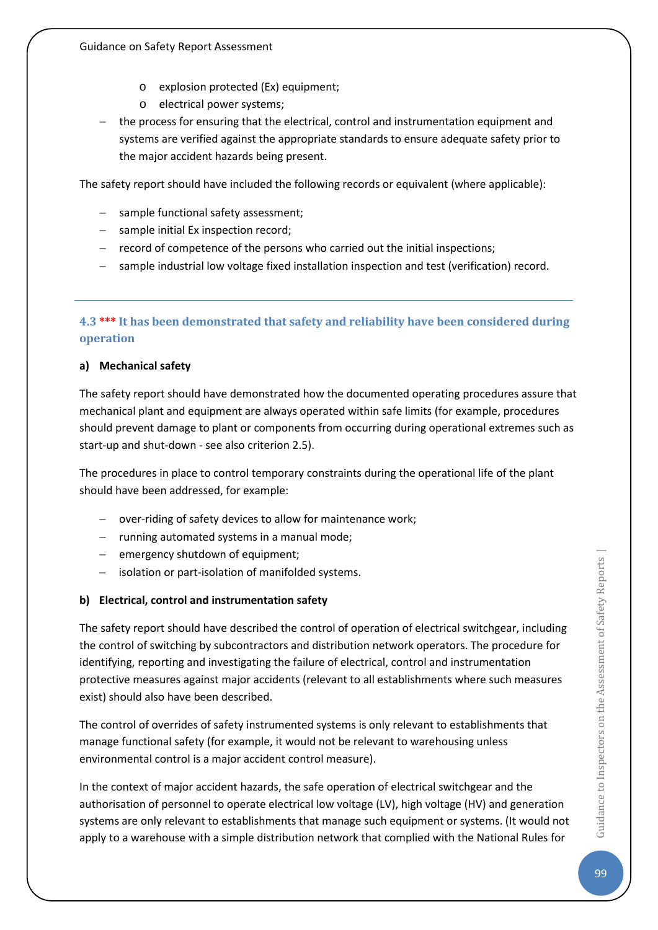- o explosion protected (Ex) equipment;
- o electrical power systems;
- the process for ensuring that the electrical, control and instrumentation equipment and systems are verified against the appropriate standards to ensure adequate safety prior to the major accident hazards being present.

The safety report should have included the following records or equivalent (where applicable):

- − sample functional safety assessment;
- − sample initial Ex inspection record;
- − record of competence of the persons who carried out the initial inspections;
- sample industrial low voltage fixed installation inspection and test (verification) record.

## **4.3 \*\*\* It has been demonstrated that safety and reliability have been considered during operation**

### **a) Mechanical safety**

The safety report should have demonstrated how the documented operating procedures assure that mechanical plant and equipment are always operated within safe limits (for example, procedures should prevent damage to plant or components from occurring during operational extremes such as start-up and shut-down - see also criterion 2.5).

The procedures in place to control temporary constraints during the operational life of the plant should have been addressed, for example:

- − over-riding of safety devices to allow for maintenance work;
- − running automated systems in a manual mode;
- − emergency shutdown of equipment;
- − isolation or part-isolation of manifolded systems.

### **b) Electrical, control and instrumentation safety**

The safety report should have described the control of operation of electrical switchgear, including the control of switching by subcontractors and distribution network operators. The procedure for identifying, reporting and investigating the failure of electrical, control and instrumentation protective measures against major accidents (relevant to all establishments where such measures exist) should also have been described.

The control of overrides of safety instrumented systems is only relevant to establishments that manage functional safety (for example, it would not be relevant to warehousing unless environmental control is a major accident control measure).

In the context of major accident hazards, the safe operation of electrical switchgear and the authorisation of personnel to operate electrical low voltage (LV), high voltage (HV) and generation systems are only relevant to establishments that manage such equipment or systems. (It would not apply to a warehouse with a simple distribution network that complied with the National Rules for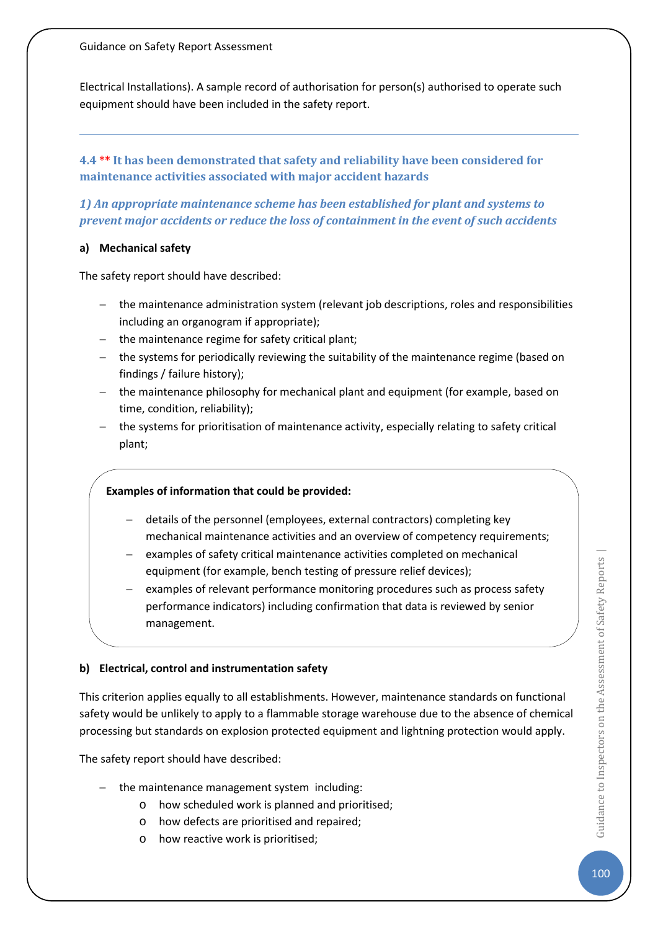Electrical Installations). A sample record of authorisation for person(s) authorised to operate such equipment should have been included in the safety report.

**4.4 \*\* It has been demonstrated that safety and reliability have been considered for maintenance activities associated with major accident hazards**

*1) An appropriate maintenance scheme has been established for plant and systems to prevent major accidents or reduce the loss of containment in the event of such accidents*

#### **a) Mechanical safety**

The safety report should have described:

- − the maintenance administration system (relevant job descriptions, roles and responsibilities including an organogram if appropriate);
- − the maintenance regime for safety critical plant;
- − the systems for periodically reviewing the suitability of the maintenance regime (based on findings / failure history);
- − the maintenance philosophy for mechanical plant and equipment (for example, based on time, condition, reliability);
- − the systems for prioritisation of maintenance activity, especially relating to safety critical plant;

### **Examples of information that could be provided:**

- − details of the personnel (employees, external contractors) completing key mechanical maintenance activities and an overview of competency requirements;
- examples of safety critical maintenance activities completed on mechanical equipment (for example, bench testing of pressure relief devices);
- examples of relevant performance monitoring procedures such as process safety performance indicators) including confirmation that data is reviewed by senior management.

### **b) Electrical, control and instrumentation safety**

This criterion applies equally to all establishments. However, maintenance standards on functional safety would be unlikely to apply to a flammable storage warehouse due to the absence of chemical processing but standards on explosion protected equipment and lightning protection would apply.

The safety report should have described:

- − the maintenance management system including:
	- o how scheduled work is planned and prioritised;
	- o how defects are prioritised and repaired;
	- o how reactive work is prioritised;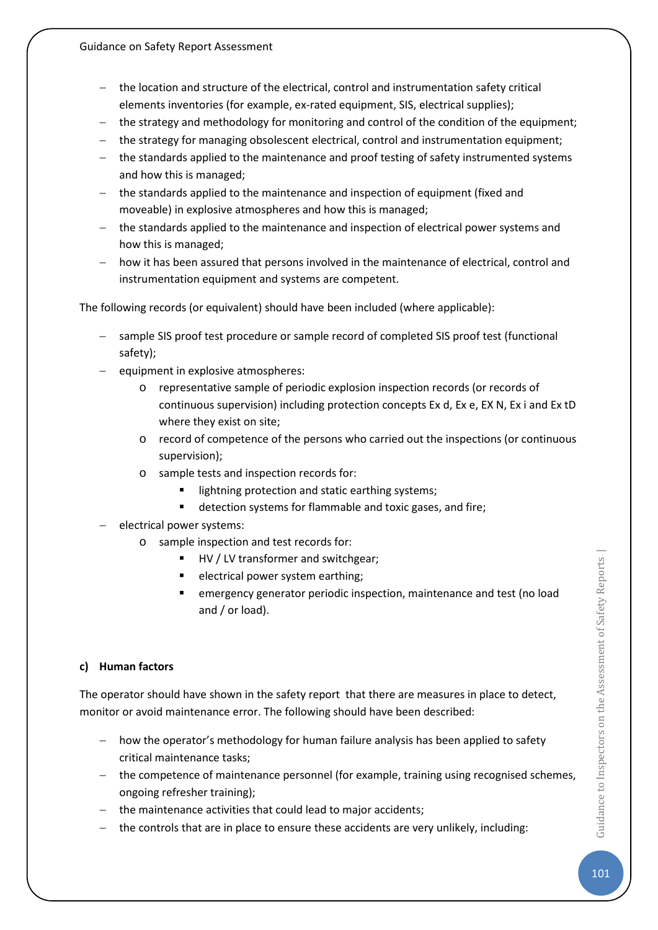- − the location and structure of the electrical, control and instrumentation safety critical elements inventories (for example, ex-rated equipment, SIS, electrical supplies);
- the strategy and methodology for monitoring and control of the condition of the equipment;
- − the strategy for managing obsolescent electrical, control and instrumentation equipment;
- − the standards applied to the maintenance and proof testing of safety instrumented systems and how this is managed;
- − the standards applied to the maintenance and inspection of equipment (fixed and moveable) in explosive atmospheres and how this is managed;
- − the standards applied to the maintenance and inspection of electrical power systems and how this is managed;
- − how it has been assured that persons involved in the maintenance of electrical, control and instrumentation equipment and systems are competent.

The following records (or equivalent) should have been included (where applicable):

- − sample SIS proof test procedure or sample record of completed SIS proof test (functional safety);
- equipment in explosive atmospheres:
	- o representative sample of periodic explosion inspection records (or records of continuous supervision) including protection concepts Ex d, Ex e, EX N, Ex i and Ex tD where they exist on site;
	- o record of competence of the persons who carried out the inspections (or continuous supervision);
	- o sample tests and inspection records for:
		- **IF** lightning protection and static earthing systems;
		- detection systems for flammable and toxic gases, and fire;
- − electrical power systems:
	- o sample inspection and test records for:
		- HV / LV transformer and switchgear;
		- electrical power system earthing;
		- emergency generator periodic inspection, maintenance and test (no load and / or load).

### **c) Human factors**

The operator should have shown in the safety report that there are measures in place to detect, monitor or avoid maintenance error. The following should have been described:

- − how the operator's methodology for human failure analysis has been applied to safety critical maintenance tasks;
- − the competence of maintenance personnel (for example, training using recognised schemes, ongoing refresher training);
- − the maintenance activities that could lead to major accidents;
- the controls that are in place to ensure these accidents are very unlikely, including: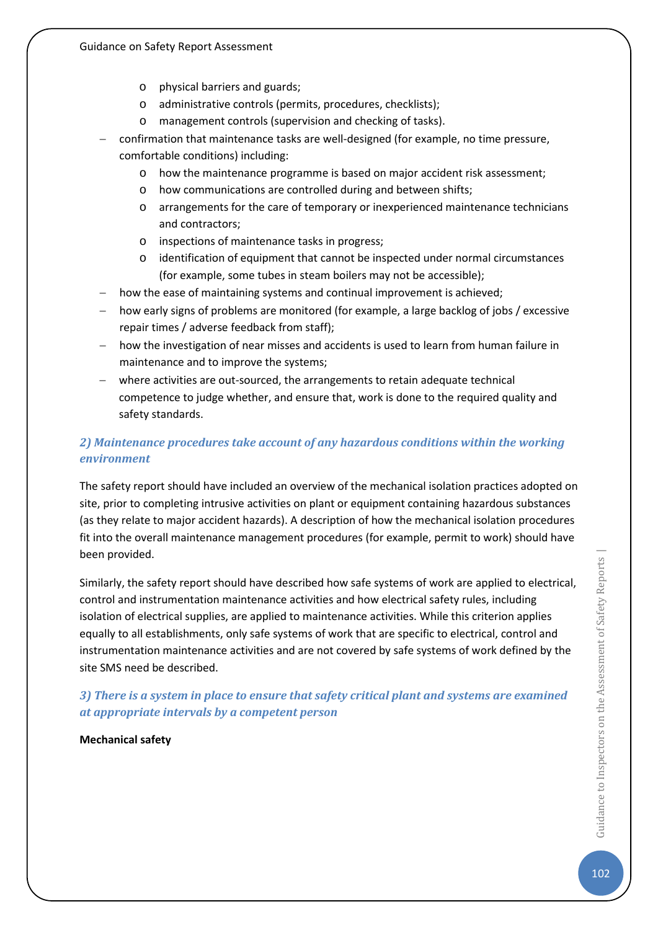- o physical barriers and guards;
- o administrative controls (permits, procedures, checklists);
- o management controls (supervision and checking of tasks).
- − confirmation that maintenance tasks are well-designed (for example, no time pressure, comfortable conditions) including:
	- o how the maintenance programme is based on major accident risk assessment;
	- o how communications are controlled during and between shifts;
	- o arrangements for the care of temporary or inexperienced maintenance technicians and contractors;
	- o inspections of maintenance tasks in progress;
	- o identification of equipment that cannot be inspected under normal circumstances (for example, some tubes in steam boilers may not be accessible);
- how the ease of maintaining systems and continual improvement is achieved;
- how early signs of problems are monitored (for example, a large backlog of jobs / excessive repair times / adverse feedback from staff);
- how the investigation of near misses and accidents is used to learn from human failure in maintenance and to improve the systems;
- − where activities are out-sourced, the arrangements to retain adequate technical competence to judge whether, and ensure that, work is done to the required quality and safety standards.

## *2) Maintenance procedures take account of any hazardous conditions within the working environment*

The safety report should have included an overview of the mechanical isolation practices adopted on site, prior to completing intrusive activities on plant or equipment containing hazardous substances (as they relate to major accident hazards). A description of how the mechanical isolation procedures fit into the overall maintenance management procedures (for example, permit to work) should have been provided.

Similarly, the safety report should have described how safe systems of work are applied to electrical, control and instrumentation maintenance activities and how electrical safety rules, including isolation of electrical supplies, are applied to maintenance activities. While this criterion applies equally to all establishments, only safe systems of work that are specific to electrical, control and instrumentation maintenance activities and are not covered by safe systems of work defined by the site SMS need be described.

*3) There is a system in place to ensure that safety critical plant and systems are examined at appropriate intervals by a competent person* 

**Mechanical safety**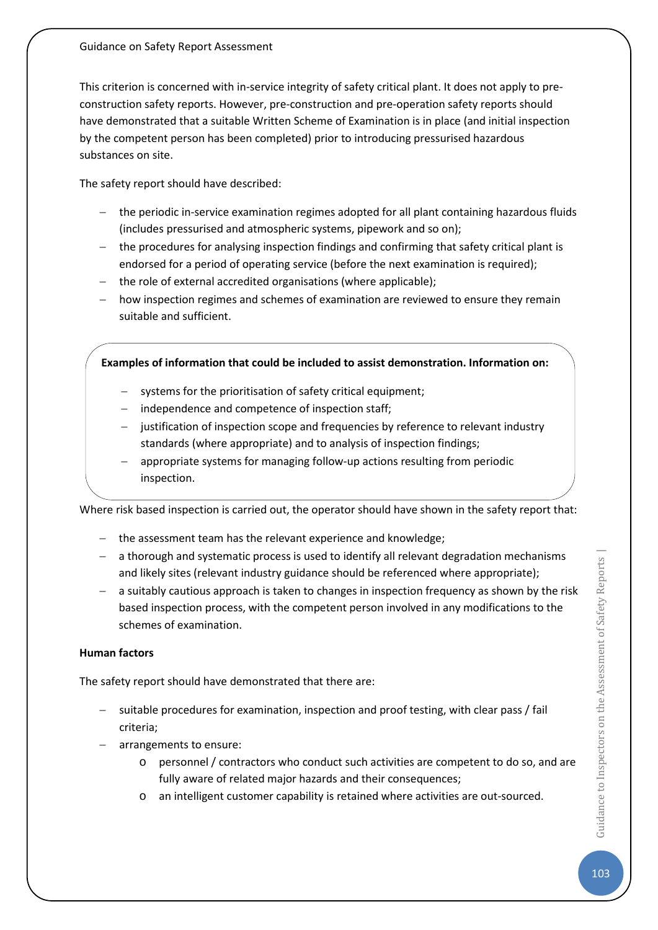This criterion is concerned with in-service integrity of safety critical plant. It does not apply to preconstruction safety reports. However, pre-construction and pre-operation safety reports should have demonstrated that a suitable Written Scheme of Examination is in place (and initial inspection by the competent person has been completed) prior to introducing pressurised hazardous substances on site.

The safety report should have described:

- − the periodic in-service examination regimes adopted for all plant containing hazardous fluids (includes pressurised and atmospheric systems, pipework and so on);
- the procedures for analysing inspection findings and confirming that safety critical plant is endorsed for a period of operating service (before the next examination is required);
- − the role of external accredited organisations (where applicable);
- − how inspection regimes and schemes of examination are reviewed to ensure they remain suitable and sufficient.

### **Examples of information that could be included to assist demonstration. Information on:**

- systems for the prioritisation of safety critical equipment;
- independence and competence of inspection staff;
- − justification of inspection scope and frequencies by reference to relevant industry standards (where appropriate) and to analysis of inspection findings;
- − appropriate systems for managing follow-up actions resulting from periodic inspection.

Where risk based inspection is carried out, the operator should have shown in the safety report that:

- − the assessment team has the relevant experience and knowledge;
- − a thorough and systematic process is used to identify all relevant degradation mechanisms and likely sites (relevant industry guidance should be referenced where appropriate);
- − a suitably cautious approach is taken to changes in inspection frequency as shown by the risk based inspection process, with the competent person involved in any modifications to the schemes of examination.

### **Human factors**

The safety report should have demonstrated that there are:

- − suitable procedures for examination, inspection and proof testing, with clear pass / fail criteria;
- arrangements to ensure:
	- o personnel / contractors who conduct such activities are competent to do so, and are fully aware of related major hazards and their consequences;
	- o an intelligent customer capability is retained where activities are out-sourced.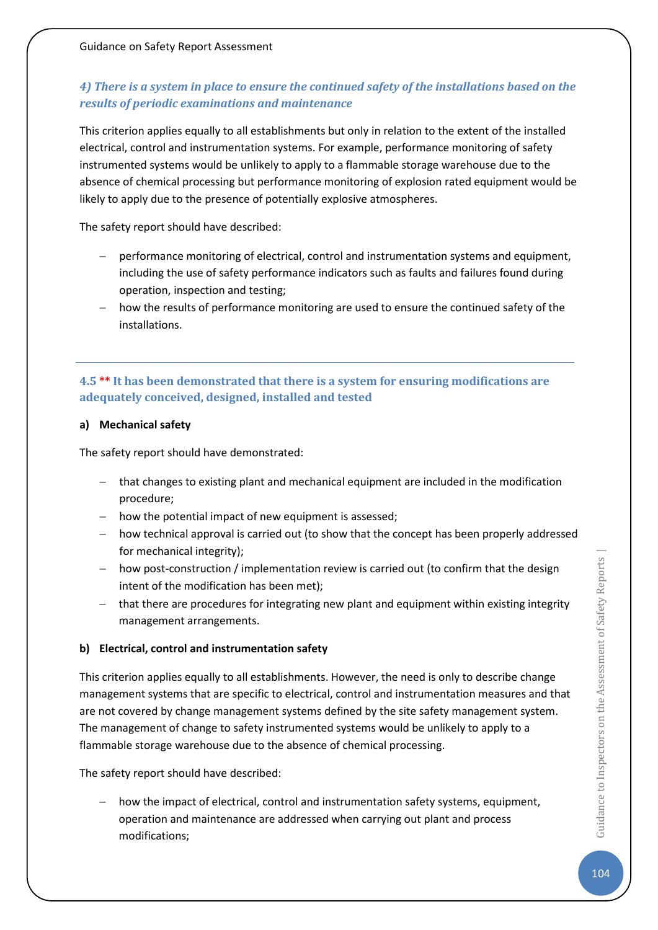## *4) There is a system in place to ensure the continued safety of the installations based on the results of periodic examinations and maintenance*

This criterion applies equally to all establishments but only in relation to the extent of the installed electrical, control and instrumentation systems. For example, performance monitoring of safety instrumented systems would be unlikely to apply to a flammable storage warehouse due to the absence of chemical processing but performance monitoring of explosion rated equipment would be likely to apply due to the presence of potentially explosive atmospheres.

The safety report should have described:

- − performance monitoring of electrical, control and instrumentation systems and equipment, including the use of safety performance indicators such as faults and failures found during operation, inspection and testing;
- how the results of performance monitoring are used to ensure the continued safety of the installations.

## **4.5 \*\* It has been demonstrated that there is a system for ensuring modifications are adequately conceived, designed, installed and tested**

### **a) Mechanical safety**

The safety report should have demonstrated:

- − that changes to existing plant and mechanical equipment are included in the modification procedure;
- − how the potential impact of new equipment is assessed;
- − how technical approval is carried out (to show that the concept has been properly addressed for mechanical integrity);
- how post-construction / implementation review is carried out (to confirm that the design intent of the modification has been met);
- − that there are procedures for integrating new plant and equipment within existing integrity management arrangements.

### **b) Electrical, control and instrumentation safety**

This criterion applies equally to all establishments. However, the need is only to describe change management systems that are specific to electrical, control and instrumentation measures and that are not covered by change management systems defined by the site safety management system. The management of change to safety instrumented systems would be unlikely to apply to a flammable storage warehouse due to the absence of chemical processing.

The safety report should have described:

how the impact of electrical, control and instrumentation safety systems, equipment, operation and maintenance are addressed when carrying out plant and process modifications;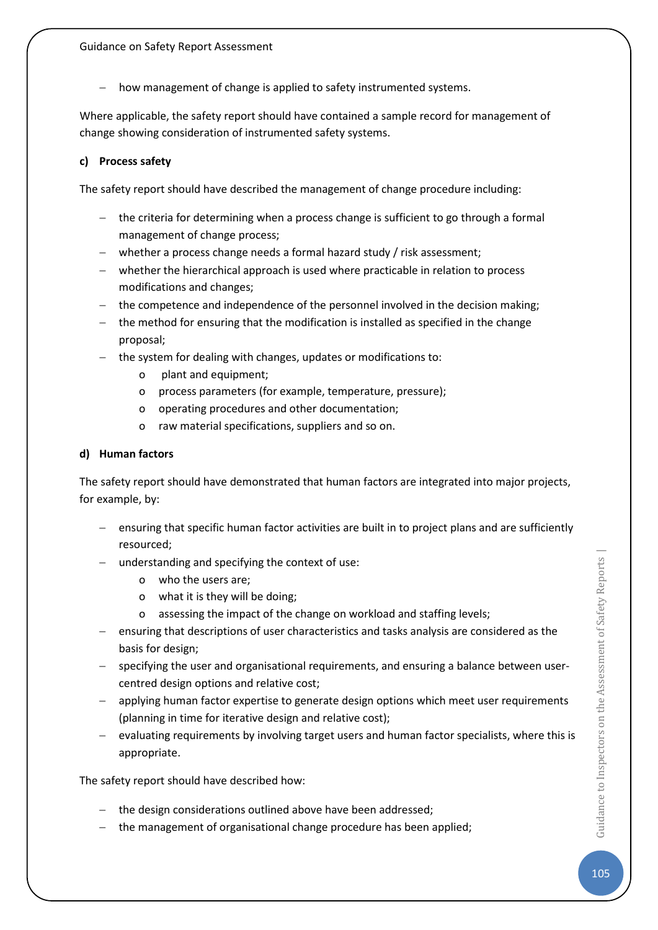− how management of change is applied to safety instrumented systems.

Where applicable, the safety report should have contained a sample record for management of change showing consideration of instrumented safety systems.

#### **c) Process safety**

The safety report should have described the management of change procedure including:

- − the criteria for determining when a process change is sufficient to go through a formal management of change process;
- − whether a process change needs a formal hazard study / risk assessment;
- − whether the hierarchical approach is used where practicable in relation to process modifications and changes;
- − the competence and independence of the personnel involved in the decision making;
- − the method for ensuring that the modification is installed as specified in the change proposal;
- − the system for dealing with changes, updates or modifications to:
	- o plant and equipment;
	- o process parameters (for example, temperature, pressure);
	- o operating procedures and other documentation;
	- o raw material specifications, suppliers and so on.

#### **d) Human factors**

The safety report should have demonstrated that human factors are integrated into major projects, for example, by:

- − ensuring that specific human factor activities are built in to project plans and are sufficiently resourced;
- − understanding and specifying the context of use:
	- o who the users are;
	- o what it is they will be doing;
	- o assessing the impact of the change on workload and staffing levels;
- ensuring that descriptions of user characteristics and tasks analysis are considered as the basis for design;
- − specifying the user and organisational requirements, and ensuring a balance between usercentred design options and relative cost;
- − applying human factor expertise to generate design options which meet user requirements (planning in time for iterative design and relative cost);
- − evaluating requirements by involving target users and human factor specialists, where this is appropriate.

The safety report should have described how:

- − the design considerations outlined above have been addressed;
- − the management of organisational change procedure has been applied;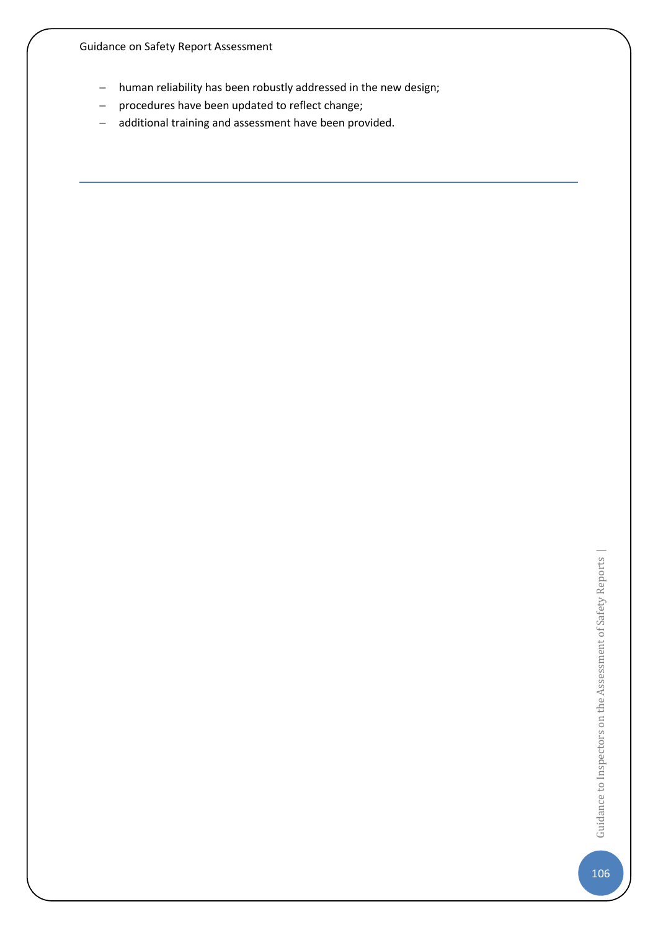- − human reliability has been robustly addressed in the new design;
- − procedures have been updated to reflect change;
- − additional training and assessment have been provided.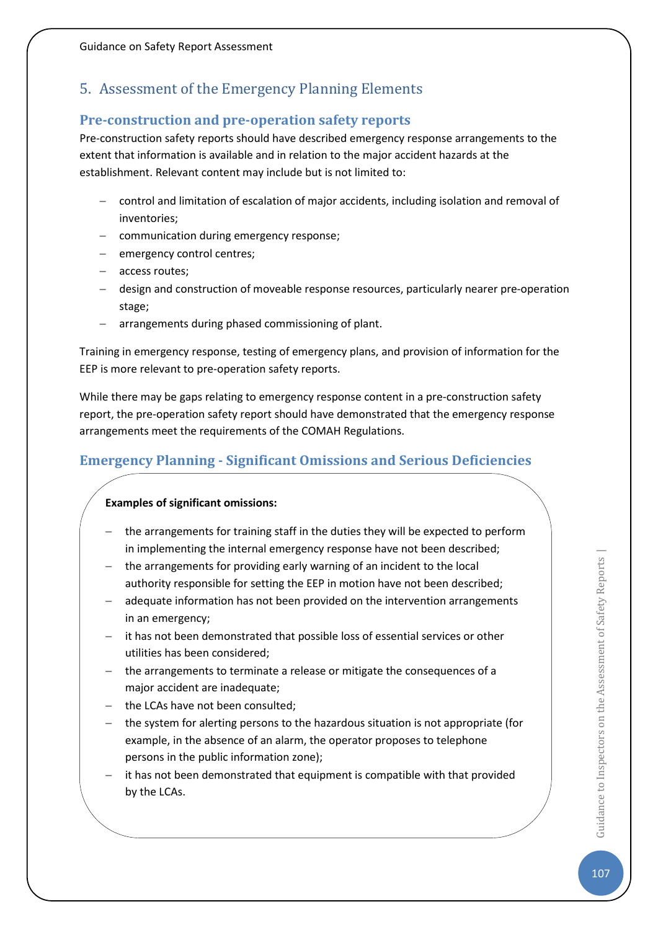# 5. Assessment of the Emergency Planning Elements

## **Pre-construction and pre-operation safety reports**

Pre-construction safety reports should have described emergency response arrangements to the extent that information is available and in relation to the major accident hazards at the establishment. Relevant content may include but is not limited to:

- − control and limitation of escalation of major accidents, including isolation and removal of inventories;
- − communication during emergency response;
- emergency control centres;
- − access routes;
- − design and construction of moveable response resources, particularly nearer pre-operation stage;
- − arrangements during phased commissioning of plant.

Training in emergency response, testing of emergency plans, and provision of information for the EEP is more relevant to pre-operation safety reports.

While there may be gaps relating to emergency response content in a pre-construction safety report, the pre-operation safety report should have demonstrated that the emergency response arrangements meet the requirements of the COMAH Regulations.

## **Emergency Planning - Significant Omissions and Serious Deficiencies**

### **Examples of significant omissions:**

- the arrangements for training staff in the duties they will be expected to perform in implementing the internal emergency response have not been described;
- the arrangements for providing early warning of an incident to the local authority responsible for setting the EEP in motion have not been described;
- adequate information has not been provided on the intervention arrangements in an emergency;
- − it has not been demonstrated that possible loss of essential services or other utilities has been considered;
- − the arrangements to terminate a release or mitigate the consequences of a major accident are inadequate;
- the LCAs have not been consulted;
- − the system for alerting persons to the hazardous situation is not appropriate (for example, in the absence of an alarm, the operator proposes to telephone persons in the public information zone);
- it has not been demonstrated that equipment is compatible with that provided by the LCAs.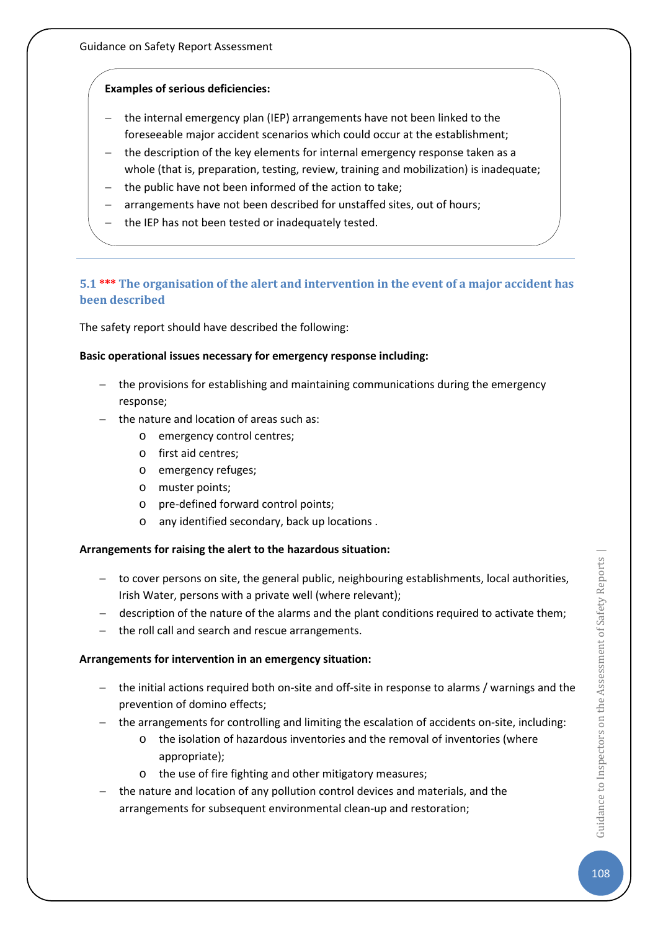### **Examples of serious deficiencies:**

- the internal emergency plan (IEP) arrangements have not been linked to the foreseeable major accident scenarios which could occur at the establishment;
- − the description of the key elements for internal emergency response taken as a whole (that is, preparation, testing, review, training and mobilization) is inadequate;
- the public have not been informed of the action to take;
- arrangements have not been described for unstaffed sites, out of hours;
- the IEP has not been tested or inadequately tested.

### **5.1 \*\*\* The organisation of the alert and intervention in the event of a major accident has been described**

The safety report should have described the following:

#### **Basic operational issues necessary for emergency response including:**

- − the provisions for establishing and maintaining communications during the emergency response;
- − the nature and location of areas such as:
	- o emergency control centres;
	- o first aid centres;
	- o emergency refuges;
	- o muster points;
	- o pre-defined forward control points;
	- o any identified secondary, back up locations .

#### **Arrangements for raising the alert to the hazardous situation:**

- − to cover persons on site, the general public, neighbouring establishments, local authorities, Irish Water, persons with a private well (where relevant);
- − description of the nature of the alarms and the plant conditions required to activate them;
- − the roll call and search and rescue arrangements.

#### **Arrangements for intervention in an emergency situation:**

- − the initial actions required both on-site and off-site in response to alarms / warnings and the prevention of domino effects;
- − the arrangements for controlling and limiting the escalation of accidents on-site, including:
	- o the isolation of hazardous inventories and the removal of inventories (where appropriate);
	- o the use of fire fighting and other mitigatory measures;
- the nature and location of any pollution control devices and materials, and the arrangements for subsequent environmental clean-up and restoration;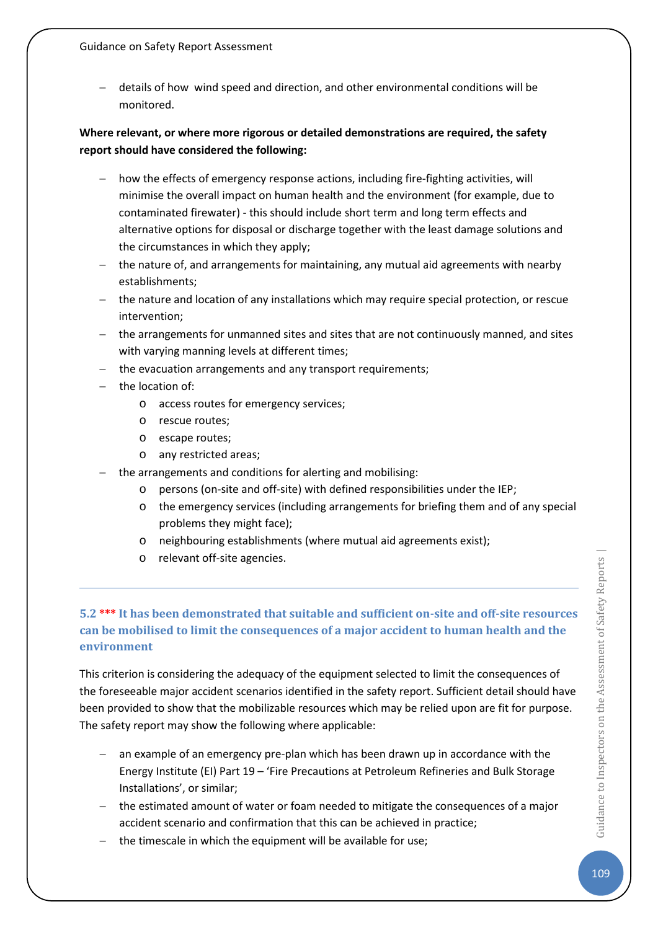− details of how wind speed and direction, and other environmental conditions will be monitored.

## **Where relevant, or where more rigorous or detailed demonstrations are required, the safety report should have considered the following:**

- − how the effects of emergency response actions, including fire-fighting activities, will minimise the overall impact on human health and the environment (for example, due to contaminated firewater) - this should include short term and long term effects and alternative options for disposal or discharge together with the least damage solutions and the circumstances in which they apply;
- − the nature of, and arrangements for maintaining, any mutual aid agreements with nearby establishments;
- − the nature and location of any installations which may require special protection, or rescue intervention;
- − the arrangements for unmanned sites and sites that are not continuously manned, and sites with varying manning levels at different times;
- − the evacuation arrangements and any transport requirements;
- the location of:
	- o access routes for emergency services;
	- o rescue routes;
	- o escape routes;
	- o any restricted areas;
- the arrangements and conditions for alerting and mobilising:
	- o persons (on-site and off-site) with defined responsibilities under the IEP;
	- o the emergency services (including arrangements for briefing them and of any special problems they might face);
	- o neighbouring establishments (where mutual aid agreements exist);
	- o relevant off-site agencies.

# **5.2 \*\*\* It has been demonstrated that suitable and sufficient on-site and off-site resources can be mobilised to limit the consequences of a major accident to human health and the environment**

This criterion is considering the adequacy of the equipment selected to limit the consequences of the foreseeable major accident scenarios identified in the safety report. Sufficient detail should have been provided to show that the mobilizable resources which may be relied upon are fit for purpose. The safety report may show the following where applicable:

- − an example of an emergency pre-plan which has been drawn up in accordance with the Energy Institute (EI) Part 19 – 'Fire Precautions at Petroleum Refineries and Bulk Storage Installations', or similar;
- − the estimated amount of water or foam needed to mitigate the consequences of a major accident scenario and confirmation that this can be achieved in practice;
- the timescale in which the equipment will be available for use;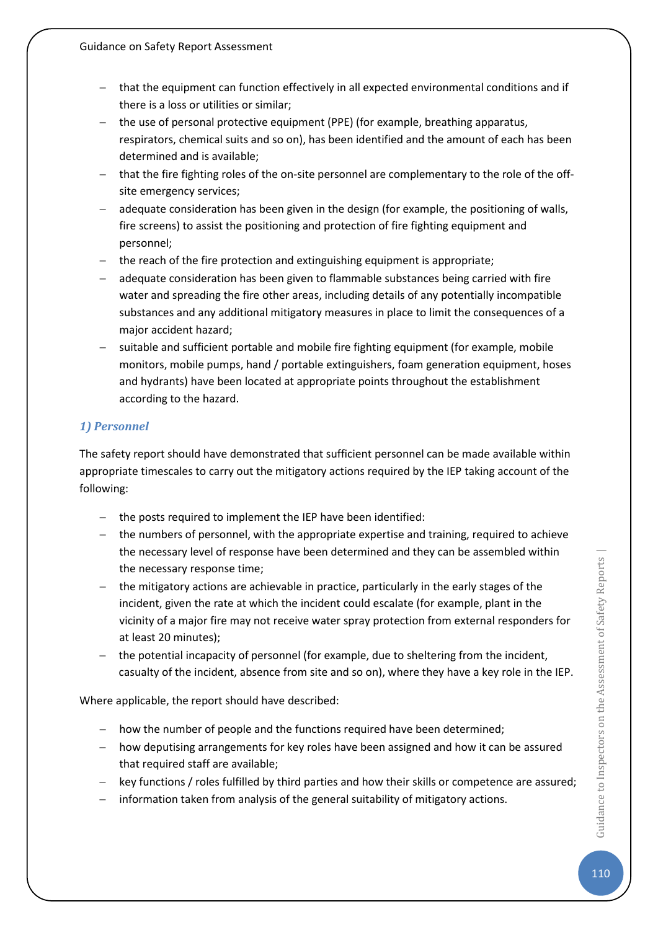- that the equipment can function effectively in all expected environmental conditions and if there is a loss or utilities or similar;
- − the use of personal protective equipment (PPE) (for example, breathing apparatus, respirators, chemical suits and so on), has been identified and the amount of each has been determined and is available;
- that the fire fighting roles of the on-site personnel are complementary to the role of the offsite emergency services;
- adequate consideration has been given in the design (for example, the positioning of walls, fire screens) to assist the positioning and protection of fire fighting equipment and personnel;
- the reach of the fire protection and extinguishing equipment is appropriate;
- adequate consideration has been given to flammable substances being carried with fire water and spreading the fire other areas, including details of any potentially incompatible substances and any additional mitigatory measures in place to limit the consequences of a major accident hazard;
- suitable and sufficient portable and mobile fire fighting equipment (for example, mobile monitors, mobile pumps, hand / portable extinguishers, foam generation equipment, hoses and hydrants) have been located at appropriate points throughout the establishment according to the hazard.

## *1) Personnel*

The safety report should have demonstrated that sufficient personnel can be made available within appropriate timescales to carry out the mitigatory actions required by the IEP taking account of the following:

- − the posts required to implement the IEP have been identified:
- − the numbers of personnel, with the appropriate expertise and training, required to achieve the necessary level of response have been determined and they can be assembled within the necessary response time;
- − the mitigatory actions are achievable in practice, particularly in the early stages of the incident, given the rate at which the incident could escalate (for example, plant in the vicinity of a major fire may not receive water spray protection from external responders for at least 20 minutes);
- the potential incapacity of personnel (for example, due to sheltering from the incident, casualty of the incident, absence from site and so on), where they have a key role in the IEP.

Where applicable, the report should have described:

- − how the number of people and the functions required have been determined;
- − how deputising arrangements for key roles have been assigned and how it can be assured that required staff are available;
- key functions / roles fulfilled by third parties and how their skills or competence are assured;
- information taken from analysis of the general suitability of mitigatory actions.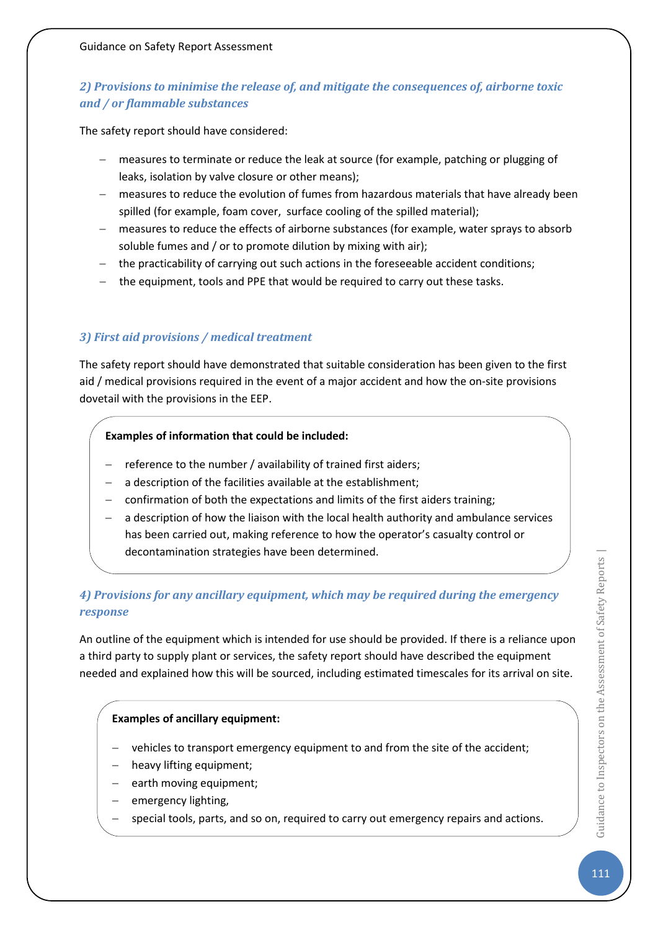# *2) Provisions to minimise the release of, and mitigate the consequences of, airborne toxic and / or flammable substances*

The safety report should have considered:

- − measures to terminate or reduce the leak at source (for example, patching or plugging of leaks, isolation by valve closure or other means);
- − measures to reduce the evolution of fumes from hazardous materials that have already been spilled (for example, foam cover, surface cooling of the spilled material);
- − measures to reduce the effects of airborne substances (for example, water sprays to absorb soluble fumes and / or to promote dilution by mixing with air);
- − the practicability of carrying out such actions in the foreseeable accident conditions;
- the equipment, tools and PPE that would be required to carry out these tasks.

### *3) First aid provisions / medical treatment*

The safety report should have demonstrated that suitable consideration has been given to the first aid / medical provisions required in the event of a major accident and how the on-site provisions dovetail with the provisions in the EEP.

#### **Examples of information that could be included:**

- reference to the number / availability of trained first aiders;
- a description of the facilities available at the establishment;
- − confirmation of both the expectations and limits of the first aiders training;
- a description of how the liaison with the local health authority and ambulance services has been carried out, making reference to how the operator's casualty control or decontamination strategies have been determined.

## *4) Provisions for any ancillary equipment, which may be required during the emergency response*

An outline of the equipment which is intended for use should be provided. If there is a reliance upon a third party to supply plant or services, the safety report should have described the equipment needed and explained how this will be sourced, including estimated timescales for its arrival on site.

### **Examples of ancillary equipment:**

- − vehicles to transport emergency equipment to and from the site of the accident;
- heavy lifting equipment;
- earth moving equipment;
- emergency lighting,
- special tools, parts, and so on, required to carry out emergency repairs and actions.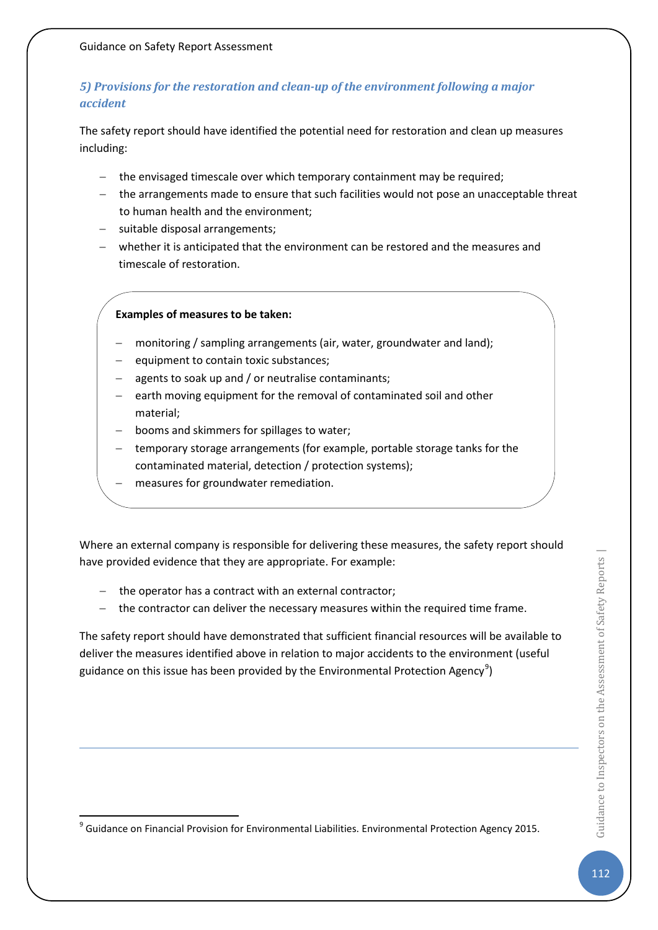# *5) Provisions for the restoration and clean-up of the environment following a major accident*

The safety report should have identified the potential need for restoration and clean up measures including:

- − the envisaged timescale over which temporary containment may be required;
- − the arrangements made to ensure that such facilities would not pose an unacceptable threat to human health and the environment;
- − suitable disposal arrangements;
- − whether it is anticipated that the environment can be restored and the measures and timescale of restoration.

### **Examples of measures to be taken:**

- − monitoring / sampling arrangements (air, water, groundwater and land);
- equipment to contain toxic substances;
- agents to soak up and / or neutralise contaminants;
- earth moving equipment for the removal of contaminated soil and other material;
- booms and skimmers for spillages to water;
- − temporary storage arrangements (for example, portable storage tanks for the contaminated material, detection / protection systems);
- measures for groundwater remediation.

Where an external company is responsible for delivering these measures, the safety report should have provided evidence that they are appropriate. For example:

- − the operator has a contract with an external contractor;
- − the contractor can deliver the necessary measures within the required time frame.

The safety report should have demonstrated that sufficient financial resources will be available to deliver the measures identified above in relation to major accidents to the environment (useful guidance on this issue has been provided by the Environmental Protection Agency<sup>[9](#page-112-0)</sup>)

<span id="page-112-0"></span><sup>9</sup> Guidance on Financial Provision for Environmental Liabilities. Environmental Protection Agency 2015.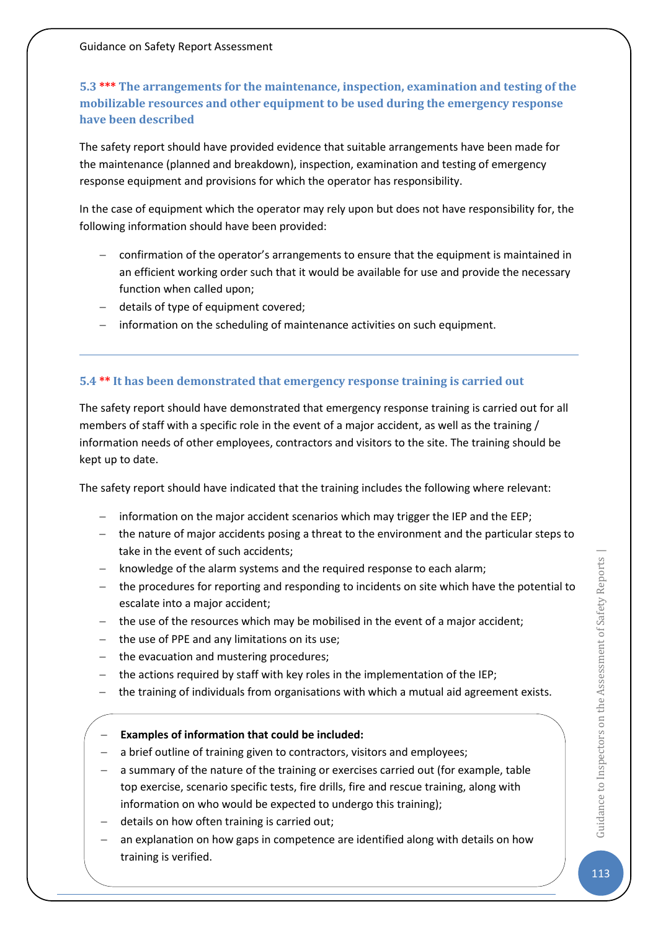# **5.3 \*\*\* The arrangements for the maintenance, inspection, examination and testing of the mobilizable resources and other equipment to be used during the emergency response have been described**

The safety report should have provided evidence that suitable arrangements have been made for the maintenance (planned and breakdown), inspection, examination and testing of emergency response equipment and provisions for which the operator has responsibility.

In the case of equipment which the operator may rely upon but does not have responsibility for, the following information should have been provided:

- − confirmation of the operator's arrangements to ensure that the equipment is maintained in an efficient working order such that it would be available for use and provide the necessary function when called upon;
- − details of type of equipment covered;
- − information on the scheduling of maintenance activities on such equipment.

### **5.4 \*\* It has been demonstrated that emergency response training is carried out**

The safety report should have demonstrated that emergency response training is carried out for all members of staff with a specific role in the event of a major accident, as well as the training / information needs of other employees, contractors and visitors to the site. The training should be kept up to date.

The safety report should have indicated that the training includes the following where relevant:

- − information on the major accident scenarios which may trigger the IEP and the EEP;
- − the nature of major accidents posing a threat to the environment and the particular steps to take in the event of such accidents;
- knowledge of the alarm systems and the required response to each alarm;
- − the procedures for reporting and responding to incidents on site which have the potential to escalate into a major accident;
- − the use of the resources which may be mobilised in the event of a major accident;
- − the use of PPE and any limitations on its use;
- − the evacuation and mustering procedures;
- − the actions required by staff with key roles in the implementation of the IEP;
- − the training of individuals from organisations with which a mutual aid agreement exists.

### − **Examples of information that could be included:**

- a brief outline of training given to contractors, visitors and employees;
- a summary of the nature of the training or exercises carried out (for example, table top exercise, scenario specific tests, fire drills, fire and rescue training, along with information on who would be expected to undergo this training);
- − details on how often training is carried out;
- an explanation on how gaps in competence are identified along with details on how training is verified.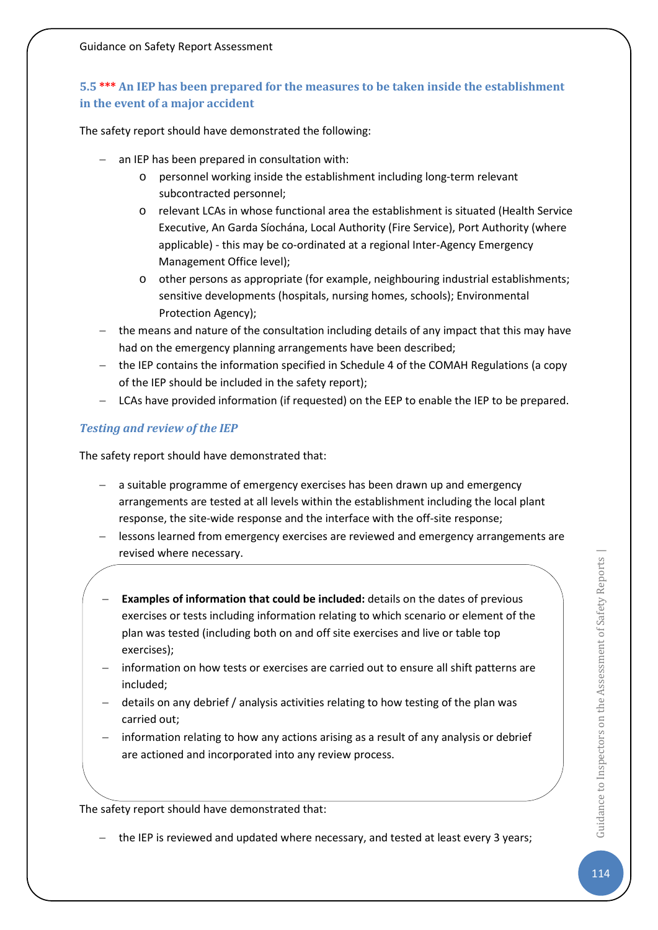# **5.5 \*\*\* An IEP has been prepared for the measures to be taken inside the establishment in the event of a major accident**

The safety report should have demonstrated the following:

- an IEP has been prepared in consultation with:
	- o personnel working inside the establishment including long-term relevant subcontracted personnel;
	- o relevant LCAs in whose functional area the establishment is situated (Health Service Executive, An Garda Síochána, Local Authority (Fire Service), Port Authority (where applicable) - this may be co-ordinated at a regional Inter-Agency Emergency Management Office level);
	- o other persons as appropriate (for example, neighbouring industrial establishments; sensitive developments (hospitals, nursing homes, schools); Environmental Protection Agency);
- − the means and nature of the consultation including details of any impact that this may have had on the emergency planning arrangements have been described;
- − the IEP contains the information specified in Schedule 4 of the COMAH Regulations (a copy of the IEP should be included in the safety report);
- − LCAs have provided information (if requested) on the EEP to enable the IEP to be prepared.

## *Testing and review of the IEP*

The safety report should have demonstrated that:

- − a suitable programme of emergency exercises has been drawn up and emergency arrangements are tested at all levels within the establishment including the local plant response, the site-wide response and the interface with the off-site response;
- − lessons learned from emergency exercises are reviewed and emergency arrangements are revised where necessary.
- **Examples of information that could be included:** details on the dates of previous exercises or tests including information relating to which scenario or element of the plan was tested (including both on and off site exercises and live or table top exercises);
- information on how tests or exercises are carried out to ensure all shift patterns are included;
- details on any debrief / analysis activities relating to how testing of the plan was carried out;
- information relating to how any actions arising as a result of any analysis or debrief are actioned and incorporated into any review process.

The safety report should have demonstrated that:

− the IEP is reviewed and updated where necessary, and tested at least every 3 years;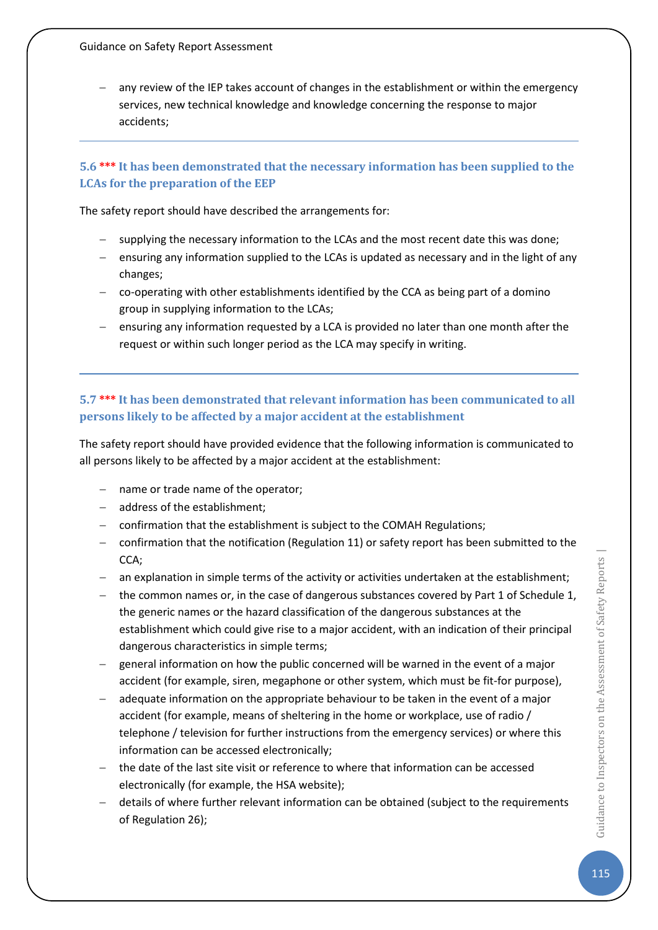any review of the IEP takes account of changes in the establishment or within the emergency services, new technical knowledge and knowledge concerning the response to major accidents;

## **5.6 \*\*\* It has been demonstrated that the necessary information has been supplied to the LCAs for the preparation of the EEP**

The safety report should have described the arrangements for:

- − supplying the necessary information to the LCAs and the most recent date this was done;
- − ensuring any information supplied to the LCAs is updated as necessary and in the light of any changes;
- − co-operating with other establishments identified by the CCA as being part of a domino group in supplying information to the LCAs;
- − ensuring any information requested by a LCA is provided no later than one month after the request or within such longer period as the LCA may specify in writing.

# **5.7 \*\*\* It has been demonstrated that relevant information has been communicated to all persons likely to be affected by a major accident at the establishment**

The safety report should have provided evidence that the following information is communicated to all persons likely to be affected by a major accident at the establishment:

- − name or trade name of the operator;
- − address of the establishment;
- − confirmation that the establishment is subject to the COMAH Regulations;
- − confirmation that the notification (Regulation 11) or safety report has been submitted to the CCA;
- − an explanation in simple terms of the activity or activities undertaken at the establishment;
- the common names or, in the case of dangerous substances covered by Part 1 of Schedule 1, the generic names or the hazard classification of the dangerous substances at the establishment which could give rise to a major accident, with an indication of their principal dangerous characteristics in simple terms;
- general information on how the public concerned will be warned in the event of a major accident (for example, siren, megaphone or other system, which must be fit-for purpose),
- − adequate information on the appropriate behaviour to be taken in the event of a major accident (for example, means of sheltering in the home or workplace, use of radio / telephone / television for further instructions from the emergency services) or where this information can be accessed electronically;
- − the date of the last site visit or reference to where that information can be accessed electronically (for example, the HSA website);
- − details of where further relevant information can be obtained (subject to the requirements of Regulation 26);